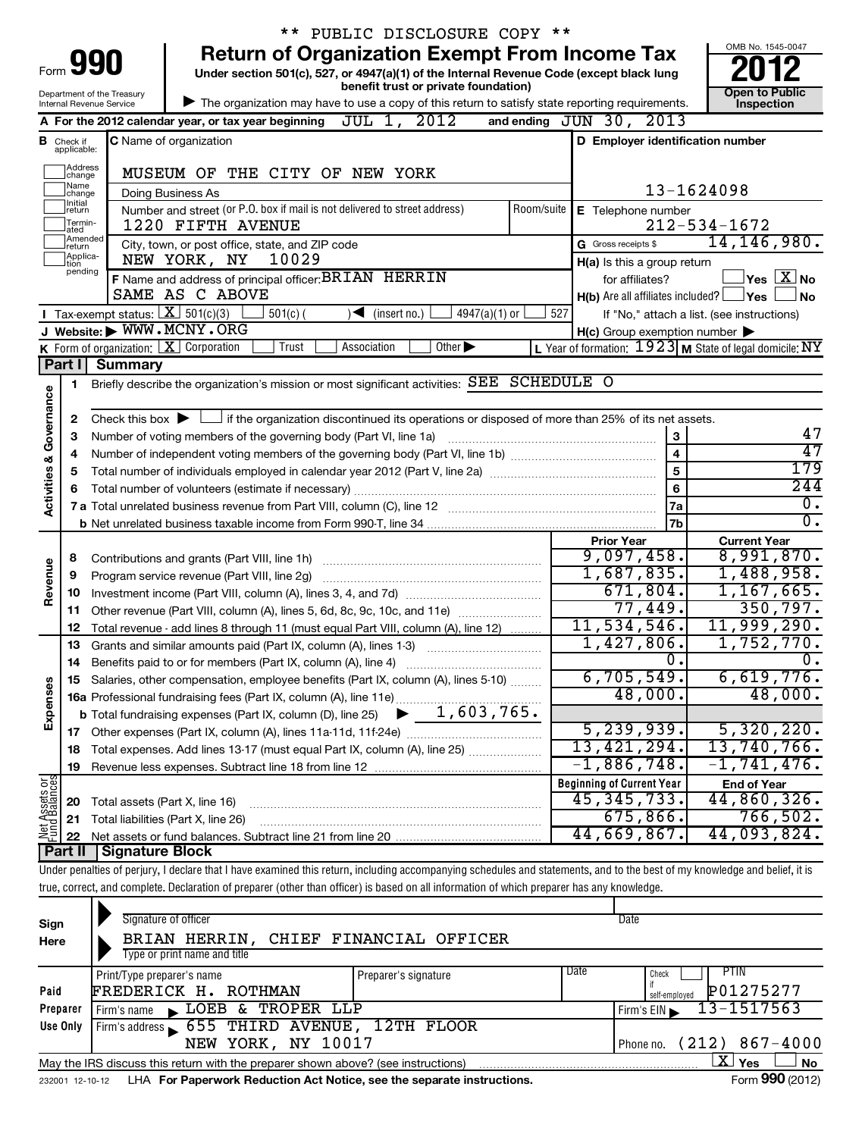|                                    |                             |                                                        | ** PUBLIC DISCLOSURE COPY **                                                                                                                                               |               |                                                     |                                                         |  |  |  |  |
|------------------------------------|-----------------------------|--------------------------------------------------------|----------------------------------------------------------------------------------------------------------------------------------------------------------------------------|---------------|-----------------------------------------------------|---------------------------------------------------------|--|--|--|--|
|                                    |                             | 990                                                    | <b>Return of Organization Exempt From Income Tax</b>                                                                                                                       |               |                                                     | OMB No. 1545-0047                                       |  |  |  |  |
| Form                               |                             |                                                        | Under section 501(c), 527, or 4947(a)(1) of the Internal Revenue Code (except black lung<br>benefit trust or private foundation)                                           |               |                                                     |                                                         |  |  |  |  |
|                                    |                             | Department of the Treasury<br>Internal Revenue Service | The organization may have to use a copy of this return to satisfy state reporting requirements.                                                                            |               |                                                     | <b>Open to Public</b><br>Inspection                     |  |  |  |  |
|                                    |                             |                                                        | A For the 2012 calendar year, or tax year beginning $JUL$ 1, $2012$                                                                                                        |               | and ending JUN 30, 2013                             |                                                         |  |  |  |  |
|                                    | <b>B</b> Check if           |                                                        | <b>C</b> Name of organization                                                                                                                                              |               | D Employer identification number                    |                                                         |  |  |  |  |
|                                    | applicable:                 |                                                        |                                                                                                                                                                            |               |                                                     |                                                         |  |  |  |  |
|                                    | Address<br>change<br>Name   |                                                        | MUSEUM OF THE CITY OF NEW YORK                                                                                                                                             |               |                                                     |                                                         |  |  |  |  |
|                                    | change<br>Initial           |                                                        | Doing Business As                                                                                                                                                          |               |                                                     | 13-1624098                                              |  |  |  |  |
|                                    | return<br>Termin-           |                                                        | Number and street (or P.O. box if mail is not delivered to street address)<br>1220 FIFTH AVENUE                                                                            | Room/suite    | E Telephone number                                  | $212 - 534 - 1672$                                      |  |  |  |  |
|                                    | ated<br>Amended             |                                                        | City, town, or post office, state, and ZIP code                                                                                                                            |               | G Gross receipts \$                                 | 14, 146, 980.                                           |  |  |  |  |
|                                    | Ireturn<br>Applica-<br>tion |                                                        | NEW YORK, NY<br>10029                                                                                                                                                      |               | H(a) Is this a group return                         |                                                         |  |  |  |  |
|                                    | pending                     |                                                        | F Name and address of principal officer: BRIAN HERRIN                                                                                                                      |               | for affiliates?                                     | $\vert$ Yes $\vert$ $\overline{\mathrm{X}}$ $\vert$ No  |  |  |  |  |
|                                    |                             |                                                        | SAME AS C ABOVE                                                                                                                                                            |               | $H(b)$ Are all affiliates included? $\Box$ Yes      | ∫ No                                                    |  |  |  |  |
|                                    |                             | <b>I</b> Tax-exempt status: $X \overline{301(c)(3)}$   | $501(c)$ (<br>(insert no.)<br>$4947(a)(1)$ or<br>$\blacktriangleleft$                                                                                                      | 527           |                                                     | If "No," attach a list. (see instructions)              |  |  |  |  |
|                                    |                             |                                                        | J Website: WWW.MCNY.ORG                                                                                                                                                    |               | $H(c)$ Group exemption number $\blacktriangleright$ |                                                         |  |  |  |  |
|                                    |                             |                                                        | K Form of organization: $X$ Corporation<br>Trust<br>Other $\blacktriangleright$<br>Association                                                                             |               |                                                     | L Year of formation: 1923 M State of legal domicile: NY |  |  |  |  |
|                                    | Part I                      | <b>Summary</b>                                         |                                                                                                                                                                            |               |                                                     |                                                         |  |  |  |  |
|                                    | 1                           |                                                        | Briefly describe the organization's mission or most significant activities: SEE SCHEDULE O                                                                                 |               |                                                     |                                                         |  |  |  |  |
|                                    |                             |                                                        |                                                                                                                                                                            |               |                                                     |                                                         |  |  |  |  |
|                                    | 2                           |                                                        | Check this box $\blacktriangleright$ $\Box$ if the organization discontinued its operations or disposed of more than 25% of its net assets.                                |               |                                                     |                                                         |  |  |  |  |
|                                    | 3                           |                                                        | Number of voting members of the governing body (Part VI, line 1a)                                                                                                          |               | 3                                                   | 47<br>47                                                |  |  |  |  |
|                                    | 4                           |                                                        |                                                                                                                                                                            |               | $\overline{4}$<br>$\overline{5}$                    | 179                                                     |  |  |  |  |
|                                    | 5                           |                                                        |                                                                                                                                                                            |               | $6\phantom{a}$                                      | $\overline{244}$                                        |  |  |  |  |
| <b>Activities &amp; Governance</b> |                             |                                                        |                                                                                                                                                                            |               | <b>7a</b>                                           | $\overline{0}$ .                                        |  |  |  |  |
|                                    |                             |                                                        |                                                                                                                                                                            | 7b            | σ.                                                  |                                                         |  |  |  |  |
|                                    |                             |                                                        |                                                                                                                                                                            |               | <b>Prior Year</b>                                   | <b>Current Year</b>                                     |  |  |  |  |
|                                    | 8                           |                                                        | Contributions and grants (Part VIII, line 1h)                                                                                                                              |               | 9,097,458.                                          | 8,991,870.                                              |  |  |  |  |
| Revenue                            | 9                           |                                                        | Program service revenue (Part VIII, line 2g)                                                                                                                               |               | 1,687,835.                                          | 1,488,958.                                              |  |  |  |  |
|                                    | 10                          |                                                        |                                                                                                                                                                            |               | 671,804.                                            | 1,167,665.                                              |  |  |  |  |
|                                    | 11                          |                                                        | Other revenue (Part VIII, column (A), lines 5, 6d, 8c, 9c, 10c, and 11e)                                                                                                   |               | 77,449.                                             | 350,797.                                                |  |  |  |  |
|                                    | 12                          |                                                        | Total revenue - add lines 8 through 11 (must equal Part VIII, column (A), line 12)                                                                                         | 11,534,546.   | 11,999,290.                                         |                                                         |  |  |  |  |
|                                    | 13                          |                                                        | Grants and similar amounts paid (Part IX, column (A), lines 1-3)                                                                                                           |               | 1,427,806.                                          | 1,752,770.                                              |  |  |  |  |
|                                    | 14                          |                                                        |                                                                                                                                                                            |               | $\overline{\mathfrak{0}}$ .                         | $\overline{0}$ .                                        |  |  |  |  |
|                                    |                             |                                                        | 15 Salaries, other compensation, employee benefits (Part IX, column (A), lines 5-10)                                                                                       |               | 6,705,549.                                          | 6,619,776.                                              |  |  |  |  |
|                                    |                             |                                                        |                                                                                                                                                                            |               | 48,000.                                             | 48,000.                                                 |  |  |  |  |
| Expenses                           |                             |                                                        |                                                                                                                                                                            |               |                                                     |                                                         |  |  |  |  |
|                                    | 17                          |                                                        |                                                                                                                                                                            |               | 5, 239, 939.                                        | 5,320,220.                                              |  |  |  |  |
|                                    | 18                          |                                                        | Total expenses. Add lines 13-17 (must equal Part IX, column (A), line 25)                                                                                                  |               | 13,421,294.                                         | 13,740,766.                                             |  |  |  |  |
|                                    | 19                          |                                                        |                                                                                                                                                                            | $-1,886,748.$ | $-1, 741, 476.$                                     |                                                         |  |  |  |  |
|                                    |                             |                                                        |                                                                                                                                                                            |               | <b>Beginning of Current Year</b>                    | <b>End of Year</b>                                      |  |  |  |  |
| Net Assets or<br>Fund Balances     | 20                          |                                                        | Total assets (Part X, line 16)                                                                                                                                             |               | 45, 345, 733.                                       | 44,860,326.                                             |  |  |  |  |
|                                    | 21                          |                                                        | Total liabilities (Part X, line 26)                                                                                                                                        |               | 675,866.<br>44,669,867.                             | 766,502.<br>44,093,824.                                 |  |  |  |  |
|                                    | 22<br>Part II               | <b>Signature Block</b>                                 |                                                                                                                                                                            |               |                                                     |                                                         |  |  |  |  |
|                                    |                             |                                                        | Under penalties of perjury, I declare that I have examined this return, including accompanying schedules and statements, and to the best of my knowledge and belief, it is |               |                                                     |                                                         |  |  |  |  |
|                                    |                             |                                                        |                                                                                                                                                                            |               |                                                     |                                                         |  |  |  |  |

|  |  |  | true, correct, and complete. Declaration of preparer (other than officer) is based on all information of which preparer has any knowledge. |
|--|--|--|--------------------------------------------------------------------------------------------------------------------------------------------|
|  |  |  |                                                                                                                                            |
|  |  |  | и производит производит и производит и производит и производит и производит и производит и производит и произв                             |

| Sign<br>Here         | Signature of officer<br>BRIAN HERRIN, CHIEF FINANCIAL OFFICER<br>Type or print name and title |  |  | Date                           |  |  |  |  |
|----------------------|-----------------------------------------------------------------------------------------------|--|--|--------------------------------|--|--|--|--|
| FREDERICK H.<br>Paid | PIIN<br>Check<br>P01275277<br>self-emploved                                                   |  |  |                                |  |  |  |  |
| Preparer             | LOEB & TROPER LLP<br>Firm's name<br>$\blacksquare$                                            |  |  | $13 - 1517563$<br>Firm's $EIN$ |  |  |  |  |
| Use Only             | Firm's address 655 THIRD AVENUE, 12TH FLOOR                                                   |  |  |                                |  |  |  |  |
|                      | (212) 867-4000<br>NEW YORK, NY 10017<br>Phone no.                                             |  |  |                                |  |  |  |  |
|                      | May the IRS discuss this return with the preparer shown above? (see instructions)             |  |  | x<br><b>No</b><br>Yes          |  |  |  |  |
| 232001 12-10-12      | LHA For Paperwork Reduction Act Notice, see the separate instructions.                        |  |  | Form 990 (2012)                |  |  |  |  |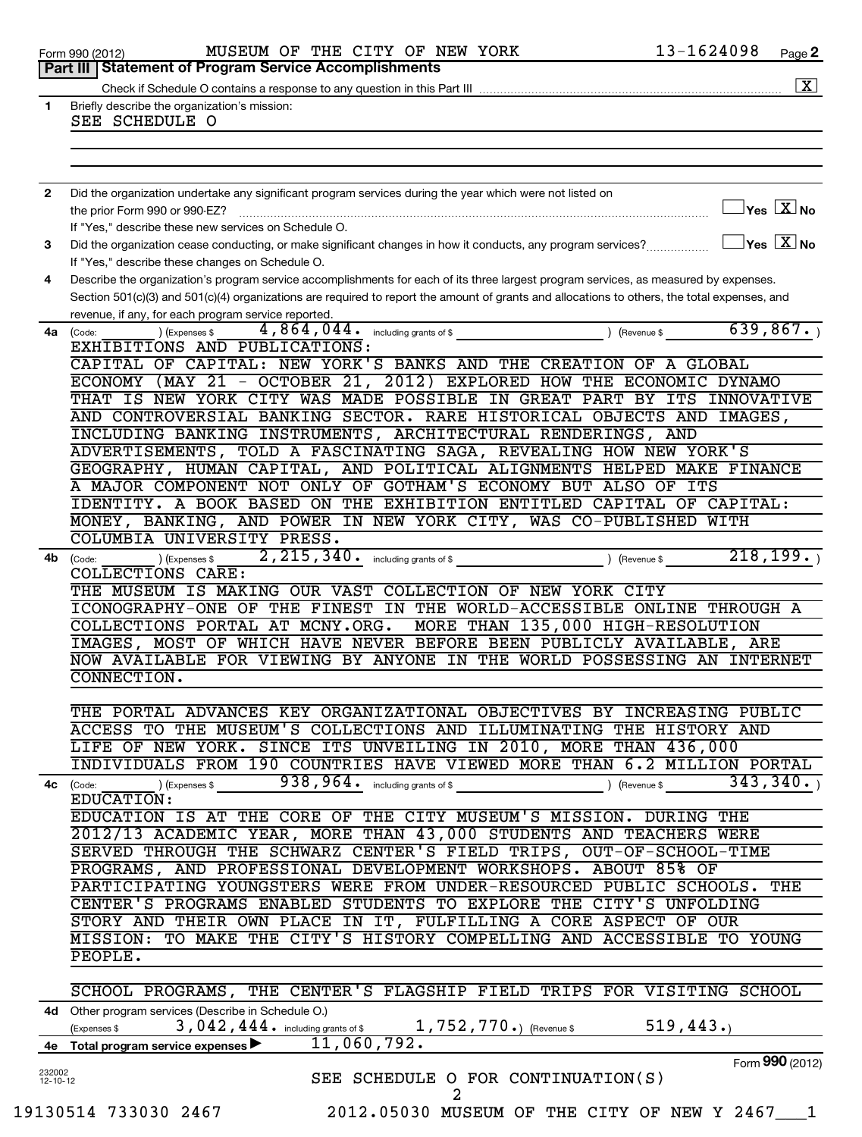|                                                                          | Part III   Statement of Program Service Accomplishments                                                                                      |                                         | Page 2               |
|--------------------------------------------------------------------------|----------------------------------------------------------------------------------------------------------------------------------------------|-----------------------------------------|----------------------|
|                                                                          |                                                                                                                                              |                                         | $\boxed{\textbf{X}}$ |
|                                                                          | Briefly describe the organization's mission:                                                                                                 |                                         |                      |
|                                                                          | SEE SCHEDULE O                                                                                                                               |                                         |                      |
|                                                                          |                                                                                                                                              |                                         |                      |
| Form 990 (2012)<br>1.<br>$\mathbf{2}$<br>3<br>4<br>4a<br>4b<br>4c (Code: |                                                                                                                                              |                                         |                      |
|                                                                          |                                                                                                                                              |                                         |                      |
|                                                                          | Did the organization undertake any significant program services during the year which were not listed on                                     |                                         |                      |
|                                                                          |                                                                                                                                              | $\Box$ Yes $[\overline{\mathrm{X}}]$ No |                      |
|                                                                          | If "Yes," describe these new services on Schedule O.                                                                                         |                                         |                      |
|                                                                          | Did the organization cease conducting, or make significant changes in how it conducts, any program services?                                 | $\Box$ Yes $[\overline{\mathrm{X}}]$ No |                      |
|                                                                          | If "Yes," describe these changes on Schedule O.                                                                                              |                                         |                      |
|                                                                          | Describe the organization's program service accomplishments for each of its three largest program services, as measured by expenses.         |                                         |                      |
|                                                                          | Section 501(c)(3) and 501(c)(4) organizations are required to report the amount of grants and allocations to others, the total expenses, and |                                         |                      |
|                                                                          | revenue, if any, for each program service reported.                                                                                          |                                         |                      |
|                                                                          | 4,864,044. including grants of \$ ) (Revenue \$<br>(Code:<br>(Expenses \$                                                                    | 639,867.                                |                      |
|                                                                          | EXHIBITIONS AND PUBLICATIONS:                                                                                                                |                                         |                      |
|                                                                          | CAPITAL OF CAPITAL: NEW YORK'S BANKS AND THE CREATION OF A GLOBAL                                                                            |                                         |                      |
|                                                                          | ECONOMY (MAY 21 - OCTOBER 21, 2012) EXPLORED HOW THE ECONOMIC DYNAMO                                                                         |                                         |                      |
|                                                                          | THAT IS NEW YORK CITY WAS MADE POSSIBLE IN GREAT PART BY ITS INNOVATIVE                                                                      |                                         |                      |
|                                                                          | AND CONTROVERSIAL BANKING SECTOR. RARE HISTORICAL OBJECTS AND IMAGES,                                                                        |                                         |                      |
|                                                                          | INCLUDING BANKING INSTRUMENTS, ARCHITECTURAL RENDERINGS, AND                                                                                 |                                         |                      |
|                                                                          | ADVERTISEMENTS, TOLD A FASCINATING SAGA, REVEALING HOW NEW YORK'S                                                                            |                                         |                      |
|                                                                          | GEOGRAPHY, HUMAN CAPITAL, AND POLITICAL ALIGNMENTS HELPED MAKE FINANCE                                                                       |                                         |                      |
|                                                                          | A MAJOR COMPONENT NOT ONLY OF GOTHAM'S ECONOMY BUT ALSO OF ITS                                                                               |                                         |                      |
|                                                                          | IDENTITY. A BOOK BASED ON THE EXHIBITION ENTITLED CAPITAL OF CAPITAL:                                                                        |                                         |                      |
|                                                                          | MONEY, BANKING, AND POWER IN NEW YORK CITY, WAS CO-PUBLISHED WITH                                                                            |                                         |                      |
|                                                                          | COLUMBIA UNIVERSITY PRESS.                                                                                                                   |                                         |                      |
|                                                                          | 2, 215, 340. including grants of \$<br>) (Revenue \$<br>) (Expenses \$<br>(Code:                                                             | 218, 199.                               |                      |
|                                                                          | COLLECTIONS CARE:                                                                                                                            |                                         |                      |
|                                                                          | THE MUSEUM IS MAKING OUR VAST COLLECTION OF NEW YORK CITY<br>ICONOGRAPHY-ONE OF THE FINEST IN THE WORLD-ACCESSIBLE ONLINE THROUGH A          |                                         |                      |
|                                                                          | COLLECTIONS PORTAL AT MCNY.ORG.<br>MORE THAN 135,000 HIGH-RESOLUTION                                                                         |                                         |                      |
|                                                                          | IMAGES, MOST OF WHICH HAVE NEVER BEFORE BEEN PUBLICLY AVAILABLE, ARE                                                                         |                                         |                      |
|                                                                          | NOW AVAILABLE FOR VIEWING BY ANYONE IN THE WORLD POSSESSING AN INTERNET                                                                      |                                         |                      |
|                                                                          | CONNECTION.                                                                                                                                  |                                         |                      |
|                                                                          |                                                                                                                                              |                                         |                      |
|                                                                          | THE PORTAL ADVANCES KEY ORGANIZATIONAL OBJECTIVES BY INCREASING PUBLIC                                                                       |                                         |                      |
|                                                                          | ACCESS TO THE MUSEUM'S COLLECTIONS AND ILLUMINATING THE HISTORY AND                                                                          |                                         |                      |
|                                                                          | LIFE OF NEW YORK. SINCE ITS UNVEILING IN 2010, MORE THAN 436,000                                                                             |                                         |                      |
|                                                                          | INDIVIDUALS FROM 190 COUNTRIES HAVE VIEWED MORE THAN 6.2 MILLION PORTAL                                                                      |                                         |                      |
|                                                                          | $938, 964$ . including grants of \$<br>) (Expenses \$<br>) (Revenue \$                                                                       | 343,340.                                |                      |
|                                                                          | EDUCATION:                                                                                                                                   |                                         |                      |
|                                                                          | EDUCATION IS AT THE CORE OF THE CITY MUSEUM'S MISSION. DURING THE                                                                            |                                         |                      |
|                                                                          | 2012/13 ACADEMIC YEAR, MORE THAN 43,000 STUDENTS AND TEACHERS WERE                                                                           |                                         |                      |
|                                                                          | SERVED THROUGH THE SCHWARZ CENTER'S FIELD TRIPS, OUT-OF-SCHOOL-TIME                                                                          |                                         |                      |
|                                                                          | PROGRAMS, AND PROFESSIONAL DEVELOPMENT WORKSHOPS. ABOUT 85% OF                                                                               |                                         |                      |
|                                                                          | PARTICIPATING YOUNGSTERS WERE FROM UNDER-RESOURCED PUBLIC SCHOOLS. THE                                                                       |                                         |                      |
|                                                                          | CENTER'S PROGRAMS ENABLED STUDENTS TO EXPLORE THE CITY'S UNFOLDING                                                                           |                                         |                      |
|                                                                          | STORY AND THEIR OWN PLACE IN IT, FULFILLING A CORE ASPECT OF OUR                                                                             |                                         |                      |
|                                                                          | MISSION: TO MAKE THE CITY'S HISTORY COMPELLING AND ACCESSIBLE TO YOUNG                                                                       |                                         |                      |
|                                                                          | PEOPLE.                                                                                                                                      |                                         |                      |
|                                                                          |                                                                                                                                              |                                         |                      |
|                                                                          | SCHOOL PROGRAMS, THE CENTER'S FLAGSHIP FIELD TRIPS FOR VISITING SCHOOL                                                                       |                                         |                      |
|                                                                          | 4d Other program services (Describe in Schedule O.)                                                                                          |                                         |                      |
|                                                                          | 3,042,444. including grants of \$<br>1,752,770.) (Revenue \$<br>(Expenses \$                                                                 | 519,443.                                |                      |
| 4е                                                                       | $\overline{11}$ , 060, 792.<br>Total program service expenses                                                                                |                                         |                      |
|                                                                          |                                                                                                                                              | Form 990 (2012)                         |                      |
| 232002<br>$12 - 10 - 12$                                                 | SEE SCHEDULE O FOR CONTINUATION(S)                                                                                                           |                                         |                      |
|                                                                          | 2                                                                                                                                            |                                         |                      |
|                                                                          | 19130514 733030 2467<br>2012.05030 MUSEUM OF THE CITY OF NEW Y 2467 1                                                                        |                                         |                      |
|                                                                          |                                                                                                                                              |                                         |                      |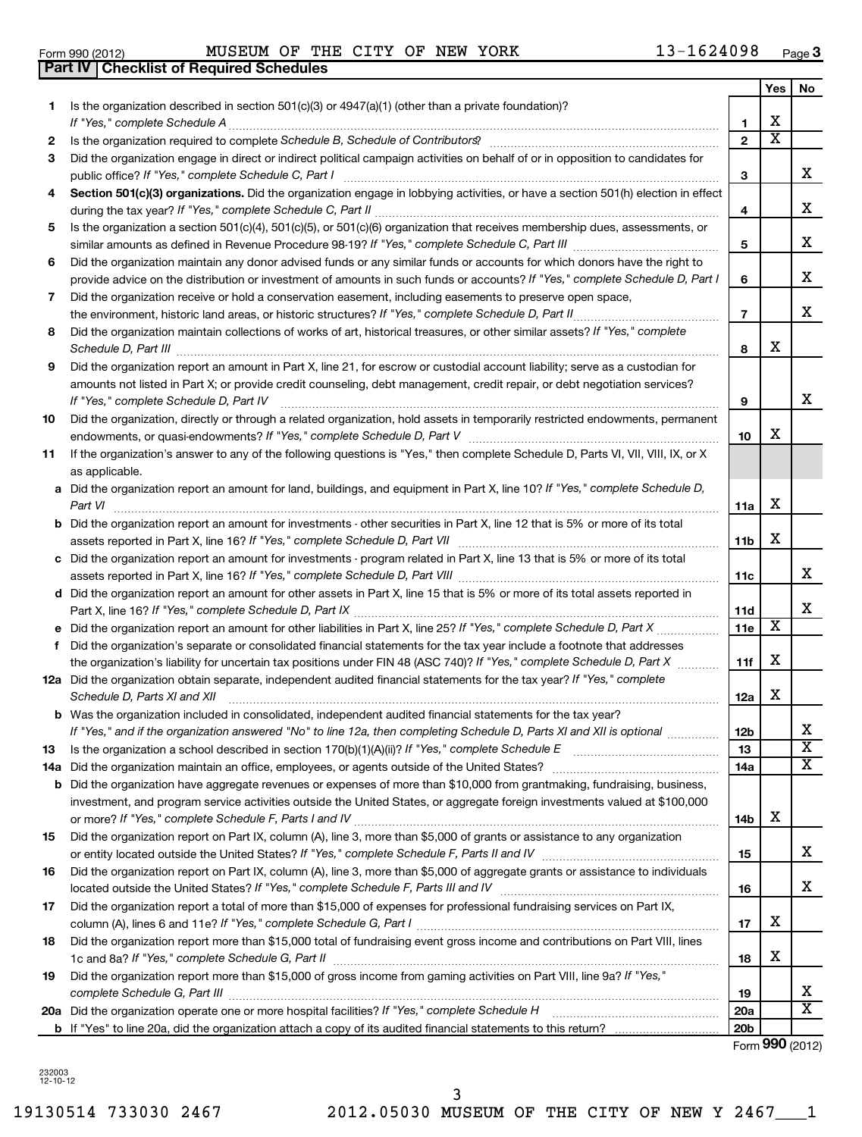|     |                                                                                                                                                                                         |                 | Yes                     | No                      |
|-----|-----------------------------------------------------------------------------------------------------------------------------------------------------------------------------------------|-----------------|-------------------------|-------------------------|
| 1.  | Is the organization described in section $501(c)(3)$ or $4947(a)(1)$ (other than a private foundation)?                                                                                 |                 |                         |                         |
|     | If "Yes," complete Schedule A                                                                                                                                                           | 1               | х                       |                         |
| 2   |                                                                                                                                                                                         | $\mathbf{2}$    | $\overline{\textbf{x}}$ |                         |
| 3   | Did the organization engage in direct or indirect political campaign activities on behalf of or in opposition to candidates for<br>public office? If "Yes," complete Schedule C, Part I | 3               |                         | x                       |
| 4   | Section 501(c)(3) organizations. Did the organization engage in lobbying activities, or have a section 501(h) election in effect                                                        |                 |                         |                         |
|     |                                                                                                                                                                                         | 4               |                         | х                       |
| 5   | Is the organization a section 501(c)(4), 501(c)(5), or 501(c)(6) organization that receives membership dues, assessments, or                                                            |                 |                         |                         |
|     |                                                                                                                                                                                         | 5               |                         | х                       |
| 6   | Did the organization maintain any donor advised funds or any similar funds or accounts for which donors have the right to                                                               |                 |                         |                         |
|     | provide advice on the distribution or investment of amounts in such funds or accounts? If "Yes," complete Schedule D, Part I                                                            | 6               |                         | х                       |
| 7   | Did the organization receive or hold a conservation easement, including easements to preserve open space,                                                                               |                 |                         |                         |
|     | the environment, historic land areas, or historic structures? If "Yes," complete Schedule D, Part II                                                                                    | $\overline{7}$  |                         | x                       |
| 8   | Did the organization maintain collections of works of art, historical treasures, or other similar assets? If "Yes," complete<br>Schedule D, Part III                                    | 8               | х                       |                         |
| 9   | Did the organization report an amount in Part X, line 21, for escrow or custodial account liability; serve as a custodian for                                                           |                 |                         |                         |
|     | amounts not listed in Part X; or provide credit counseling, debt management, credit repair, or debt negotiation services?<br>If "Yes," complete Schedule D, Part IV                     | 9               |                         | x                       |
| 10  | Did the organization, directly or through a related organization, hold assets in temporarily restricted endowments, permanent                                                           |                 |                         |                         |
|     |                                                                                                                                                                                         | 10              | х                       |                         |
| 11  | If the organization's answer to any of the following questions is "Yes," then complete Schedule D, Parts VI, VII, VIII, IX, or X<br>as applicable.                                      |                 |                         |                         |
|     | a Did the organization report an amount for land, buildings, and equipment in Part X, line 10? If "Yes," complete Schedule D,<br>Part VI                                                | 11a             | х                       |                         |
|     | <b>b</b> Did the organization report an amount for investments - other securities in Part X, line 12 that is 5% or more of its total                                                    |                 |                         |                         |
|     |                                                                                                                                                                                         | 11 <sub>b</sub> | х                       |                         |
|     | c Did the organization report an amount for investments - program related in Part X, line 13 that is 5% or more of its total                                                            |                 |                         |                         |
|     |                                                                                                                                                                                         | 11c             |                         | х                       |
|     | d Did the organization report an amount for other assets in Part X, line 15 that is 5% or more of its total assets reported in                                                          |                 |                         |                         |
|     |                                                                                                                                                                                         | 11d             |                         | х                       |
| е   |                                                                                                                                                                                         | 11e             | X                       |                         |
| f   | Did the organization's separate or consolidated financial statements for the tax year include a footnote that addresses                                                                 |                 |                         |                         |
|     | the organization's liability for uncertain tax positions under FIN 48 (ASC 740)? If "Yes," complete Schedule D, Part X                                                                  | 11f             | х                       |                         |
|     | 12a Did the organization obtain separate, independent audited financial statements for the tax year? If "Yes," complete<br>Schedule D, Parts XI and XII                                 | 12a             | х                       |                         |
|     | <b>b</b> Was the organization included in consolidated, independent audited financial statements for the tax year?                                                                      |                 |                         |                         |
|     | If "Yes," and if the organization answered "No" to line 12a, then completing Schedule D, Parts XI and XII is optional                                                                   | 12 <sub>b</sub> |                         | х                       |
| 13  |                                                                                                                                                                                         | 13              |                         | $\overline{\textbf{x}}$ |
| 14a |                                                                                                                                                                                         | <b>14a</b>      |                         | x                       |
|     | <b>b</b> Did the organization have aggregate revenues or expenses of more than \$10,000 from grantmaking, fundraising, business,                                                        |                 |                         |                         |
|     | investment, and program service activities outside the United States, or aggregate foreign investments valued at \$100,000                                                              | 14b             | х                       |                         |
| 15  | Did the organization report on Part IX, column (A), line 3, more than \$5,000 of grants or assistance to any organization                                                               |                 |                         |                         |
|     |                                                                                                                                                                                         | 15              |                         | x                       |
| 16  | Did the organization report on Part IX, column (A), line 3, more than \$5,000 of aggregate grants or assistance to individuals                                                          |                 |                         |                         |
|     |                                                                                                                                                                                         | 16              |                         | x                       |
| 17  | Did the organization report a total of more than \$15,000 of expenses for professional fundraising services on Part IX,                                                                 |                 |                         |                         |
|     |                                                                                                                                                                                         | 17              | x                       |                         |
| 18  | Did the organization report more than \$15,000 total of fundraising event gross income and contributions on Part VIII, lines                                                            |                 |                         |                         |
|     |                                                                                                                                                                                         | 18              | х                       |                         |
| 19  | Did the organization report more than \$15,000 of gross income from gaming activities on Part VIII, line 9a? If "Yes,"                                                                  |                 |                         |                         |
|     |                                                                                                                                                                                         | 19              |                         | х<br>X                  |
|     | 20a Did the organization operate one or more hospital facilities? If "Yes," complete Schedule H                                                                                         | 20a             |                         |                         |
|     |                                                                                                                                                                                         | 20 <sub>b</sub> |                         |                         |

Form (2012) **990**

232003 12-10-12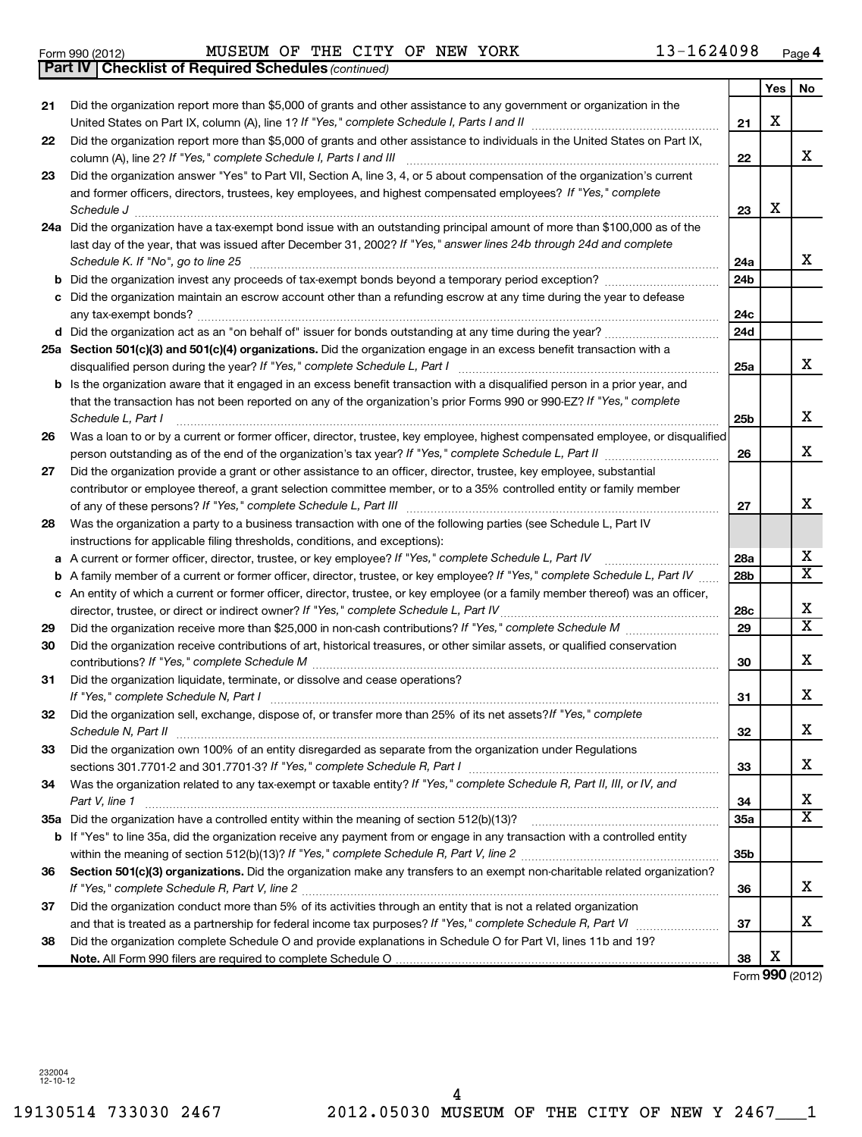19130514 733030 2467 2012.05030 MUSEUM OF THE CITY OF NEW Y 2467\_\_\_1 4

|    | 24a Did the organization have a tax-exempt bond issue with an outstanding principal amount of more than \$100,000 as of the                                                                                                                                                        |                 |   |                         |
|----|------------------------------------------------------------------------------------------------------------------------------------------------------------------------------------------------------------------------------------------------------------------------------------|-----------------|---|-------------------------|
|    | last day of the year, that was issued after December 31, 2002? If "Yes," answer lines 24b through 24d and complete                                                                                                                                                                 |                 |   |                         |
|    | Schedule K. If "No", go to line 25                                                                                                                                                                                                                                                 | 24a             |   | x.                      |
|    |                                                                                                                                                                                                                                                                                    | 24 <sub>b</sub> |   |                         |
|    | c Did the organization maintain an escrow account other than a refunding escrow at any time during the year to defease                                                                                                                                                             | 24 <sub>c</sub> |   |                         |
|    |                                                                                                                                                                                                                                                                                    | 24d             |   |                         |
|    | 25a Section 501(c)(3) and 501(c)(4) organizations. Did the organization engage in an excess benefit transaction with a                                                                                                                                                             | 25a             |   | x                       |
|    | <b>b</b> Is the organization aware that it engaged in an excess benefit transaction with a disqualified person in a prior year, and<br>that the transaction has not been reported on any of the organization's prior Forms 990 or 990-EZ? If "Yes," complete<br>Schedule L, Part I | 25b             |   | x                       |
| 26 | Was a loan to or by a current or former officer, director, trustee, key employee, highest compensated employee, or disqualified                                                                                                                                                    | 26              |   | x                       |
| 27 | Did the organization provide a grant or other assistance to an officer, director, trustee, key employee, substantial<br>contributor or employee thereof, a grant selection committee member, or to a 35% controlled entity or family member                                        | 27              |   | х                       |
| 28 | Was the organization a party to a business transaction with one of the following parties (see Schedule L, Part IV<br>instructions for applicable filing thresholds, conditions, and exceptions):                                                                                   |                 |   |                         |
|    | a A current or former officer, director, trustee, or key employee? If "Yes," complete Schedule L, Part IV                                                                                                                                                                          | 28a             |   | x.                      |
|    | <b>b</b> A family member of a current or former officer, director, trustee, or key employee? If "Yes," complete Schedule L, Part IV                                                                                                                                                | 28 <sub>b</sub> |   | $\overline{\texttt{x}}$ |
|    | c An entity of which a current or former officer, director, trustee, or key employee (or a family member thereof) was an officer,                                                                                                                                                  | 28c             |   | X                       |
| 29 |                                                                                                                                                                                                                                                                                    | 29              |   | $\overline{\textbf{x}}$ |
| 30 | Did the organization receive contributions of art, historical treasures, or other similar assets, or qualified conservation                                                                                                                                                        | 30              |   | X                       |
| 31 | Did the organization liquidate, terminate, or dissolve and cease operations?                                                                                                                                                                                                       | 31              |   | X                       |
| 32 | Did the organization sell, exchange, dispose of, or transfer more than 25% of its net assets? If "Yes," complete                                                                                                                                                                   | 32              |   | X                       |
| 33 | Did the organization own 100% of an entity disregarded as separate from the organization under Regulations                                                                                                                                                                         | 33              |   | X                       |
| 34 | Was the organization related to any tax-exempt or taxable entity? If "Yes," complete Schedule R, Part II, III, or IV, and<br>Part V, line 1                                                                                                                                        | 34              |   | X                       |
|    |                                                                                                                                                                                                                                                                                    | 35a             |   | $\overline{\textbf{x}}$ |
|    | <b>b</b> If "Yes" to line 35a, did the organization receive any payment from or engage in any transaction with a controlled entity                                                                                                                                                 |                 |   |                         |
|    |                                                                                                                                                                                                                                                                                    | 35 <sub>b</sub> |   |                         |
| 36 | Section 501(c)(3) organizations. Did the organization make any transfers to an exempt non-charitable related organization?                                                                                                                                                         | 36              |   | x                       |
| 37 | Did the organization conduct more than 5% of its activities through an entity that is not a related organization                                                                                                                                                                   |                 |   |                         |
|    |                                                                                                                                                                                                                                                                                    | 37              |   | X                       |
| 38 | Did the organization complete Schedule O and provide explanations in Schedule O for Part VI, lines 11b and 19?                                                                                                                                                                     |                 |   |                         |
|    |                                                                                                                                                                                                                                                                                    | 38              | x |                         |

# *(continued)* **Part IV Checklist of Required Schedules** Form 990 (2012) Page MUSEUM OF THE CITY OF NEW YORK 13-1624098

**23** Did the organization answer "Yes" to Part VII, Section A, line 3, 4, or 5 about compensation of the organization's current

and former officers, directors, trustees, key employees, and highest compensated employees? If "Yes," complete

United States on Part IX, column (A), line 1? If "Yes," complete Schedule I, Parts I and II manual component compo

Did the organization report more than \$5,000 of grants and other assistance to individuals in the United States on Part IX,

*If "Yes," complete Schedule I, Parts I and III* column (A), line 2? ~~~~~~~~~~~~~~~~~~~~~~~~~~~~~~

*Schedule J* ~~~~~~~~~~~~~~~~~~~~~~~~~~~~~~~~~~~~~~~~~~~~~~~~~~~~~~~~

**Yes No** Did the organization report more than \$5,000 of grants and other assistance to any government or organization in the

**21**

X

X

X

**22**

**23**

Form (2012) **990**

|--|

**21**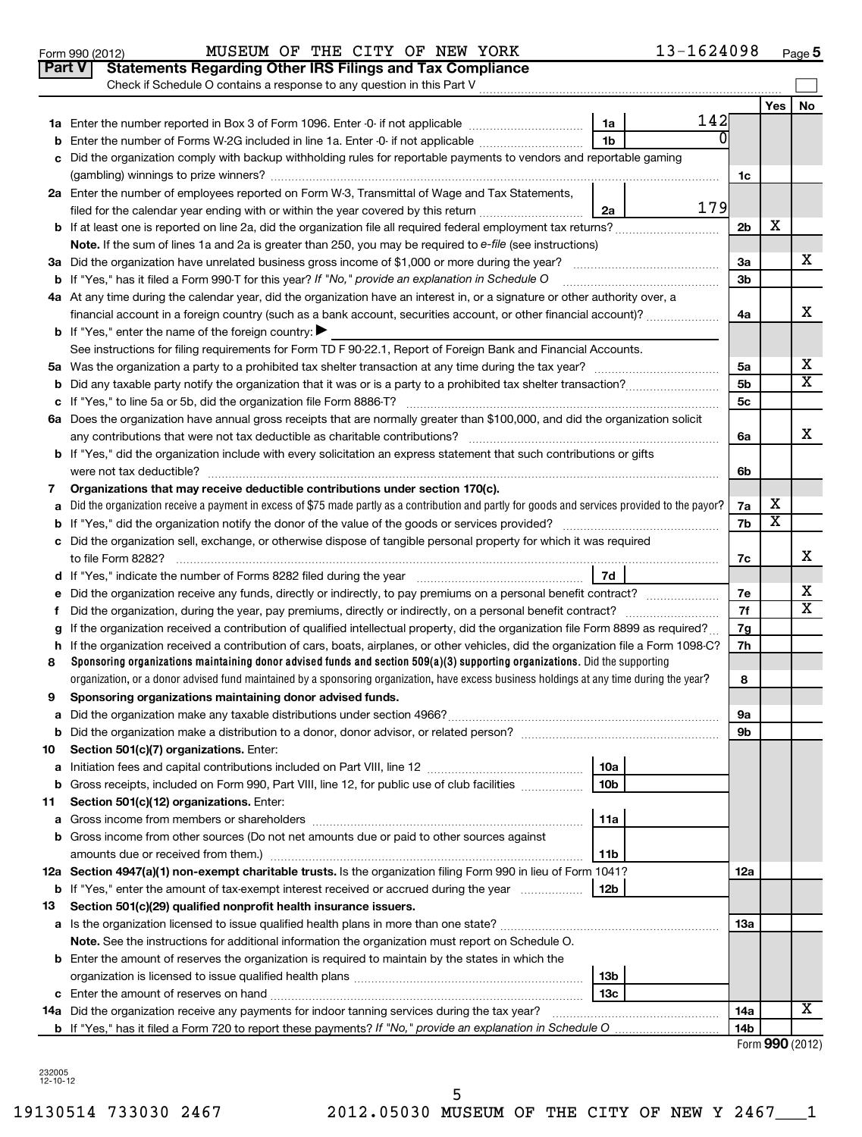|        | <b>Part V</b><br><b>Statements Regarding Other IRS Filings and Tax Compliance</b>                                                               |                      |     |                       |  |  |  |  |
|--------|-------------------------------------------------------------------------------------------------------------------------------------------------|----------------------|-----|-----------------------|--|--|--|--|
|        | Check if Schedule O contains a response to any question in this Part V                                                                          |                      |     |                       |  |  |  |  |
|        |                                                                                                                                                 |                      | Yes | No                    |  |  |  |  |
|        | 142<br>1a<br><sup>0</sup>                                                                                                                       |                      |     |                       |  |  |  |  |
| b      | 1 <sub>b</sub><br>Enter the number of Forms W-2G included in line 1a. Enter -0- if not applicable                                               |                      |     |                       |  |  |  |  |
|        | Did the organization comply with backup withholding rules for reportable payments to vendors and reportable gaming                              |                      |     |                       |  |  |  |  |
|        |                                                                                                                                                 | 1c                   |     |                       |  |  |  |  |
|        | 2a Enter the number of employees reported on Form W-3, Transmittal of Wage and Tax Statements,<br>179                                           |                      |     |                       |  |  |  |  |
|        | 2a<br>filed for the calendar year ending with or within the year covered by this return <i>[[[[[[[[[[[[[[[]]]]</i> ]]                           |                      | х   |                       |  |  |  |  |
|        | b If at least one is reported on line 2a, did the organization file all required federal employment tax returns?                                | 2b                   |     |                       |  |  |  |  |
|        | Note. If the sum of lines 1a and 2a is greater than 250, you may be required to e-file (see instructions)                                       |                      |     | х                     |  |  |  |  |
|        | <b>b</b> If "Yes," has it filed a Form 990-T for this year? If "No," provide an explanation in Schedule O                                       | За<br>3 <sub>b</sub> |     |                       |  |  |  |  |
|        | 4a At any time during the calendar year, did the organization have an interest in, or a signature or other authority over, a                    |                      |     |                       |  |  |  |  |
|        | financial account in a foreign country (such as a bank account, securities account, or other financial account)?                                | 4a                   |     | х                     |  |  |  |  |
|        | <b>b</b> If "Yes," enter the name of the foreign country:                                                                                       |                      |     |                       |  |  |  |  |
|        | See instructions for filing requirements for Form TD F 90-22.1, Report of Foreign Bank and Financial Accounts.                                  |                      |     |                       |  |  |  |  |
|        |                                                                                                                                                 | 5a                   |     | х                     |  |  |  |  |
| b      |                                                                                                                                                 | 5 <sub>b</sub>       |     | $\overline{\text{x}}$ |  |  |  |  |
|        |                                                                                                                                                 | 5c                   |     |                       |  |  |  |  |
|        | 6a Does the organization have annual gross receipts that are normally greater than \$100,000, and did the organization solicit                  |                      |     |                       |  |  |  |  |
|        |                                                                                                                                                 |                      |     |                       |  |  |  |  |
|        | <b>b</b> If "Yes," did the organization include with every solicitation an express statement that such contributions or gifts                   |                      |     |                       |  |  |  |  |
|        |                                                                                                                                                 | 6b                   |     |                       |  |  |  |  |
| 7      | Organizations that may receive deductible contributions under section 170(c).                                                                   |                      |     |                       |  |  |  |  |
| a      | Did the organization receive a payment in excess of \$75 made partly as a contribution and partly for goods and services provided to the payor? | 7a                   | х   |                       |  |  |  |  |
|        |                                                                                                                                                 |                      |     |                       |  |  |  |  |
|        | c Did the organization sell, exchange, or otherwise dispose of tangible personal property for which it was required                             |                      |     |                       |  |  |  |  |
|        |                                                                                                                                                 | 7с                   |     | х                     |  |  |  |  |
|        | 7d                                                                                                                                              |                      |     |                       |  |  |  |  |
| е      |                                                                                                                                                 | 7е                   |     | х                     |  |  |  |  |
|        |                                                                                                                                                 | 7f                   |     | X                     |  |  |  |  |
| a      | If the organization received a contribution of qualified intellectual property, did the organization file Form 8899 as required?                | 7g                   |     |                       |  |  |  |  |
| h.     | If the organization received a contribution of cars, boats, airplanes, or other vehicles, did the organization file a Form 1098-C?              | 7h                   |     |                       |  |  |  |  |
| 8      | Sponsoring organizations maintaining donor advised funds and section $509(a)(3)$ supporting organizations. Did the supporting                   |                      |     |                       |  |  |  |  |
|        | organization, or a donor advised fund maintained by a sponsoring organization, have excess business holdings at any time during the year?       | 8                    |     |                       |  |  |  |  |
| 9      | Sponsoring organizations maintaining donor advised funds.                                                                                       |                      |     |                       |  |  |  |  |
|        |                                                                                                                                                 | 9а                   |     |                       |  |  |  |  |
|        | Section 501(c)(7) organizations. Enter:                                                                                                         | 9b                   |     |                       |  |  |  |  |
| 10     | 10a                                                                                                                                             |                      |     |                       |  |  |  |  |
| а<br>b | 10 <sub>b</sub><br>Gross receipts, included on Form 990, Part VIII, line 12, for public use of club facilities                                  |                      |     |                       |  |  |  |  |
| 11     | Section 501(c)(12) organizations. Enter:                                                                                                        |                      |     |                       |  |  |  |  |
| а      | 11a                                                                                                                                             |                      |     |                       |  |  |  |  |
|        | <b>b</b> Gross income from other sources (Do not net amounts due or paid to other sources against                                               |                      |     |                       |  |  |  |  |
|        | 11b                                                                                                                                             |                      |     |                       |  |  |  |  |
|        | 12a Section 4947(a)(1) non-exempt charitable trusts. Is the organization filing Form 990 in lieu of Form 1041?                                  | 12a                  |     |                       |  |  |  |  |
|        | <b>b</b> If "Yes," enter the amount of tax-exempt interest received or accrued during the year<br>12b                                           |                      |     |                       |  |  |  |  |
| 13     | Section 501(c)(29) qualified nonprofit health insurance issuers.                                                                                |                      |     |                       |  |  |  |  |
|        | a Is the organization licensed to issue qualified health plans in more than one state?                                                          | 13a                  |     |                       |  |  |  |  |
|        | Note. See the instructions for additional information the organization must report on Schedule O.                                               |                      |     |                       |  |  |  |  |
|        | <b>b</b> Enter the amount of reserves the organization is required to maintain by the states in which the                                       |                      |     |                       |  |  |  |  |
|        | 13 <sub>b</sub>                                                                                                                                 |                      |     |                       |  |  |  |  |
|        | 13 <sub>c</sub>                                                                                                                                 |                      |     |                       |  |  |  |  |
|        | 14a Did the organization receive any payments for indoor tanning services during the tax year?                                                  | 14a                  |     | x                     |  |  |  |  |
|        |                                                                                                                                                 | 14b                  |     |                       |  |  |  |  |

|  |  | Form 990 (2012) |
|--|--|-----------------|
|--|--|-----------------|

232005 12-10-12

**5**

|  | Form 990 (2012) |
|--|-----------------|
|  |                 |

#### Form 990 (2012) MUSEUM OF THE CITY OF NEW YORK 1.3-1.6.2.4.09.8 Page MUSEUM OF THE CITY OF NEW YORK 13-1624098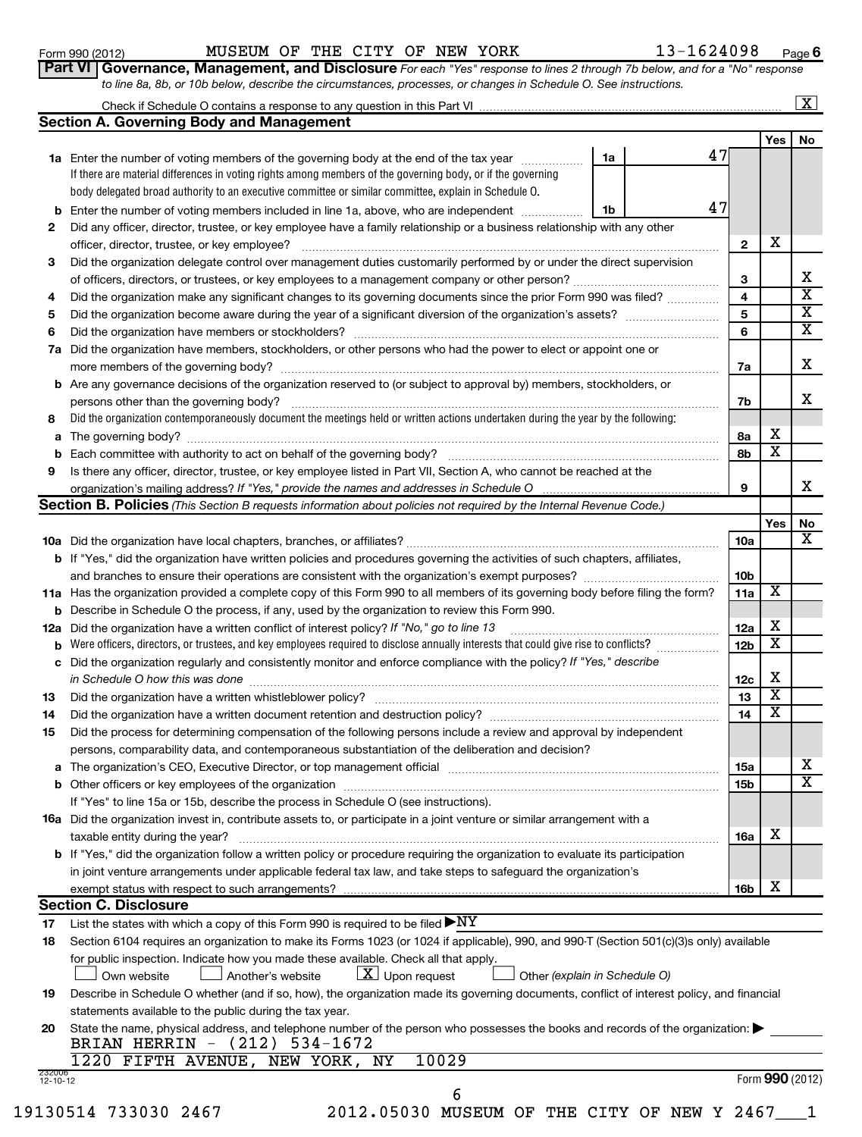13-1624098 Page 6

| <b>VI   Governance, Management, and Disclosure</b> For each "Yes" response to lines 2 through 7b below, and for a "No" response |  |  |  |  |  |  |
|---------------------------------------------------------------------------------------------------------------------------------|--|--|--|--|--|--|
| to line 8a, 8b, or 10b below, describe the circumstances, processes, or changes in Schedule O. See instructions.                |  |  |  |  |  |  |

| Check if Schedule O contains a response to any question in this Part VI |  |  |
|-------------------------------------------------------------------------|--|--|
|                                                                         |  |  |

 $\lfloor x \rfloor$ 

|                | <b>Section A. Governing Body and Management</b>                                                                                              |    |    |                 |                         |                         |
|----------------|----------------------------------------------------------------------------------------------------------------------------------------------|----|----|-----------------|-------------------------|-------------------------|
|                |                                                                                                                                              |    |    |                 | Yes                     | No                      |
|                | 1a Enter the number of voting members of the governing body at the end of the tax year                                                       | 1a | 47 |                 |                         |                         |
|                | If there are material differences in voting rights among members of the governing body, or if the governing                                  |    |    |                 |                         |                         |
|                | body delegated broad authority to an executive committee or similar committee, explain in Schedule O.                                        |    |    |                 |                         |                         |
| b              | Enter the number of voting members included in line 1a, above, who are independent                                                           | 1b | 47 |                 |                         |                         |
| 2              | Did any officer, director, trustee, or key employee have a family relationship or a business relationship with any other                     |    |    |                 |                         |                         |
|                |                                                                                                                                              |    |    | $\mathbf{2}$    | х                       |                         |
| 3              | Did the organization delegate control over management duties customarily performed by or under the direct supervision                        |    |    |                 |                         |                         |
|                | of officers, directors, or trustees, or key employees to a management company or other person?                                               |    |    | З               |                         | х                       |
| 4              | Did the organization make any significant changes to its governing documents since the prior Form 990 was filed?                             |    |    | 4               |                         | $\overline{\text{x}}$   |
| 5              |                                                                                                                                              |    |    | 5               |                         | $\overline{\mathbf{x}}$ |
| 6              |                                                                                                                                              |    |    | 6               |                         | $\overline{\mathbf{x}}$ |
|                | 7a Did the organization have members, stockholders, or other persons who had the power to elect or appoint one or                            |    |    |                 |                         |                         |
|                |                                                                                                                                              |    |    | 7a              |                         | х                       |
|                | <b>b</b> Are any governance decisions of the organization reserved to (or subject to approval by) members, stockholders, or                  |    |    |                 |                         |                         |
|                | persons other than the governing body?                                                                                                       |    |    | 7b              |                         | х                       |
| 8              | Did the organization contemporaneously document the meetings held or written actions undertaken during the year by the following:            |    |    |                 |                         |                         |
|                |                                                                                                                                              |    |    | 8a              | х                       |                         |
| b              |                                                                                                                                              |    |    | 8b              | X                       |                         |
| 9              | Is there any officer, director, trustee, or key employee listed in Part VII, Section A, who cannot be reached at the                         |    |    |                 |                         |                         |
|                | organization's mailing address? If "Yes," provide the names and addresses in Schedule O                                                      |    |    | 9               |                         | x                       |
|                | <b>Section B. Policies</b> (This Section B requests information about policies not required by the Internal Revenue Code.)                   |    |    |                 |                         |                         |
|                |                                                                                                                                              |    |    |                 | Yes                     | No                      |
|                |                                                                                                                                              |    |    | 10a             |                         | x                       |
|                | <b>b</b> If "Yes," did the organization have written policies and procedures governing the activities of such chapters, affiliates,          |    |    |                 |                         |                         |
|                |                                                                                                                                              |    |    | 10b             |                         |                         |
|                | 11a Has the organization provided a complete copy of this Form 990 to all members of its governing body before filing the form?              |    |    | 11a             | х                       |                         |
|                | <b>b</b> Describe in Schedule O the process, if any, used by the organization to review this Form 990.                                       |    |    |                 |                         |                         |
|                | 12a Did the organization have a written conflict of interest policy? If "No," go to line 13                                                  |    |    | 12a             | х                       |                         |
|                | <b>b</b> Were officers, directors, or trustees, and key employees required to disclose annually interests that could give rise to conflicts? |    |    | 12 <sub>b</sub> | $\overline{\textbf{x}}$ |                         |
| c              | Did the organization regularly and consistently monitor and enforce compliance with the policy? If "Yes," describe                           |    |    |                 |                         |                         |
|                |                                                                                                                                              |    |    | 12c             | х                       |                         |
| 13             |                                                                                                                                              |    |    | 13              | $\overline{\textbf{x}}$ |                         |
| 14             |                                                                                                                                              |    |    | 14              | $\overline{\textbf{x}}$ |                         |
| 15             | Did the process for determining compensation of the following persons include a review and approval by independent                           |    |    |                 |                         |                         |
|                | persons, comparability data, and contemporaneous substantiation of the deliberation and decision?                                            |    |    |                 |                         |                         |
|                |                                                                                                                                              |    |    | 15a             |                         | x                       |
|                |                                                                                                                                              |    |    | 15b             |                         | $\overline{\text{x}}$   |
|                | If "Yes" to line 15a or 15b, describe the process in Schedule O (see instructions).                                                          |    |    |                 |                         |                         |
|                | 16a Did the organization invest in, contribute assets to, or participate in a joint venture or similar arrangement with a                    |    |    |                 |                         |                         |
|                | taxable entity during the year?                                                                                                              |    |    | 16a             | х                       |                         |
|                | <b>b</b> If "Yes," did the organization follow a written policy or procedure requiring the organization to evaluate its participation        |    |    |                 |                         |                         |
|                | in joint venture arrangements under applicable federal tax law, and take steps to safeguard the organization's                               |    |    |                 |                         |                         |
|                | exempt status with respect to such arrangements?                                                                                             |    |    | 16b             | х                       |                         |
|                | <b>Section C. Disclosure</b>                                                                                                                 |    |    |                 |                         |                         |
| 17             | List the states with which a copy of this Form 990 is required to be filed $\blacktriangleright\text{NY}$                                    |    |    |                 |                         |                         |
| 18             | Section 6104 requires an organization to make its Forms 1023 (or 1024 if applicable), 990, and 990-T (Section 501(c)(3)s only) available     |    |    |                 |                         |                         |
|                | for public inspection. Indicate how you made these available. Check all that apply.                                                          |    |    |                 |                         |                         |
|                | $\lfloor x \rfloor$ Upon request<br>Other (explain in Schedule O)<br>Own website<br>Another's website                                        |    |    |                 |                         |                         |
| 19             | Describe in Schedule O whether (and if so, how), the organization made its governing documents, conflict of interest policy, and financial   |    |    |                 |                         |                         |
|                | statements available to the public during the tax year.                                                                                      |    |    |                 |                         |                         |
| 20             | State the name, physical address, and telephone number of the person who possesses the books and records of the organization:                |    |    |                 |                         |                         |
|                | BRIAN HERRIN - (212) 534-1672<br>10029<br>1220 FIFTH AVENUE, NEW YORK, NY                                                                    |    |    |                 |                         |                         |
| 232006         |                                                                                                                                              |    |    |                 |                         | Form 990 (2012)         |
| $12 - 10 - 12$ | 6                                                                                                                                            |    |    |                 |                         |                         |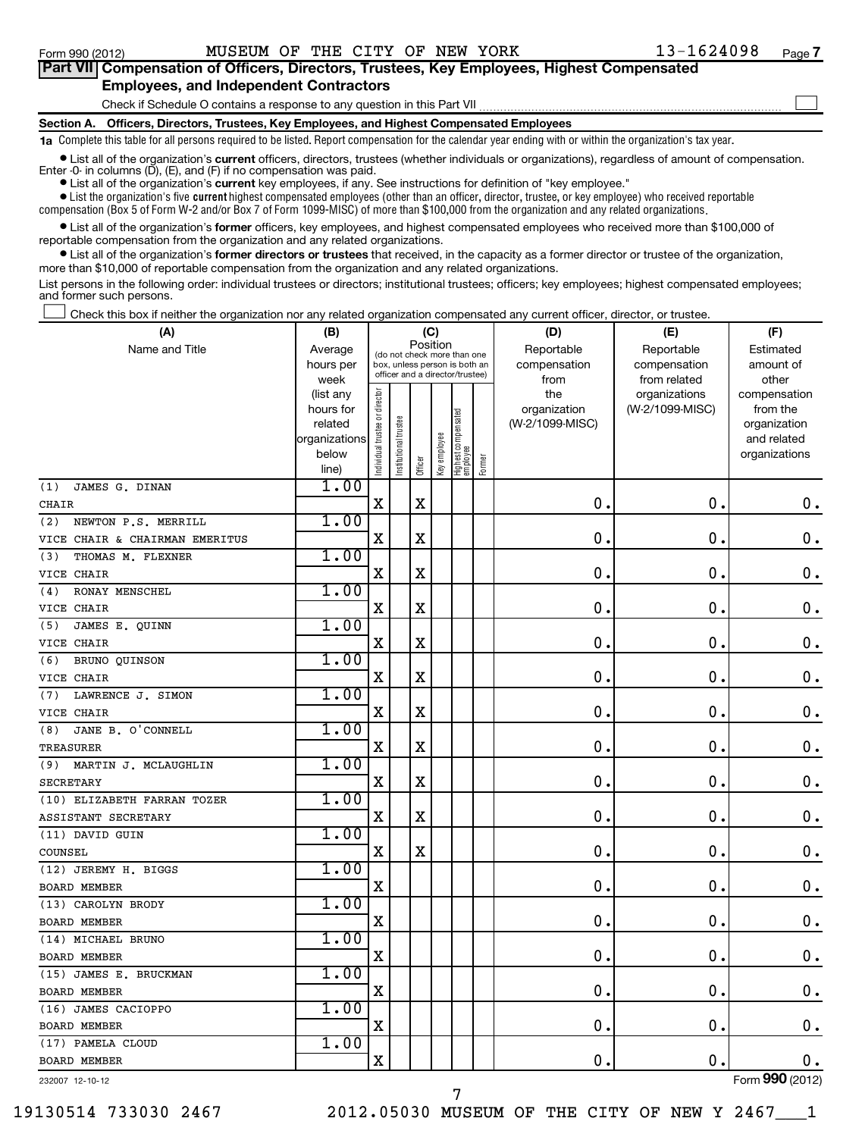### **Section A. Officers, Directors, Trustees, Key Employees, and Highest Compensated Employees 1a**  Complete this table for all persons required to be listed. Report compensation for the calendar year ending with or within the organization's tax year. **•** List all of the organization's current officers, directors, trustees (whether individuals or organizations), regardless of amount of compensation. Check if Schedule O contains a response to any question in this Part VII **Part VII Compensation of Officers, Directors, Trustees, Key Employees, Highest Compensated Employees, and Independent Contractors**  $\sim$

**•** List all of the organization's **current** key employees, if any. See instructions for definition of "key employee." Enter -0- in columns  $(D)$ ,  $(E)$ , and  $(F)$  if no compensation was paid.

 $\bullet$  List the organization's five  $\tt current$  highest compensated employees (other than an officer, director, trustee, or key employee) who received reportable compensation (Box 5 of Form W-2 and/or Box 7 of Form 1099-MISC) of more than \$100,000 from the organization and any related organizations .

 $\bullet$  List all of the organization's former officers, key employees, and highest compensated employees who received more than \$100,000 of reportable compensation from the organization and any related organizations.

**•** List all of the organization's former directors or trustees that received, in the capacity as a former director or trustee of the organization, more than \$10,000 of reportable compensation from the organization and any related organizations.

List persons in the following order: individual trustees or directors; institutional trustees; officers; key employees; highest compensated employees; and former such persons.

Check this box if neither the organization nor any related organization compensated any current officer, director, or trustee.  $\pm$ 

| (A)                            | (B)                    | (C)                 |                                                                  |             |              |                                 |        | (D)                 | (E)                              | (F)                      |
|--------------------------------|------------------------|---------------------|------------------------------------------------------------------|-------------|--------------|---------------------------------|--------|---------------------|----------------------------------|--------------------------|
| Name and Title                 | Average                |                     | (do not check more than one                                      |             | Position     |                                 |        | Reportable          | Reportable                       | Estimated                |
|                                | hours per              |                     | box, unless person is both an<br>officer and a director/trustee) |             |              |                                 |        | compensation        | compensation                     | amount of                |
|                                | week                   |                     |                                                                  |             |              |                                 |        | from                | from related                     | other                    |
|                                | (list any<br>hours for | trustee or director |                                                                  |             |              |                                 |        | the<br>organization | organizations<br>(W-2/1099-MISC) | compensation<br>from the |
|                                | related                |                     |                                                                  |             |              |                                 |        | (W-2/1099-MISC)     |                                  | organization             |
|                                | organizations          |                     | nstitutional trustee                                             |             |              |                                 |        |                     |                                  | and related              |
|                                | below                  | Individual t        |                                                                  |             | Key employee |                                 |        |                     |                                  | organizations            |
|                                | line)                  |                     |                                                                  | Officer     |              | Highest compensated<br>employee | Former |                     |                                  |                          |
| JAMES G. DINAN<br>(1)          | 1.00                   |                     |                                                                  |             |              |                                 |        |                     |                                  |                          |
| <b>CHAIR</b>                   |                        | X                   |                                                                  | $\mathbf X$ |              |                                 |        | $\mathbf 0$ .       | $\mathbf 0$                      | $\mathbf 0$ .            |
| (2)<br>NEWTON P.S. MERRILL     | 1.00                   |                     |                                                                  |             |              |                                 |        |                     |                                  |                          |
| VICE CHAIR & CHAIRMAN EMERITUS |                        | $\mathbf X$         |                                                                  | $\mathbf X$ |              |                                 |        | 0                   | $\mathbf 0$                      | $0$ .                    |
| (3)<br>THOMAS M. FLEXNER       | 1.00                   |                     |                                                                  |             |              |                                 |        |                     |                                  |                          |
| VICE CHAIR                     |                        | X                   |                                                                  | X           |              |                                 |        | $\mathbf 0$ .       | 0                                | $\mathbf 0$ .            |
| (4)<br>RONAY MENSCHEL          | 1.00                   |                     |                                                                  |             |              |                                 |        |                     |                                  |                          |
| VICE CHAIR                     |                        | X                   |                                                                  | $\mathbf X$ |              |                                 |        | $\mathbf 0$         | $\mathbf 0$                      | $\mathbf 0$ .            |
| (5)<br>JAMES E. QUINN          | 1.00                   |                     |                                                                  |             |              |                                 |        |                     |                                  |                          |
| VICE CHAIR                     |                        | $\mathbf X$         |                                                                  | X           |              |                                 |        | 0                   | $\mathbf 0$                      | $0$ .                    |
| BRUNO QUINSON<br>(6)           | 1.00                   |                     |                                                                  |             |              |                                 |        |                     |                                  |                          |
| VICE CHAIR                     |                        | $\mathbf X$         |                                                                  | $\mathbf X$ |              |                                 |        | $\mathbf 0$ .       | $\mathbf 0$                      | $\mathbf 0$ .            |
| LAWRENCE J. SIMON<br>(7)       | 1.00                   |                     |                                                                  |             |              |                                 |        |                     |                                  |                          |
| VICE CHAIR                     |                        | $\mathbf X$         |                                                                  | $\mathbf X$ |              |                                 |        | $\mathbf 0$ .       | $\mathbf 0$                      | $\mathbf 0$ .            |
| JANE B. O'CONNELL<br>(8)       | 1.00                   |                     |                                                                  |             |              |                                 |        |                     |                                  |                          |
| TREASURER                      |                        | $\mathbf X$         |                                                                  | X           |              |                                 |        | $\mathbf 0$         | 0                                | $\mathbf 0$ .            |
| (9)<br>MARTIN J. MCLAUGHLIN    | 1.00                   |                     |                                                                  |             |              |                                 |        |                     |                                  |                          |
| <b>SECRETARY</b>               |                        | $\mathbf X$         |                                                                  | $\mathbf X$ |              |                                 |        | 0                   | $\mathbf 0$                      | $\mathbf 0$ .            |
| (10) ELIZABETH FARRAN TOZER    | 1.00                   |                     |                                                                  |             |              |                                 |        |                     |                                  |                          |
| ASSISTANT SECRETARY            |                        | X                   |                                                                  | $\mathbf X$ |              |                                 |        | 0.                  | $\mathbf 0$                      | $\mathbf 0$ .            |
| (11) DAVID GUIN                | 1.00                   |                     |                                                                  |             |              |                                 |        |                     |                                  |                          |
| COUNSEL                        |                        | X                   |                                                                  | $\rm X$     |              |                                 |        | $\mathbf 0$ .       | $\mathbf 0$                      | $\mathbf 0$ .            |
| (12) JEREMY H. BIGGS           | 1.00                   |                     |                                                                  |             |              |                                 |        |                     |                                  |                          |
| <b>BOARD MEMBER</b>            |                        | X                   |                                                                  |             |              |                                 |        | $\mathbf 0$ .       | 0                                | $\mathbf 0$ .            |
| (13) CAROLYN BRODY             | 1.00                   |                     |                                                                  |             |              |                                 |        |                     |                                  |                          |
| <b>BOARD MEMBER</b>            |                        | $\mathbf X$         |                                                                  |             |              |                                 |        | $\mathbf 0$         | 0                                | $\mathbf 0$ .            |
| (14) MICHAEL BRUNO             | 1.00                   |                     |                                                                  |             |              |                                 |        |                     |                                  |                          |
| <b>BOARD MEMBER</b>            |                        | X                   |                                                                  |             |              |                                 |        | $\mathbf 0$ .       | 0                                | $\mathbf 0$ .            |
| (15) JAMES E. BRUCKMAN         | 1.00                   |                     |                                                                  |             |              |                                 |        |                     |                                  |                          |
| <b>BOARD MEMBER</b>            |                        | $\mathbf X$         |                                                                  |             |              |                                 |        | $\mathbf 0$         | 0                                | $\mathbf 0$ .            |
| (16) JAMES CACIOPPO            | 1.00                   |                     |                                                                  |             |              |                                 |        |                     |                                  |                          |
| <b>BOARD MEMBER</b>            |                        | $\mathbf X$         |                                                                  |             |              |                                 |        | $\mathbf 0$ .       | $\mathbf 0$                      | 0.                       |
| (17) PAMELA CLOUD              | 1.00                   |                     |                                                                  |             |              |                                 |        |                     |                                  |                          |
| <b>BOARD MEMBER</b>            |                        | X                   |                                                                  |             |              |                                 |        | 0                   | $\mathbf 0$                      | 0.                       |
| 232007 12-10-12                |                        |                     |                                                                  |             |              |                                 |        |                     |                                  | Form 990 (2012)          |

7

19130514 733030 2467 2012.05030 MUSEUM OF THE CITY OF NEW Y 2467\_\_\_1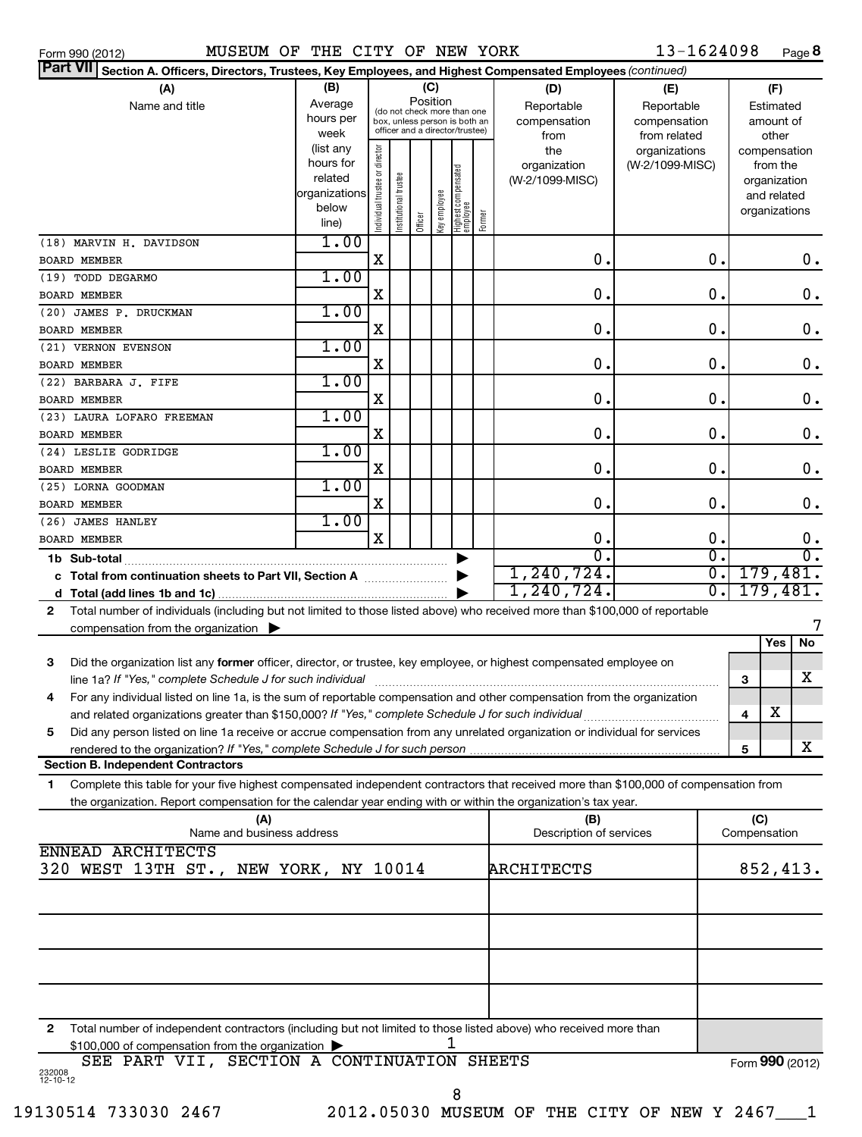Form 990 (2012) MUSEUM OF THE CITY OF NEW YORK 13-1624098 Page MUSEUM OF THE CITY OF NEW YORK 13-1624098

| Part VII Section A. Officers, Directors, Trustees, Key Employees, and Highest Compensated Employees (continued)                                                          |                      |                                |                       |         |              |                                  |        |                                |                 |               |                     |                              |               |
|--------------------------------------------------------------------------------------------------------------------------------------------------------------------------|----------------------|--------------------------------|-----------------------|---------|--------------|----------------------------------|--------|--------------------------------|-----------------|---------------|---------------------|------------------------------|---------------|
| (B)<br>(C)<br>(A)<br>(D)<br>(E)                                                                                                                                          |                      |                                |                       |         |              |                                  |        |                                |                 |               |                     | (F)                          |               |
| Name and title                                                                                                                                                           | Average              |                                |                       |         | Position     | (do not check more than one      |        | Reportable                     | Reportable      |               |                     | Estimated                    |               |
|                                                                                                                                                                          | hours per            |                                |                       |         |              | box, unless person is both an    |        | compensation<br>compensation   |                 |               |                     | amount of                    |               |
|                                                                                                                                                                          | week                 |                                |                       |         |              | officer and a director/trustee)  |        | from                           | from related    |               |                     | other                        |               |
|                                                                                                                                                                          | (list any            |                                |                       |         |              |                                  |        | the                            | organizations   |               |                     | compensation                 |               |
|                                                                                                                                                                          | hours for<br>related |                                |                       |         |              |                                  |        | organization                   | (W-2/1099-MISC) |               |                     | from the                     |               |
|                                                                                                                                                                          | organizations        |                                |                       |         |              |                                  |        | (W-2/1099-MISC)                |                 |               |                     | organization                 |               |
|                                                                                                                                                                          | below                |                                |                       |         |              |                                  |        |                                |                 |               |                     | and related<br>organizations |               |
|                                                                                                                                                                          | line)                | Individual trustee or director | Institutional trustee | Officer | Key employee | Highest compensated<br> employee | Former |                                |                 |               |                     |                              |               |
| (18) MARVIN H. DAVIDSON                                                                                                                                                  | 1.00                 |                                |                       |         |              |                                  |        |                                |                 |               |                     |                              |               |
| <b>BOARD MEMBER</b>                                                                                                                                                      |                      | Χ                              |                       |         |              |                                  |        | 0.                             |                 | 0.            |                     |                              | 0.            |
| (19) TODD DEGARMO                                                                                                                                                        | 1.00                 |                                |                       |         |              |                                  |        |                                |                 |               |                     |                              |               |
| <b>BOARD MEMBER</b>                                                                                                                                                      |                      | Χ                              |                       |         |              |                                  |        | $\mathbf 0$ .                  |                 | $\mathbf 0$ . |                     |                              | $\mathbf 0$ . |
| (20) JAMES P. DRUCKMAN                                                                                                                                                   | 1.00                 |                                |                       |         |              |                                  |        |                                |                 |               |                     |                              |               |
| <b>BOARD MEMBER</b>                                                                                                                                                      |                      | X                              |                       |         |              |                                  |        | $\mathbf 0$ .                  |                 | $\mathbf 0$ . |                     |                              | $\mathbf 0$ . |
| (21) VERNON EVENSON                                                                                                                                                      | 1.00                 |                                |                       |         |              |                                  |        |                                |                 |               |                     |                              |               |
| <b>BOARD MEMBER</b>                                                                                                                                                      |                      | X                              |                       |         |              |                                  |        | 0.                             |                 | $\mathbf 0$ . |                     |                              | $\mathbf 0$ . |
| (22) BARBARA J. FIFE                                                                                                                                                     | 1.00                 |                                |                       |         |              |                                  |        |                                |                 |               |                     |                              |               |
| <b>BOARD MEMBER</b>                                                                                                                                                      |                      | X                              |                       |         |              |                                  |        | $\mathbf 0$ .                  |                 | $\mathbf 0$ . |                     |                              | $\mathbf 0$ . |
| (23) LAURA LOFARO FREEMAN                                                                                                                                                | 1.00                 |                                |                       |         |              |                                  |        |                                |                 |               |                     |                              |               |
| <b>BOARD MEMBER</b>                                                                                                                                                      |                      | X                              |                       |         |              |                                  |        | $\mathbf 0$ .                  |                 | $\mathbf 0$ . |                     |                              | $\mathbf 0$ . |
| (24) LESLIE GODRIDGE                                                                                                                                                     | 1.00                 |                                |                       |         |              |                                  |        |                                |                 |               |                     |                              |               |
| BOARD MEMBER                                                                                                                                                             |                      | X                              |                       |         |              |                                  |        | $\mathbf 0$ .                  |                 | 0.            |                     |                              | $\mathbf 0$ . |
| (25) LORNA GOODMAN                                                                                                                                                       | 1.00                 |                                |                       |         |              |                                  |        |                                |                 |               |                     |                              |               |
|                                                                                                                                                                          |                      | X                              |                       |         |              |                                  |        | $\mathbf 0$ .                  |                 | 0.            |                     |                              | $\mathbf 0$ . |
| BOARD MEMBER                                                                                                                                                             | 1.00                 |                                |                       |         |              |                                  |        |                                |                 |               |                     |                              |               |
| (26) JAMES HANLEY                                                                                                                                                        |                      | X                              |                       |         |              |                                  |        | $\mathbf 0$ .                  |                 | $\mathbf 0$ . |                     |                              |               |
| <b>BOARD MEMBER</b>                                                                                                                                                      |                      |                                |                       |         |              |                                  |        | $\overline{0}$                 |                 | σ.            |                     |                              | 0.<br>σ.      |
|                                                                                                                                                                          |                      |                                |                       |         |              |                                  |        | 1, 240, 724.                   |                 | σ.            |                     |                              | 179,481.      |
| c Total from continuation sheets to Part VII, Section A                                                                                                                  |                      |                                |                       |         |              |                                  |        | 1, 240, 724.                   |                 | σ.            |                     | 179,481.                     |               |
|                                                                                                                                                                          |                      |                                |                       |         |              |                                  |        |                                |                 |               |                     |                              |               |
| Total number of individuals (including but not limited to those listed above) who received more than \$100,000 of reportable<br>2                                        |                      |                                |                       |         |              |                                  |        |                                |                 |               |                     |                              | 7             |
| compensation from the organization $\blacktriangleright$                                                                                                                 |                      |                                |                       |         |              |                                  |        |                                |                 |               |                     | Yes                          | No            |
|                                                                                                                                                                          |                      |                                |                       |         |              |                                  |        |                                |                 |               |                     |                              |               |
| 3<br>Did the organization list any former officer, director, or trustee, key employee, or highest compensated employee on                                                |                      |                                |                       |         |              |                                  |        |                                |                 |               |                     |                              |               |
| line 1a? If "Yes," complete Schedule J for such individual                                                                                                               |                      |                                |                       |         |              |                                  |        |                                |                 |               | 3                   |                              | x             |
| For any individual listed on line 1a, is the sum of reportable compensation and other compensation from the organization<br>4                                            |                      |                                |                       |         |              |                                  |        |                                |                 |               |                     | $\overline{\text{X}}$        |               |
| and related organizations greater than \$150,000? If "Yes," complete Schedule J for such individual                                                                      |                      |                                |                       |         |              |                                  |        |                                |                 |               | 4                   |                              |               |
| Did any person listed on line 1a receive or accrue compensation from any unrelated organization or individual for services<br>5                                          |                      |                                |                       |         |              |                                  |        |                                |                 |               |                     |                              |               |
| rendered to the organization? If "Yes," complete Schedule J for such person                                                                                              |                      |                                |                       |         |              |                                  |        |                                |                 |               | 5                   |                              | x.            |
| <b>Section B. Independent Contractors</b>                                                                                                                                |                      |                                |                       |         |              |                                  |        |                                |                 |               |                     |                              |               |
| Complete this table for your five highest compensated independent contractors that received more than \$100,000 of compensation from<br>1                                |                      |                                |                       |         |              |                                  |        |                                |                 |               |                     |                              |               |
| the organization. Report compensation for the calendar year ending with or within the organization's tax year.                                                           |                      |                                |                       |         |              |                                  |        |                                |                 |               |                     |                              |               |
| (A)<br>Name and business address                                                                                                                                         |                      |                                |                       |         |              |                                  |        | (B)<br>Description of services |                 |               | (C)<br>Compensation |                              |               |
| ENNEAD ARCHITECTS                                                                                                                                                        |                      |                                |                       |         |              |                                  |        |                                |                 |               |                     |                              |               |
| 320 WEST 13TH ST., NEW YORK, NY 10014                                                                                                                                    |                      |                                |                       |         |              |                                  |        | ARCHITECTS                     |                 |               |                     | 852,413.                     |               |
|                                                                                                                                                                          |                      |                                |                       |         |              |                                  |        |                                |                 |               |                     |                              |               |
|                                                                                                                                                                          |                      |                                |                       |         |              |                                  |        |                                |                 |               |                     |                              |               |
|                                                                                                                                                                          |                      |                                |                       |         |              |                                  |        |                                |                 |               |                     |                              |               |
|                                                                                                                                                                          |                      |                                |                       |         |              |                                  |        |                                |                 |               |                     |                              |               |
|                                                                                                                                                                          |                      |                                |                       |         |              |                                  |        |                                |                 |               |                     |                              |               |
|                                                                                                                                                                          |                      |                                |                       |         |              |                                  |        |                                |                 |               |                     |                              |               |
|                                                                                                                                                                          |                      |                                |                       |         |              |                                  |        |                                |                 |               |                     |                              |               |
|                                                                                                                                                                          |                      |                                |                       |         |              |                                  |        |                                |                 |               |                     |                              |               |
|                                                                                                                                                                          |                      |                                |                       |         |              |                                  |        |                                |                 |               |                     |                              |               |
| Total number of independent contractors (including but not limited to those listed above) who received more than<br>2<br>\$100,000 of compensation from the organization |                      |                                |                       |         |              |                                  |        |                                |                 |               |                     |                              |               |
| SEE PART VII, SECTION A CONTINUATION SHEETS                                                                                                                              |                      |                                |                       |         |              |                                  |        |                                |                 |               | Form 990 (2012)     |                              |               |
| 232008<br>$12 - 10 - 12$                                                                                                                                                 |                      |                                |                       |         |              |                                  |        |                                |                 |               |                     |                              |               |
|                                                                                                                                                                          |                      |                                |                       |         |              |                                  |        |                                |                 |               |                     |                              |               |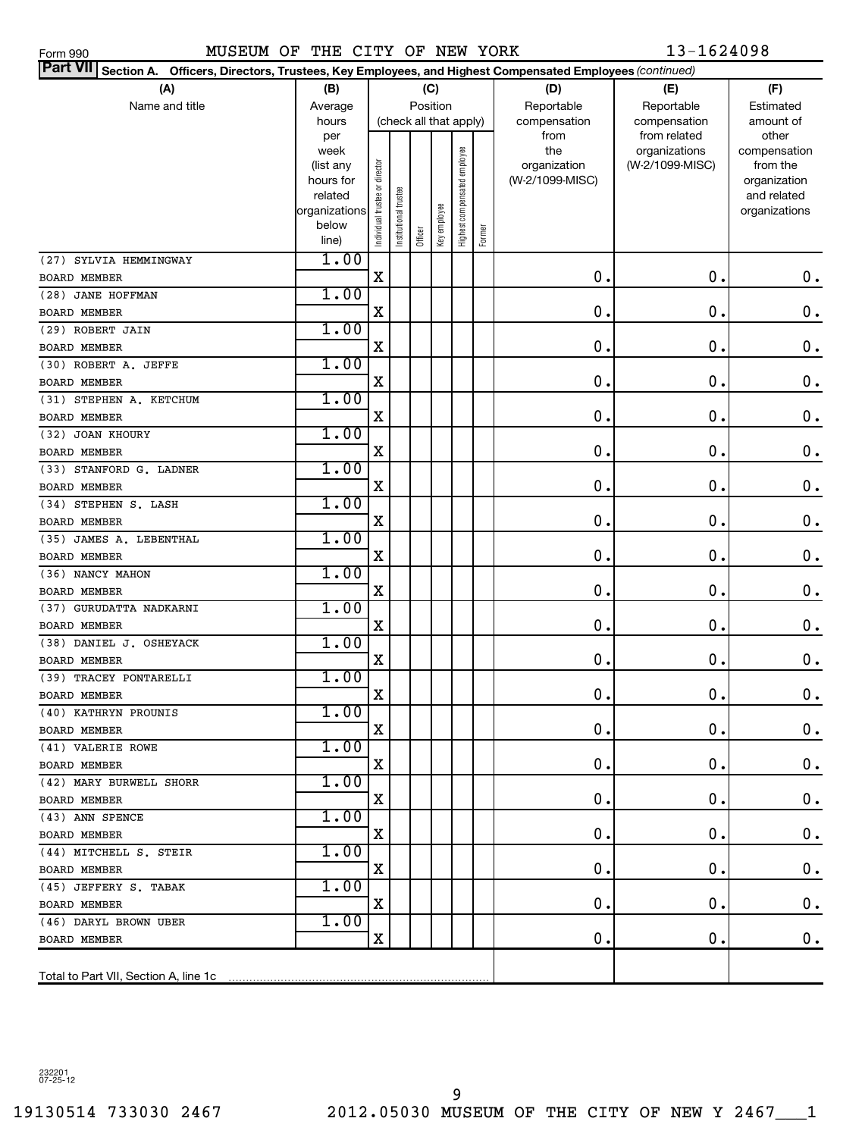| Part VII Section A. Officers, Directors, Trustees, Key Employees, and Highest Compensated Employees (continued) |                        |                                |                       |                        |              |                              |            |                     |                                  |                          |
|-----------------------------------------------------------------------------------------------------------------|------------------------|--------------------------------|-----------------------|------------------------|--------------|------------------------------|------------|---------------------|----------------------------------|--------------------------|
| (A)                                                                                                             | (B)                    |                                |                       |                        | (C)          |                              |            | (D)                 | (E)                              | (F)                      |
| Name and title                                                                                                  |                        | Position                       |                       |                        |              |                              | Reportable | Reportable          | Estimated                        |                          |
|                                                                                                                 | hours                  |                                |                       | (check all that apply) |              |                              |            | compensation        | compensation                     | amount of                |
|                                                                                                                 | per                    |                                |                       |                        |              |                              |            | from                | from related                     | other                    |
|                                                                                                                 | week                   |                                |                       |                        |              |                              |            | the<br>organization | organizations<br>(W-2/1099-MISC) | compensation<br>from the |
|                                                                                                                 | (list any<br>hours for |                                |                       |                        |              |                              |            | (W-2/1099-MISC)     |                                  | organization             |
|                                                                                                                 | related                |                                |                       |                        |              |                              |            |                     |                                  | and related              |
|                                                                                                                 | organizations          |                                |                       |                        |              |                              |            |                     |                                  | organizations            |
|                                                                                                                 | below                  | Individual trustee or director | Institutional trustee |                        | Key employee | Highest compensated employee |            |                     |                                  |                          |
|                                                                                                                 | line)                  |                                |                       | Officer                |              |                              | Former     |                     |                                  |                          |
| (27) SYLVIA HEMMINGWAY                                                                                          | 1.00                   |                                |                       |                        |              |                              |            |                     |                                  |                          |
| <b>BOARD MEMBER</b>                                                                                             |                        | X                              |                       |                        |              |                              |            | $\mathbf 0$ .       | $\mathbf 0$ .                    | $\mathbf 0$ .            |
| (28) JANE HOFFMAN                                                                                               | 1.00                   |                                |                       |                        |              |                              |            |                     |                                  |                          |
| <b>BOARD MEMBER</b>                                                                                             |                        | X                              |                       |                        |              |                              |            | $\mathbf 0$ .       | $\mathbf 0$ .                    | $\mathbf 0$ .            |
| (29) ROBERT JAIN                                                                                                | 1.00                   |                                |                       |                        |              |                              |            |                     |                                  |                          |
| <b>BOARD MEMBER</b>                                                                                             |                        | X                              |                       |                        |              |                              |            | $\mathbf 0$ .       | $\mathbf 0$ .                    | $\mathbf 0$ .            |
| (30) ROBERT A. JEFFE                                                                                            | 1.00                   |                                |                       |                        |              |                              |            |                     |                                  |                          |
| <b>BOARD MEMBER</b>                                                                                             |                        | X                              |                       |                        |              |                              |            | $\mathbf 0$ .       | $\mathbf 0$ .                    | $\mathbf 0$ .            |
| (31) STEPHEN A. KETCHUM                                                                                         | 1.00                   |                                |                       |                        |              |                              |            |                     |                                  |                          |
| <b>BOARD MEMBER</b>                                                                                             |                        | X                              |                       |                        |              |                              |            | $\mathbf 0$ .       | $\mathbf 0$ .                    | $\mathbf 0$ .            |
| (32) JOAN KHOURY                                                                                                | 1.00                   |                                |                       |                        |              |                              |            |                     |                                  |                          |
| <b>BOARD MEMBER</b>                                                                                             |                        | X                              |                       |                        |              |                              |            | $\mathbf 0$ .       | $\mathbf 0$ .                    | $\mathbf 0$ .            |
| (33) STANFORD G. LADNER                                                                                         | 1.00                   |                                |                       |                        |              |                              |            |                     |                                  |                          |
| <b>BOARD MEMBER</b>                                                                                             |                        | X                              |                       |                        |              |                              |            | $\mathbf 0$ .       | $\mathbf 0$ .                    | $\mathbf 0$ .            |
| (34) STEPHEN S. LASH                                                                                            | 1.00                   |                                |                       |                        |              |                              |            |                     |                                  |                          |
| <b>BOARD MEMBER</b>                                                                                             |                        | X                              |                       |                        |              |                              |            | $\mathbf 0$ .       | $\mathbf 0$ .                    | $\mathbf 0$ .            |
| (35) JAMES A. LEBENTHAL                                                                                         | 1.00                   |                                |                       |                        |              |                              |            |                     |                                  |                          |
| <b>BOARD MEMBER</b>                                                                                             |                        | X                              |                       |                        |              |                              |            | $\mathbf 0$ .       | $\mathbf 0$ .                    | $\mathbf 0$ .            |
| (36) NANCY MAHON                                                                                                | 1.00                   |                                |                       |                        |              |                              |            |                     |                                  |                          |
| <b>BOARD MEMBER</b>                                                                                             |                        | X                              |                       |                        |              |                              |            | $\mathbf 0$ .       | $\mathbf 0$ .                    | $\mathbf 0$ .            |
| (37) GURUDATTA NADKARNI                                                                                         | 1.00                   |                                |                       |                        |              |                              |            |                     |                                  |                          |
| <b>BOARD MEMBER</b>                                                                                             |                        | X                              |                       |                        |              |                              |            | $\mathbf 0$ .       | $\mathbf 0$ .                    | $\mathbf 0$ .            |
| (38) DANIEL J. OSHEYACK                                                                                         | 1.00                   |                                |                       |                        |              |                              |            |                     |                                  |                          |
| <b>BOARD MEMBER</b>                                                                                             |                        | X                              |                       |                        |              |                              |            | $\mathbf 0$ .       | $\mathbf 0$ .                    | $\mathbf 0$ .            |
| (39) TRACEY PONTARELLI                                                                                          | 1.00                   |                                |                       |                        |              |                              |            |                     |                                  |                          |
| BOARD MEMBER                                                                                                    |                        | X                              |                       |                        |              |                              |            | $\mathbf 0$ .       | $\mathbf 0$ .                    | $\mathbf 0$ .            |
| (40) KATHRYN PROUNIS                                                                                            | 1.00                   |                                |                       |                        |              |                              |            |                     |                                  |                          |
| BOARD MEMBER                                                                                                    |                        | X                              |                       |                        |              |                              |            | 0.                  | 0.                               | $\mathbf 0$ .            |
| (41) VALERIE ROWE                                                                                               | 1.00                   |                                |                       |                        |              |                              |            |                     |                                  |                          |
| BOARD MEMBER                                                                                                    |                        | X                              |                       |                        |              |                              |            | $\mathbf 0$ .       | 0.                               | $\mathbf 0$ .            |
| (42) MARY BURWELL SHORR                                                                                         | 1.00                   |                                |                       |                        |              |                              |            |                     |                                  |                          |
| <b>BOARD MEMBER</b>                                                                                             |                        | X                              |                       |                        |              |                              |            | 0.                  | 0.                               | $\mathbf 0$ .            |
| (43) ANN SPENCE                                                                                                 | 1.00                   |                                |                       |                        |              |                              |            |                     |                                  |                          |
| BOARD MEMBER                                                                                                    |                        | X                              |                       |                        |              |                              |            | 0.                  | 0.                               | $\mathbf 0$ .            |
| (44) MITCHELL S. STEIR                                                                                          | 1.00                   |                                |                       |                        |              |                              |            |                     |                                  |                          |
| BOARD MEMBER                                                                                                    |                        | X                              |                       |                        |              |                              |            | 0.                  | 0.                               | $\mathbf 0$ .            |
| (45) JEFFERY S. TABAK                                                                                           | 1.00                   |                                |                       |                        |              |                              |            |                     |                                  |                          |
| <b>BOARD MEMBER</b>                                                                                             |                        | X                              |                       |                        |              |                              |            | 0.                  | 0.                               | $\mathbf 0$ .            |
| (46) DARYL BROWN UBER                                                                                           | 1.00                   |                                |                       |                        |              |                              |            |                     |                                  |                          |
| BOARD MEMBER                                                                                                    |                        | х                              |                       |                        |              |                              |            | 0.                  | 0.                               | 0.                       |
|                                                                                                                 |                        |                                |                       |                        |              |                              |            |                     |                                  |                          |
|                                                                                                                 |                        |                                |                       |                        |              |                              |            |                     |                                  |                          |

232201 07-25-12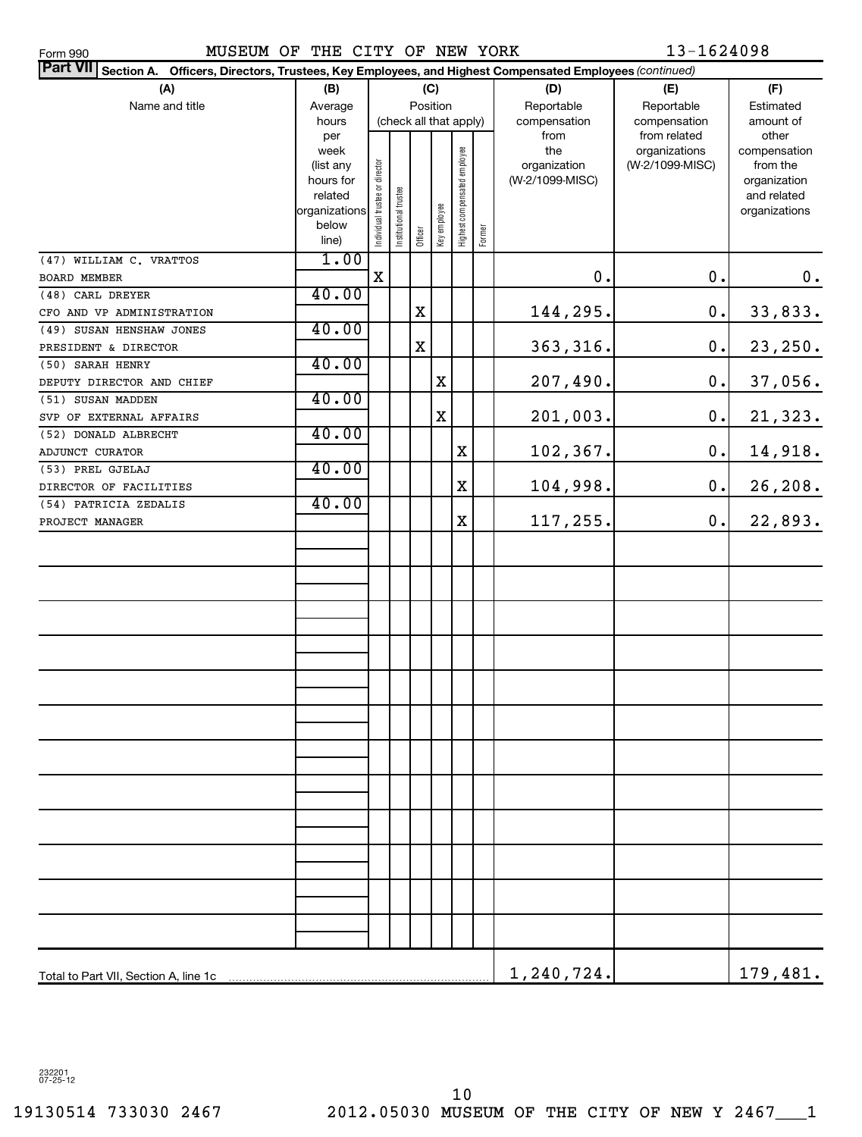| Part VII Section A. Officers, Directors, Trustees, Key Employees, and Highest Compensated Employees (continued) |                        |                                |                       |          |              |                              |        |                                 |                 |                          |
|-----------------------------------------------------------------------------------------------------------------|------------------------|--------------------------------|-----------------------|----------|--------------|------------------------------|--------|---------------------------------|-----------------|--------------------------|
| (A)                                                                                                             | (B)<br>(C)             |                                |                       |          |              |                              |        | (D)                             | (E)             | (F)                      |
| Name and title                                                                                                  | Average                |                                |                       | Position |              |                              |        | Reportable                      | Reportable      | Estimated                |
|                                                                                                                 | hours                  |                                |                       |          |              | (check all that apply)       |        | compensation                    | compensation    | amount of                |
|                                                                                                                 | per                    |                                |                       |          |              |                              |        | from                            | from related    | other                    |
|                                                                                                                 | week                   |                                |                       |          |              |                              |        | the                             | organizations   | compensation<br>from the |
|                                                                                                                 | (list any<br>hours for |                                |                       |          |              |                              |        | organization<br>(W-2/1099-MISC) | (W-2/1099-MISC) | organization             |
|                                                                                                                 | related                |                                |                       |          |              |                              |        |                                 |                 | and related              |
|                                                                                                                 | organizations          |                                |                       |          |              |                              |        |                                 |                 | organizations            |
|                                                                                                                 | below                  | Individual trustee or director | Institutional trustee |          | Key employee | Highest compensated employee |        |                                 |                 |                          |
|                                                                                                                 | line)                  |                                |                       | Officer  |              |                              | Former |                                 |                 |                          |
| (47) WILLIAM C. VRATTOS                                                                                         | 1.00                   |                                |                       |          |              |                              |        |                                 |                 |                          |
| BOARD MEMBER                                                                                                    |                        | $\mathbf X$                    |                       |          |              |                              |        | 0.                              | 0.              | 0.                       |
| (48) CARL DREYER                                                                                                | 40.00                  |                                |                       |          |              |                              |        |                                 |                 |                          |
| CFO AND VP ADMINISTRATION                                                                                       |                        |                                |                       | X        |              |                              |        | 144,295.                        | $0$ .           | 33,833.                  |
| (49) SUSAN HENSHAW JONES                                                                                        | 40.00                  |                                |                       |          |              |                              |        |                                 |                 |                          |
| PRESIDENT & DIRECTOR                                                                                            |                        |                                |                       | X        |              |                              |        | 363, 316.                       | 0.              | 23,250.                  |
| (50) SARAH HENRY                                                                                                | 40.00                  |                                |                       |          |              |                              |        |                                 |                 |                          |
| DEPUTY DIRECTOR AND CHIEF                                                                                       |                        |                                |                       |          | X            |                              |        | 207,490.                        | 0.              | 37,056.                  |
| (51) SUSAN MADDEN                                                                                               | 40.00                  |                                |                       |          |              |                              |        |                                 |                 |                          |
| SVP OF EXTERNAL AFFAIRS                                                                                         |                        |                                |                       |          | X            |                              |        | 201,003.                        | $0$ .           | 21,323.                  |
| (52) DONALD ALBRECHT                                                                                            | 40.00                  |                                |                       |          |              |                              |        |                                 |                 |                          |
| ADJUNCT CURATOR                                                                                                 |                        |                                |                       |          |              | X                            |        | 102,367.                        | $0$ .           | 14,918.                  |
| (53) PREL GJELAJ                                                                                                | 40.00                  |                                |                       |          |              |                              |        |                                 |                 |                          |
| DIRECTOR OF FACILITIES                                                                                          |                        |                                |                       |          |              | $\mathbf X$                  |        | 104,998.                        | 0.              | 26, 208.                 |
| (54) PATRICIA ZEDALIS                                                                                           | 40.00                  |                                |                       |          |              |                              |        |                                 |                 |                          |
| PROJECT MANAGER                                                                                                 |                        |                                |                       |          |              | $\mathbf X$                  |        | 117,255.                        | 0.              | 22,893.                  |
|                                                                                                                 |                        |                                |                       |          |              |                              |        |                                 |                 |                          |
|                                                                                                                 |                        |                                |                       |          |              |                              |        |                                 |                 |                          |
|                                                                                                                 |                        |                                |                       |          |              |                              |        |                                 |                 |                          |
|                                                                                                                 |                        |                                |                       |          |              |                              |        |                                 |                 |                          |
|                                                                                                                 |                        |                                |                       |          |              |                              |        |                                 |                 |                          |
|                                                                                                                 |                        |                                |                       |          |              |                              |        |                                 |                 |                          |
|                                                                                                                 |                        |                                |                       |          |              |                              |        |                                 |                 |                          |
|                                                                                                                 |                        |                                |                       |          |              |                              |        |                                 |                 |                          |
|                                                                                                                 |                        |                                |                       |          |              |                              |        |                                 |                 |                          |
|                                                                                                                 |                        |                                |                       |          |              |                              |        |                                 |                 |                          |
|                                                                                                                 |                        |                                |                       |          |              |                              |        |                                 |                 |                          |
|                                                                                                                 |                        |                                |                       |          |              |                              |        |                                 |                 |                          |
|                                                                                                                 |                        |                                |                       |          |              |                              |        |                                 |                 |                          |
|                                                                                                                 |                        |                                |                       |          |              |                              |        |                                 |                 |                          |
|                                                                                                                 |                        |                                |                       |          |              |                              |        |                                 |                 |                          |
|                                                                                                                 |                        |                                |                       |          |              |                              |        |                                 |                 |                          |
|                                                                                                                 |                        |                                |                       |          |              |                              |        |                                 |                 |                          |
|                                                                                                                 |                        |                                |                       |          |              |                              |        |                                 |                 |                          |
|                                                                                                                 |                        |                                |                       |          |              |                              |        |                                 |                 |                          |
|                                                                                                                 |                        |                                |                       |          |              |                              |        |                                 |                 |                          |
|                                                                                                                 |                        |                                |                       |          |              |                              |        |                                 |                 |                          |
|                                                                                                                 |                        |                                |                       |          |              |                              |        |                                 |                 |                          |
|                                                                                                                 |                        |                                |                       |          |              |                              |        |                                 |                 |                          |
|                                                                                                                 |                        |                                |                       |          |              |                              |        |                                 |                 |                          |
|                                                                                                                 |                        |                                |                       |          |              |                              |        | 1,240,724.                      |                 | 179,481.                 |
| Total to Part VII, Section A, line 1c                                                                           |                        |                                |                       |          |              |                              |        |                                 |                 |                          |

232201 07-25-12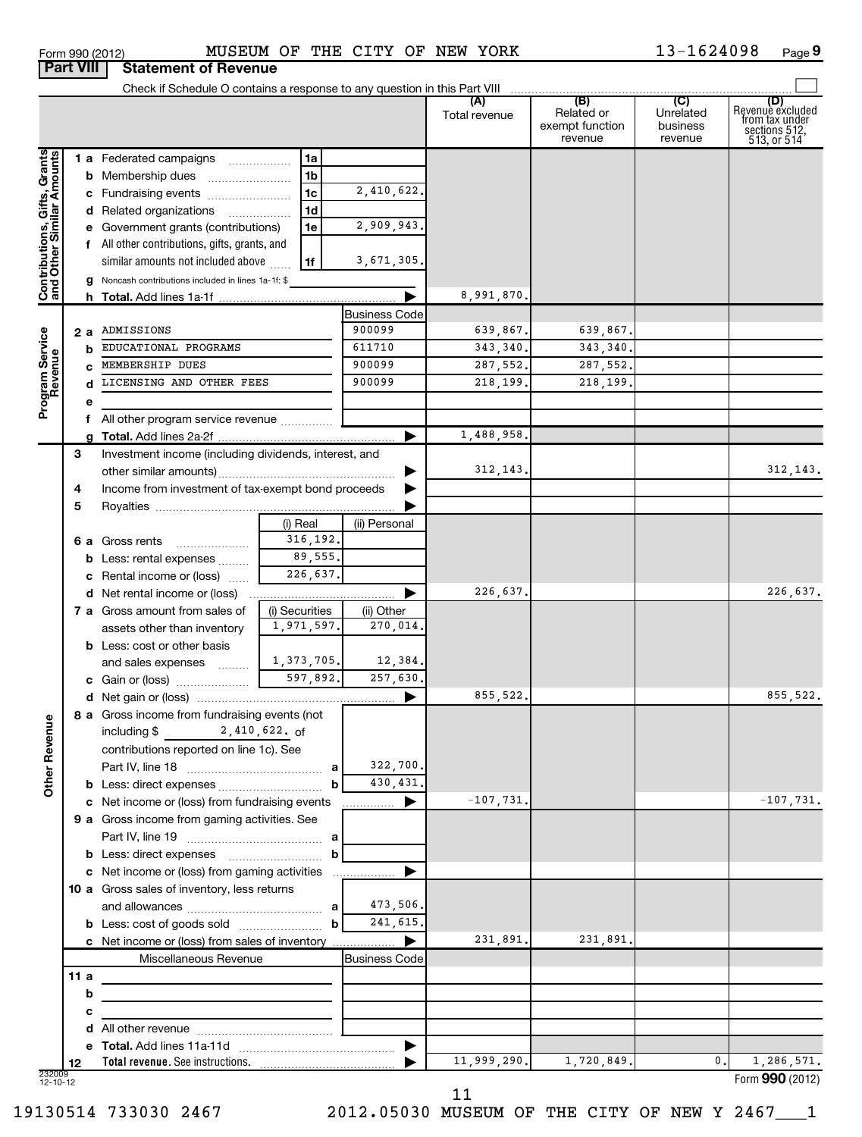| Form 990 (2012) | MUSEUM                                |
|-----------------|---------------------------------------|
|                 | <b>Part VIII Statement of Revenue</b> |

# Form 990 (2012) MUSEUM OF THE CITY OF NEW YORK 13-1624098 Page

 $13 - 1624098$  Page 9

|                                                           |        | Check if Schedule O contains a response to any question in this Part VIII |                |                      |               |                                                 |                                         |                                                                              |
|-----------------------------------------------------------|--------|---------------------------------------------------------------------------|----------------|----------------------|---------------|-------------------------------------------------|-----------------------------------------|------------------------------------------------------------------------------|
|                                                           |        |                                                                           |                |                      | Total revenue | (B)<br>Related or<br>exempt function<br>revenue | (C)<br>Unrelated<br>business<br>revenue | (D)<br>Revenue excluded<br>from tax under<br>sections $512$ ,<br>513, or 514 |
|                                                           |        | 1 a Federated campaigns                                                   | 1a             |                      |               |                                                 |                                         |                                                                              |
|                                                           |        | <b>b</b> Membership dues                                                  | 1 <sub>b</sub> |                      |               |                                                 |                                         |                                                                              |
|                                                           |        | c Fundraising events                                                      | 1 <sub>c</sub> | 2,410,622.           |               |                                                 |                                         |                                                                              |
|                                                           |        | d Related organizations                                                   | 1 <sub>d</sub> |                      |               |                                                 |                                         |                                                                              |
|                                                           |        | e Government grants (contributions)                                       | 1e             | 2,909,943.           |               |                                                 |                                         |                                                                              |
|                                                           |        | f All other contributions, gifts, grants, and                             |                |                      |               |                                                 |                                         |                                                                              |
|                                                           |        | similar amounts not included above                                        | 1f             | 3,671,305.           |               |                                                 |                                         |                                                                              |
|                                                           |        | g Noncash contributions included in lines 1a-1f: \$                       |                |                      |               |                                                 |                                         |                                                                              |
| Contributions, Gifts, Grants<br>and Other Similar Amounts |        |                                                                           |                |                      | 8,991,870.    |                                                 |                                         |                                                                              |
|                                                           |        |                                                                           |                | <b>Business Code</b> |               |                                                 |                                         |                                                                              |
|                                                           |        | 2 a ADMISSIONS                                                            |                | 900099               | 639,867.      | 639,867.                                        |                                         |                                                                              |
|                                                           | b      | EDUCATIONAL PROGRAMS                                                      |                | 611710               | 343, 340.     | 343, 340.                                       |                                         |                                                                              |
|                                                           |        | MEMBERSHIP DUES                                                           |                | 900099               | 287,552.      | 287,552.                                        |                                         |                                                                              |
| Program Service<br>Revenue                                |        | LICENSING AND OTHER FEES                                                  |                | 900099               | 218, 199.     | 218,199.                                        |                                         |                                                                              |
|                                                           | е      |                                                                           |                |                      |               |                                                 |                                         |                                                                              |
|                                                           |        | f All other program service revenue                                       |                |                      |               |                                                 |                                         |                                                                              |
|                                                           | q      |                                                                           |                |                      | 1,488,958.    |                                                 |                                         |                                                                              |
|                                                           | 3      | Investment income (including dividends, interest, and                     |                |                      |               |                                                 |                                         |                                                                              |
|                                                           |        |                                                                           |                |                      | 312, 143.     |                                                 |                                         | 312, 143.                                                                    |
|                                                           | 4      | Income from investment of tax-exempt bond proceeds                        |                |                      |               |                                                 |                                         |                                                                              |
|                                                           | 5      |                                                                           |                |                      |               |                                                 |                                         |                                                                              |
|                                                           |        |                                                                           | (i) Real       | (ii) Personal        |               |                                                 |                                         |                                                                              |
|                                                           |        | 6 a Gross rents                                                           | 316,192.       |                      |               |                                                 |                                         |                                                                              |
|                                                           |        | <b>b</b> Less: rental expenses                                            | 89,555.        |                      |               |                                                 |                                         |                                                                              |
|                                                           |        | c Rental income or (loss)                                                 | 226,637.       |                      |               |                                                 |                                         |                                                                              |
|                                                           |        |                                                                           |                | ▶                    | 226,637.      |                                                 |                                         | 226,637.                                                                     |
|                                                           |        | 7 a Gross amount from sales of                                            | (i) Securities | (ii) Other           |               |                                                 |                                         |                                                                              |
|                                                           |        | assets other than inventory                                               | 1,971,597.     | 270,014.             |               |                                                 |                                         |                                                                              |
|                                                           |        | <b>b</b> Less: cost or other basis                                        |                |                      |               |                                                 |                                         |                                                                              |
|                                                           |        | and sales expenses                                                        | 1,373,705.     | 12,384.              |               |                                                 |                                         |                                                                              |
|                                                           |        |                                                                           |                | 257,630.             |               |                                                 |                                         |                                                                              |
|                                                           |        |                                                                           |                | ▶                    | 855,522.      |                                                 |                                         | 855,522.                                                                     |
| g                                                         |        | 8 a Gross income from fundraising events (not                             |                |                      |               |                                                 |                                         |                                                                              |
|                                                           |        | including $\frac{2}{1}$ , 410, 622. of                                    |                |                      |               |                                                 |                                         |                                                                              |
| Other Rever                                               |        | contributions reported on line 1c). See                                   |                |                      |               |                                                 |                                         |                                                                              |
|                                                           |        |                                                                           |                | 322,700.             |               |                                                 |                                         |                                                                              |
|                                                           |        | b Less: direct expenses                                                   | b              | 430,431.             |               |                                                 |                                         |                                                                              |
|                                                           |        | c Net income or (loss) from fundraising events                            |                | ▶                    | $-107,731.$   |                                                 |                                         | $-107,731.$                                                                  |
|                                                           |        | 9 a Gross income from gaming activities. See                              |                |                      |               |                                                 |                                         |                                                                              |
|                                                           |        |                                                                           |                |                      |               |                                                 |                                         |                                                                              |
|                                                           |        | <b>b</b> Less: direct expenses <b>manually contained</b>                  | b              |                      |               |                                                 |                                         |                                                                              |
|                                                           |        | c Net income or (loss) from gaming activities                             |                |                      |               |                                                 |                                         |                                                                              |
|                                                           |        | 10 a Gross sales of inventory, less returns                               |                |                      |               |                                                 |                                         |                                                                              |
|                                                           |        |                                                                           |                | 473,506.             |               |                                                 |                                         |                                                                              |
|                                                           |        |                                                                           | b              | 241,615.             |               | 231,891.                                        |                                         |                                                                              |
|                                                           |        | c Net income or (loss) from sales of inventory                            |                | ▶                    | 231,891.      |                                                 |                                         |                                                                              |
|                                                           | 11a    | Miscellaneous Revenue                                                     |                | Business Code        |               |                                                 |                                         |                                                                              |
|                                                           |        |                                                                           |                |                      |               |                                                 |                                         |                                                                              |
|                                                           | b      |                                                                           |                |                      |               |                                                 |                                         |                                                                              |
|                                                           | с<br>d |                                                                           |                |                      |               |                                                 |                                         |                                                                              |
|                                                           |        |                                                                           |                | ▶                    |               |                                                 |                                         |                                                                              |
|                                                           | 12     |                                                                           |                |                      | 11,999,290.   | 1,720,849.                                      | 0.                                      | 1,286,571.                                                                   |
| 232009<br>12-10-12                                        |        |                                                                           |                |                      |               |                                                 |                                         | Form 990 (2012)                                                              |

11

19130514 733030 2467 2012.05030 MUSEUM OF THE CITY OF NEW Y 2467\_\_\_1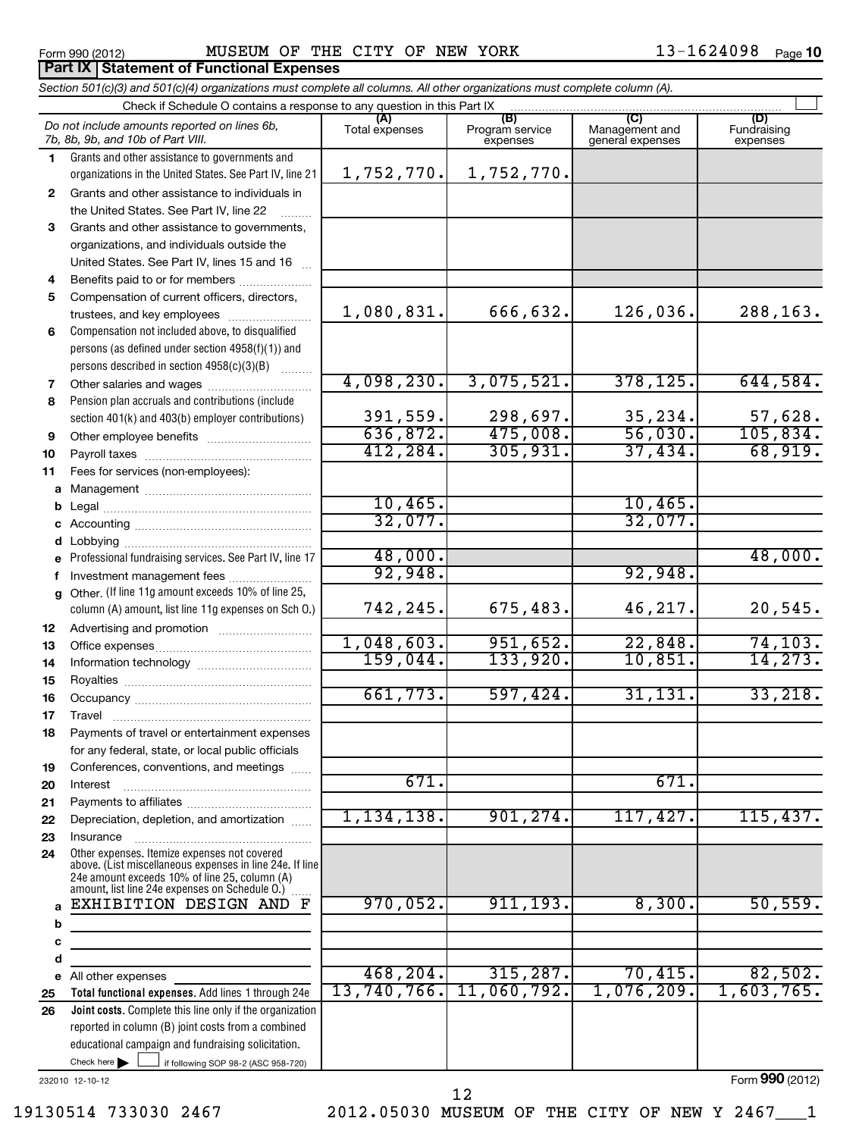# Form 990 (2012) MUSEUM OF THE CITY OF NEW YORK 13-1624098  $_{\sf Page}$

13-1624098 Page 10

|          | Section 501(c)(3) and 501(c)(4) organizations must complete all columns. All other organizations must complete column (A).                                                                                  |                |                                    |                                           |                                |  |  |  |  |  |  |  |  |
|----------|-------------------------------------------------------------------------------------------------------------------------------------------------------------------------------------------------------------|----------------|------------------------------------|-------------------------------------------|--------------------------------|--|--|--|--|--|--|--|--|
|          | Check if Schedule O contains a response to any question in this Part IX                                                                                                                                     |                |                                    |                                           |                                |  |  |  |  |  |  |  |  |
|          | Do not include amounts reported on lines 6b,<br>7b, 8b, 9b, and 10b of Part VIII.                                                                                                                           | Total expenses | (B)<br>Program service<br>expenses | (C)<br>Management and<br>general expenses | (D)<br>Fundraising<br>expenses |  |  |  |  |  |  |  |  |
| 1.       | Grants and other assistance to governments and                                                                                                                                                              |                |                                    |                                           |                                |  |  |  |  |  |  |  |  |
|          | organizations in the United States. See Part IV, line 21                                                                                                                                                    | 1,752,770.     | 1,752,770.                         |                                           |                                |  |  |  |  |  |  |  |  |
| 2        | Grants and other assistance to individuals in                                                                                                                                                               |                |                                    |                                           |                                |  |  |  |  |  |  |  |  |
|          | the United States. See Part IV, line 22                                                                                                                                                                     |                |                                    |                                           |                                |  |  |  |  |  |  |  |  |
| 3        | Grants and other assistance to governments,                                                                                                                                                                 |                |                                    |                                           |                                |  |  |  |  |  |  |  |  |
|          | organizations, and individuals outside the                                                                                                                                                                  |                |                                    |                                           |                                |  |  |  |  |  |  |  |  |
|          | United States. See Part IV, lines 15 and 16                                                                                                                                                                 |                |                                    |                                           |                                |  |  |  |  |  |  |  |  |
| 4        | Benefits paid to or for members                                                                                                                                                                             |                |                                    |                                           |                                |  |  |  |  |  |  |  |  |
| 5        | Compensation of current officers, directors,                                                                                                                                                                |                |                                    |                                           |                                |  |  |  |  |  |  |  |  |
|          | trustees, and key employees                                                                                                                                                                                 | 1,080,831.     | 666,632.                           | 126,036.                                  | 288,163.                       |  |  |  |  |  |  |  |  |
| 6        | Compensation not included above, to disqualified                                                                                                                                                            |                |                                    |                                           |                                |  |  |  |  |  |  |  |  |
|          | persons (as defined under section 4958(f)(1)) and                                                                                                                                                           |                |                                    |                                           |                                |  |  |  |  |  |  |  |  |
|          | persons described in section 4958(c)(3)(B)                                                                                                                                                                  |                |                                    |                                           |                                |  |  |  |  |  |  |  |  |
| 7        |                                                                                                                                                                                                             | 4,098,230.     | 3,075,521.                         | 378, 125.                                 | 644,584.                       |  |  |  |  |  |  |  |  |
| 8        | Pension plan accruals and contributions (include                                                                                                                                                            |                |                                    |                                           |                                |  |  |  |  |  |  |  |  |
|          | section 401(k) and 403(b) employer contributions)                                                                                                                                                           | 391,559.       | 298,697.                           | 35,234.                                   | $\frac{57,628}{105,834}$       |  |  |  |  |  |  |  |  |
| 9        |                                                                                                                                                                                                             | 636,872.       | 475,008.                           | 56,030.                                   |                                |  |  |  |  |  |  |  |  |
| 10       |                                                                                                                                                                                                             | 412, 284.      | 305, 931.                          | 37,434.                                   | 68,919.                        |  |  |  |  |  |  |  |  |
| 11       | Fees for services (non-employees):                                                                                                                                                                          |                |                                    |                                           |                                |  |  |  |  |  |  |  |  |
|          |                                                                                                                                                                                                             |                |                                    |                                           |                                |  |  |  |  |  |  |  |  |
|          |                                                                                                                                                                                                             | 10,465.        |                                    | 10,465.                                   |                                |  |  |  |  |  |  |  |  |
|          |                                                                                                                                                                                                             | 32,077.        |                                    | 32,077.                                   |                                |  |  |  |  |  |  |  |  |
|          | Lobbying                                                                                                                                                                                                    |                |                                    |                                           |                                |  |  |  |  |  |  |  |  |
|          | Professional fundraising services. See Part IV, line 17                                                                                                                                                     | 48,000.        |                                    |                                           | 48,000.                        |  |  |  |  |  |  |  |  |
|          | Investment management fees                                                                                                                                                                                  | 92,948.        |                                    | 92,948.                                   |                                |  |  |  |  |  |  |  |  |
|          | g Other. (If line 11g amount exceeds 10% of line 25,                                                                                                                                                        |                |                                    |                                           |                                |  |  |  |  |  |  |  |  |
|          | column (A) amount, list line 11g expenses on Sch O.)                                                                                                                                                        | 742,245.       | 675,483.                           | 46,217.                                   | 20,545.                        |  |  |  |  |  |  |  |  |
| 12       |                                                                                                                                                                                                             | 1,048,603.     | 951,652.                           | 22,848.                                   |                                |  |  |  |  |  |  |  |  |
| 13       |                                                                                                                                                                                                             | 159,044.       | 133,920.                           | 10,851.                                   | 74, 103.<br>14, 273.           |  |  |  |  |  |  |  |  |
| 14       |                                                                                                                                                                                                             |                |                                    |                                           |                                |  |  |  |  |  |  |  |  |
| 15       |                                                                                                                                                                                                             | 661,773.       | 597,424.                           | 31,131.                                   | 33,218.                        |  |  |  |  |  |  |  |  |
| 16<br>17 |                                                                                                                                                                                                             |                |                                    |                                           |                                |  |  |  |  |  |  |  |  |
|          | Payments of travel or entertainment expenses                                                                                                                                                                |                |                                    |                                           |                                |  |  |  |  |  |  |  |  |
| 18       | for any federal, state, or local public officials                                                                                                                                                           |                |                                    |                                           |                                |  |  |  |  |  |  |  |  |
| 19       | Conferences, conventions, and meetings                                                                                                                                                                      |                |                                    |                                           |                                |  |  |  |  |  |  |  |  |
| 20       | Interest                                                                                                                                                                                                    | 671.           |                                    | 671.                                      |                                |  |  |  |  |  |  |  |  |
| 21       |                                                                                                                                                                                                             |                |                                    |                                           |                                |  |  |  |  |  |  |  |  |
| 22       | Depreciation, depletion, and amortization                                                                                                                                                                   | 1,134,138.     | 901, 274.                          | 117,427.                                  | 115,437.                       |  |  |  |  |  |  |  |  |
| 23       | Insurance                                                                                                                                                                                                   |                |                                    |                                           |                                |  |  |  |  |  |  |  |  |
| 24       | Other expenses. Itemize expenses not covered<br>above. (List miscellaneous expenses in line 24e. If line<br>24e amount exceeds 10% of line 25, column (A)<br>amount, list line 24e expenses on Schedule O.) |                |                                    |                                           |                                |  |  |  |  |  |  |  |  |
| a        | EXHIBITION DESIGN AND F                                                                                                                                                                                     | 970,052.       | 911, 193.                          | 8,300.                                    | 50, 559.                       |  |  |  |  |  |  |  |  |
| b        |                                                                                                                                                                                                             |                |                                    |                                           |                                |  |  |  |  |  |  |  |  |
| с        |                                                                                                                                                                                                             |                |                                    |                                           |                                |  |  |  |  |  |  |  |  |
| d        |                                                                                                                                                                                                             |                |                                    |                                           |                                |  |  |  |  |  |  |  |  |
|          | e All other expenses                                                                                                                                                                                        | 468, 204.      | 315, 287.                          | 70,415.                                   | 82,502.                        |  |  |  |  |  |  |  |  |
| 25       | Total functional expenses. Add lines 1 through 24e                                                                                                                                                          | 13,740,766.    | 11,060,792.                        | 1,076,209.                                | 1,603,765.                     |  |  |  |  |  |  |  |  |
| 26       | Joint costs. Complete this line only if the organization                                                                                                                                                    |                |                                    |                                           |                                |  |  |  |  |  |  |  |  |
|          | reported in column (B) joint costs from a combined                                                                                                                                                          |                |                                    |                                           |                                |  |  |  |  |  |  |  |  |
|          | educational campaign and fundraising solicitation.                                                                                                                                                          |                |                                    |                                           |                                |  |  |  |  |  |  |  |  |
|          | Check here<br>if following SOP 98-2 (ASC 958-720)                                                                                                                                                           |                |                                    |                                           |                                |  |  |  |  |  |  |  |  |
|          | 232010 12-10-12                                                                                                                                                                                             |                |                                    |                                           | Form 990 (2012)                |  |  |  |  |  |  |  |  |

12

19130514 733030 2467 2012.05030 MUSEUM OF THE CITY OF NEW Y 2467\_\_\_1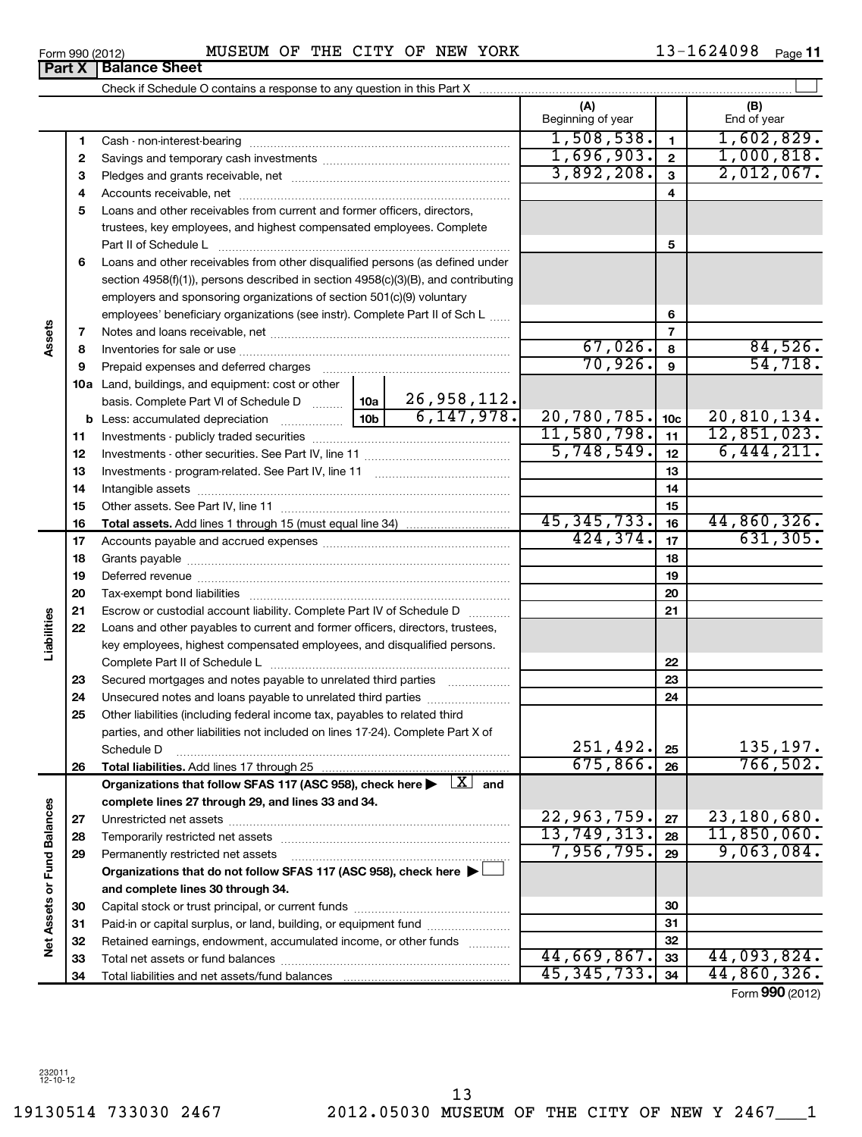19130514 733030 2467 2012.05030 MUSEUM OF THE CITY OF NEW Y 2467\_\_\_1 13

|       | MUSEUM | OF | THE | CITY OF |  | NEW YORK | 1624098 |
|-------|--------|----|-----|---------|--|----------|---------|
| Sheet |        |    |     |         |  |          |         |

| 13-1624098 | Page 11 |
|------------|---------|
|            |         |

|                             |          | <b>Part X   Balance Sheet</b>                                                                                                    |                          |                 |                    |
|-----------------------------|----------|----------------------------------------------------------------------------------------------------------------------------------|--------------------------|-----------------|--------------------|
|                             |          |                                                                                                                                  |                          |                 |                    |
|                             |          |                                                                                                                                  | (A)<br>Beginning of year |                 | (B)<br>End of year |
|                             | 1        |                                                                                                                                  | 1,508,538.               | $\mathbf{1}$    | 1,602,829.         |
|                             | 2        |                                                                                                                                  | 1,696,903.               | $\overline{2}$  | 1,000,818.         |
|                             | 3        |                                                                                                                                  | 3,892,208.               | $\mathbf{3}$    | 2,012,067.         |
|                             | 4        |                                                                                                                                  |                          | 4               |                    |
|                             | 5        | Loans and other receivables from current and former officers, directors,                                                         |                          |                 |                    |
|                             |          | trustees, key employees, and highest compensated employees. Complete                                                             |                          |                 |                    |
|                             |          | Part II of Schedule L                                                                                                            |                          | 5               |                    |
|                             | 6        | Loans and other receivables from other disqualified persons (as defined under                                                    |                          |                 |                    |
|                             |          | section 4958(f)(1)), persons described in section 4958(c)(3)(B), and contributing                                                |                          |                 |                    |
|                             |          | employers and sponsoring organizations of section 501(c)(9) voluntary                                                            |                          |                 |                    |
|                             |          | employees' beneficiary organizations (see instr). Complete Part II of Sch L                                                      |                          | 6               |                    |
| Assets                      | 7        |                                                                                                                                  |                          | 7               |                    |
|                             | 8        |                                                                                                                                  | 67,026.                  | 8               | 84,526.            |
|                             | 9        | Prepaid expenses and deferred charges                                                                                            | 70,926.                  | 9               | 54,718.            |
|                             |          | <b>10a</b> Land, buildings, and equipment: cost or other                                                                         |                          |                 |                    |
|                             |          | basis. Complete Part VI of Schedule D    10a   26, 958, 112.                                                                     |                          |                 |                    |
|                             |          | 6,147,978.                                                                                                                       | 20,780,785.              | 10 <sub>c</sub> | 20,810,134.        |
|                             | 11       |                                                                                                                                  | 11,580,798.              | 11              | 12,851,023.        |
|                             | 12       |                                                                                                                                  | 5,748,549.               | 12              | 6,444,211.         |
|                             | 13       |                                                                                                                                  |                          | 13              |                    |
|                             | 14       |                                                                                                                                  |                          | 14              |                    |
|                             | 15       |                                                                                                                                  | 45, 345, 733.            | 15              | 44,860,326.        |
|                             | 16       |                                                                                                                                  | 424, 374.                | 16              | 631, 305.          |
|                             | 17       |                                                                                                                                  |                          | 17              |                    |
|                             | 18       |                                                                                                                                  |                          | 18              |                    |
|                             | 19       |                                                                                                                                  |                          | 19              |                    |
|                             | 20<br>21 | Escrow or custodial account liability. Complete Part IV of Schedule D                                                            |                          | 20<br>21        |                    |
| Liabilities                 | 22       | Loans and other payables to current and former officers, directors, trustees,                                                    |                          |                 |                    |
|                             |          | key employees, highest compensated employees, and disqualified persons.                                                          |                          |                 |                    |
|                             |          |                                                                                                                                  |                          | 22              |                    |
|                             | 23       | Secured mortgages and notes payable to unrelated third parties                                                                   |                          | 23              |                    |
|                             | 24       | Unsecured notes and loans payable to unrelated third parties                                                                     |                          | 24              |                    |
|                             | 25       | Other liabilities (including federal income tax, payables to related third                                                       |                          |                 |                    |
|                             |          | parties, and other liabilities not included on lines 17-24). Complete Part X of                                                  |                          |                 |                    |
|                             |          | Schedule D                                                                                                                       | 251,492.                 | 25              | 135, 197.          |
|                             | 26       | Total liabilities. Add lines 17 through 25                                                                                       | 675,866.                 | 26              | 766, 502.          |
|                             |          | Organizations that follow SFAS 117 (ASC 958), check here $\blacktriangleright \begin{array}{c} \perp X \\ \perp \end{array}$ and |                          |                 |                    |
|                             |          | complete lines 27 through 29, and lines 33 and 34.                                                                               |                          |                 |                    |
|                             | 27       |                                                                                                                                  | 22,963,759.              | 27              | 23,180,680.        |
|                             | 28       | Temporarily restricted net assets                                                                                                | 13,749,313.              | 28              | 11,850,060.        |
|                             | 29       | Permanently restricted net assets                                                                                                | 7,956,795.               | 29              | 9,063,084.         |
|                             |          | Organizations that do not follow SFAS 117 (ASC 958), check here ▶                                                                |                          |                 |                    |
|                             |          | and complete lines 30 through 34.                                                                                                |                          |                 |                    |
|                             | 30       |                                                                                                                                  |                          | 30              |                    |
|                             | 31       | Paid-in or capital surplus, or land, building, or equipment fund                                                                 |                          | 31              |                    |
| Net Assets or Fund Balances | 32       | Retained earnings, endowment, accumulated income, or other funds                                                                 |                          | 32              |                    |
|                             | 33       |                                                                                                                                  | 44,669,867.              | 33              | 44,093,824.        |
|                             | 34       |                                                                                                                                  | 45, 345, 733.            | 34              | 44,860,326.        |
|                             |          |                                                                                                                                  |                          |                 | Form 990 (2012)    |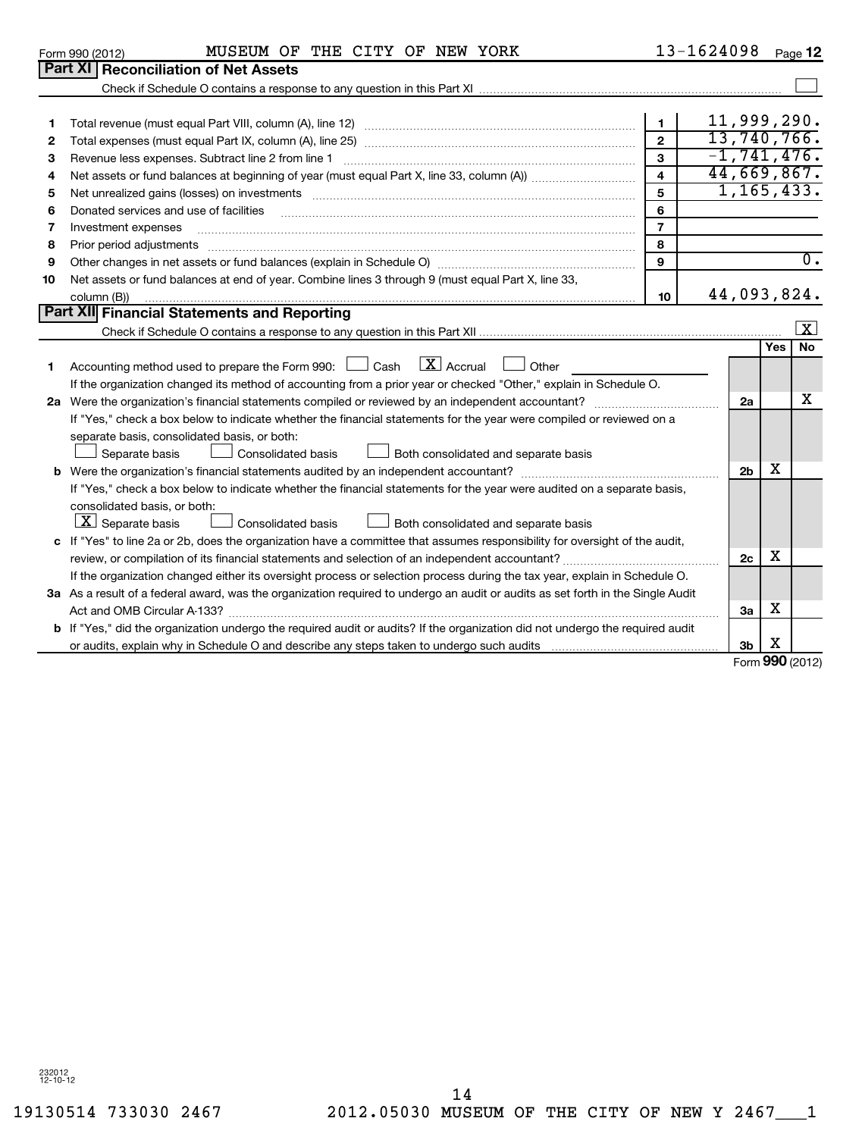232012 12-10-12

| 3  | Revenue less expenses. Subtract line 2 from line 1                                                                              | 3                       | $-1, 741, 476.$ |     |                      |
|----|---------------------------------------------------------------------------------------------------------------------------------|-------------------------|-----------------|-----|----------------------|
| 4  |                                                                                                                                 | $\overline{\mathbf{4}}$ | 44,669,867.     |     |                      |
| 5  |                                                                                                                                 | 5                       | 1, 165, 433.    |     |                      |
| 6  |                                                                                                                                 | 6                       |                 |     |                      |
| 7  | Investment expenses                                                                                                             | $\overline{7}$          |                 |     |                      |
| 8  | Prior period adjustments                                                                                                        | 8                       |                 |     |                      |
| 9  |                                                                                                                                 | 9                       |                 |     | 0.                   |
| 10 | Net assets or fund balances at end of year. Combine lines 3 through 9 (must equal Part X, line 33,                              |                         |                 |     |                      |
|    | column (B))                                                                                                                     | 10                      | 44,093,824.     |     |                      |
|    | Part XII Financial Statements and Reporting                                                                                     |                         |                 |     |                      |
|    |                                                                                                                                 |                         |                 |     | $\boxed{\mathbf{x}}$ |
|    |                                                                                                                                 |                         |                 | Yes | <b>No</b>            |
|    | Accounting method used to prepare the Form 990: $\Box$ Cash $\Box X$ Accrual<br>Other                                           |                         |                 |     |                      |
|    | If the organization changed its method of accounting from a prior year or checked "Other," explain in Schedule O.               |                         |                 |     |                      |
|    | 2a Were the organization's financial statements compiled or reviewed by an independent accountant?                              |                         | 2a              |     | x                    |
|    | If "Yes," check a box below to indicate whether the financial statements for the year were compiled or reviewed on a            |                         |                 |     |                      |
|    | separate basis, consolidated basis, or both:                                                                                    |                         |                 |     |                      |
|    | Consolidated basis<br>Separate basis<br>Both consolidated and separate basis                                                    |                         |                 |     |                      |
|    |                                                                                                                                 |                         | 2 <sub>b</sub>  | х   |                      |
|    | If "Yes," check a box below to indicate whether the financial statements for the year were audited on a separate basis,         |                         |                 |     |                      |
|    | consolidated basis, or both:                                                                                                    |                         |                 |     |                      |
|    | $\lfloor \underline{X} \rfloor$ Separate basis<br>Both consolidated and separate basis<br><b>Consolidated basis</b>             |                         |                 |     |                      |
|    | c If "Yes" to line 2a or 2b, does the organization have a committee that assumes responsibility for oversight of the audit,     |                         |                 |     |                      |
|    |                                                                                                                                 |                         | 2c              | х   |                      |
|    | If the organization changed either its oversight process or selection process during the tax year, explain in Schedule O.       |                         |                 |     |                      |
|    | 3a As a result of a federal award, was the organization required to undergo an audit or audits as set forth in the Single Audit |                         |                 |     |                      |
|    | Act and OMB Circular A-133?                                                                                                     |                         | За              | х   |                      |
|    | b If "Yes," did the organization undergo the required audit or audits? If the organization did not undergo the required audit   |                         |                 |     |                      |
|    |                                                                                                                                 |                         | 3 <sub>b</sub>  | x   |                      |

Form **990** (2012) X

 $\sim$ 

11,999,290. 13,740,766.

**1 2 3**

| Form 990 (2012) |                                             | MUSEUM OF |  |
|-----------------|---------------------------------------------|-----------|--|
|                 | <b>Part XI Reconciliation of Net Assets</b> |           |  |

**1 2 3**

| Form 990 (2012) | OF<br>MUSEUM | THE | CITY OF | NEW | YORK | 1624098 | Page 12 |
|-----------------|--------------|-----|---------|-----|------|---------|---------|
|                 |              |     |         |     |      |         |         |

Total revenue (must equal Part VIII, column (A), line 12) ~~~~~~~~~~~~~~~~~~~~~~~~~~ Total expenses (must equal Part IX, column (A), line 25) ~~~~~~~~~~~~~~~~~~~~~~~~~~

Check if Schedule O contains a response to any question in this Part XI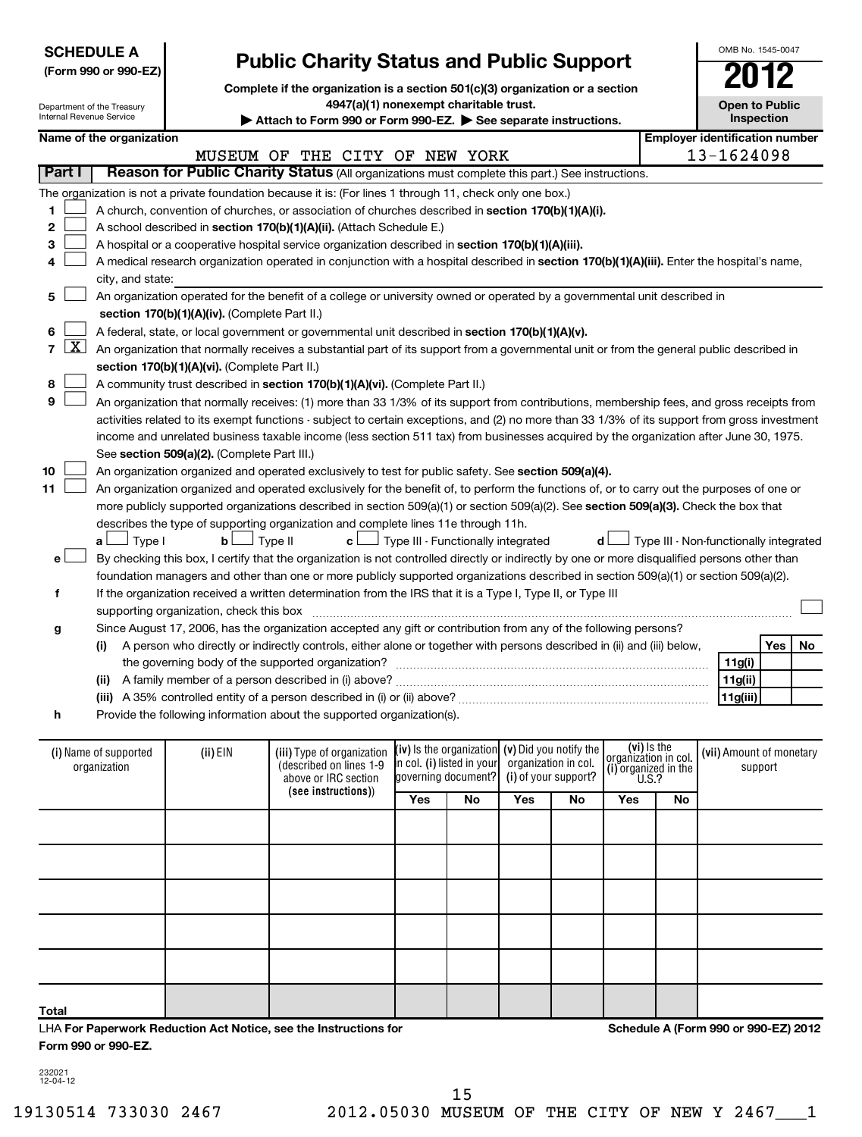| Internal Revenue Service    | <b>SCHEDULE A</b><br>(Form 990 or 990-EZ)<br>Department of the Treasury |                                               | <b>Public Charity Status and Public Support</b><br>Complete if the organization is a section 501(c)(3) organization or a section<br>4947(a)(1) nonexempt charitable trust.<br>Attach to Form 990 or Form 990-EZ. See separate instructions. |                                                   |                                                   |                      |                      |                                                                      |    | OMB No. 1545-0047<br><b>Open to Public</b> | Inspection |    |
|-----------------------------|-------------------------------------------------------------------------|-----------------------------------------------|---------------------------------------------------------------------------------------------------------------------------------------------------------------------------------------------------------------------------------------------|---------------------------------------------------|---------------------------------------------------|----------------------|----------------------|----------------------------------------------------------------------|----|--------------------------------------------|------------|----|
|                             | Name of the organization                                                |                                               |                                                                                                                                                                                                                                             |                                                   |                                                   |                      |                      |                                                                      |    | <b>Employer identification number</b>      |            |    |
|                             |                                                                         |                                               | MUSEUM OF THE CITY OF NEW YORK                                                                                                                                                                                                              |                                                   |                                                   |                      |                      |                                                                      |    | 13-1624098                                 |            |    |
| Part I                      |                                                                         |                                               | Reason for Public Charity Status (All organizations must complete this part.) See instructions.                                                                                                                                             |                                                   |                                                   |                      |                      |                                                                      |    |                                            |            |    |
|                             |                                                                         |                                               | The organization is not a private foundation because it is: (For lines 1 through 11, check only one box.)                                                                                                                                   |                                                   |                                                   |                      |                      |                                                                      |    |                                            |            |    |
| 1                           |                                                                         |                                               | A church, convention of churches, or association of churches described in section 170(b)(1)(A)(i).                                                                                                                                          |                                                   |                                                   |                      |                      |                                                                      |    |                                            |            |    |
| 2                           |                                                                         |                                               | A school described in section 170(b)(1)(A)(ii). (Attach Schedule E.)                                                                                                                                                                        |                                                   |                                                   |                      |                      |                                                                      |    |                                            |            |    |
| 3                           |                                                                         |                                               | A hospital or a cooperative hospital service organization described in section 170(b)(1)(A)(iii).                                                                                                                                           |                                                   |                                                   |                      |                      |                                                                      |    |                                            |            |    |
| 4                           |                                                                         |                                               | A medical research organization operated in conjunction with a hospital described in section 170(b)(1)(A)(iii). Enter the hospital's name,                                                                                                  |                                                   |                                                   |                      |                      |                                                                      |    |                                            |            |    |
|                             | city, and state:                                                        |                                               |                                                                                                                                                                                                                                             |                                                   |                                                   |                      |                      |                                                                      |    |                                            |            |    |
| 5                           |                                                                         |                                               | An organization operated for the benefit of a college or university owned or operated by a governmental unit described in                                                                                                                   |                                                   |                                                   |                      |                      |                                                                      |    |                                            |            |    |
|                             |                                                                         | section 170(b)(1)(A)(iv). (Complete Part II.) |                                                                                                                                                                                                                                             |                                                   |                                                   |                      |                      |                                                                      |    |                                            |            |    |
| 6                           |                                                                         |                                               | A federal, state, or local government or governmental unit described in section 170(b)(1)(A)(v).                                                                                                                                            |                                                   |                                                   |                      |                      |                                                                      |    |                                            |            |    |
| <u>x </u><br>$\overline{7}$ |                                                                         |                                               | An organization that normally receives a substantial part of its support from a governmental unit or from the general public described in                                                                                                   |                                                   |                                                   |                      |                      |                                                                      |    |                                            |            |    |
|                             |                                                                         | section 170(b)(1)(A)(vi). (Complete Part II.) |                                                                                                                                                                                                                                             |                                                   |                                                   |                      |                      |                                                                      |    |                                            |            |    |
| 8                           |                                                                         |                                               | A community trust described in section 170(b)(1)(A)(vi). (Complete Part II.)                                                                                                                                                                |                                                   |                                                   |                      |                      |                                                                      |    |                                            |            |    |
| 9                           |                                                                         |                                               | An organization that normally receives: (1) more than 33 1/3% of its support from contributions, membership fees, and gross receipts from                                                                                                   |                                                   |                                                   |                      |                      |                                                                      |    |                                            |            |    |
|                             |                                                                         |                                               | activities related to its exempt functions - subject to certain exceptions, and (2) no more than 33 1/3% of its support from gross investment                                                                                               |                                                   |                                                   |                      |                      |                                                                      |    |                                            |            |    |
|                             |                                                                         |                                               | income and unrelated business taxable income (less section 511 tax) from businesses acquired by the organization after June 30, 1975.                                                                                                       |                                                   |                                                   |                      |                      |                                                                      |    |                                            |            |    |
|                             |                                                                         | See section 509(a)(2). (Complete Part III.)   |                                                                                                                                                                                                                                             |                                                   |                                                   |                      |                      |                                                                      |    |                                            |            |    |
| 10                          |                                                                         |                                               | An organization organized and operated exclusively to test for public safety. See section 509(a)(4).                                                                                                                                        |                                                   |                                                   |                      |                      |                                                                      |    |                                            |            |    |
| 11                          |                                                                         |                                               | An organization organized and operated exclusively for the benefit of, to perform the functions of, or to carry out the purposes of one or                                                                                                  |                                                   |                                                   |                      |                      |                                                                      |    |                                            |            |    |
|                             |                                                                         |                                               | more publicly supported organizations described in section 509(a)(1) or section 509(a)(2). See section 509(a)(3). Check the box that                                                                                                        |                                                   |                                                   |                      |                      |                                                                      |    |                                            |            |    |
|                             | Type I<br>a L                                                           | $\mathbf{b}$                                  | describes the type of supporting organization and complete lines 11e through 11h.<br>Type II<br>c l                                                                                                                                         |                                                   | Type III - Functionally integrated                |                      | d                    |                                                                      |    | Type III - Non-functionally integrated     |            |    |
| e۱                          |                                                                         |                                               | By checking this box, I certify that the organization is not controlled directly or indirectly by one or more disqualified persons other than                                                                                               |                                                   |                                                   |                      |                      |                                                                      |    |                                            |            |    |
|                             |                                                                         |                                               | foundation managers and other than one or more publicly supported organizations described in section 509(a)(1) or section 509(a)(2).                                                                                                        |                                                   |                                                   |                      |                      |                                                                      |    |                                            |            |    |
| f                           |                                                                         |                                               | If the organization received a written determination from the IRS that it is a Type I, Type II, or Type III                                                                                                                                 |                                                   |                                                   |                      |                      |                                                                      |    |                                            |            |    |
|                             |                                                                         | supporting organization, check this box       |                                                                                                                                                                                                                                             |                                                   |                                                   |                      |                      |                                                                      |    |                                            |            |    |
| g                           |                                                                         |                                               | Since August 17, 2006, has the organization accepted any gift or contribution from any of the following persons?                                                                                                                            |                                                   |                                                   |                      |                      |                                                                      |    |                                            |            |    |
|                             | (i)                                                                     |                                               | A person who directly or indirectly controls, either alone or together with persons described in (ii) and (iii) below,                                                                                                                      |                                                   |                                                   |                      |                      |                                                                      |    |                                            | Yes        | No |
|                             |                                                                         |                                               |                                                                                                                                                                                                                                             |                                                   |                                                   |                      |                      |                                                                      |    | 11g(i)                                     |            |    |
|                             |                                                                         |                                               | (ii) A family member of a person described in (i) above?                                                                                                                                                                                    |                                                   |                                                   |                      |                      |                                                                      |    | 11g(ii)                                    |            |    |
|                             |                                                                         |                                               | (iii) A 35% controlled entity of a person described in (i) or (ii) above?                                                                                                                                                                   |                                                   |                                                   |                      |                      |                                                                      |    | 11g(iii)                                   |            |    |
| h                           |                                                                         |                                               | Provide the following information about the supported organization(s).                                                                                                                                                                      |                                                   |                                                   |                      |                      |                                                                      |    |                                            |            |    |
|                             |                                                                         |                                               |                                                                                                                                                                                                                                             |                                                   |                                                   |                      |                      |                                                                      |    |                                            |            |    |
|                             | (i) Name of supported<br>organization                                   | (ii) EIN                                      | (iii) Type of organization<br>(described on lines 1-9<br>above or IRC section                                                                                                                                                               | in col. (i) listed in your<br>governing document? | (iv) is the organization $(v)$ Did you notify the | organization in col. | (i) of your support? | (vi) is the<br>organizátion in col.<br>(i) organized in the $U.S.$ ? |    | (vii) Amount of monetary                   | support    |    |
|                             |                                                                         |                                               | (see instructions))                                                                                                                                                                                                                         | Yes                                               | No                                                | Yes                  | No                   | Yes                                                                  | No |                                            |            |    |
|                             |                                                                         |                                               |                                                                                                                                                                                                                                             |                                                   |                                                   |                      |                      |                                                                      |    |                                            |            |    |

LHA **For Paperwork Reduction Act Notice, see the Instructions for Form 990 or 990-EZ.**

**Schedule A (Form 990 or 990-EZ) 2012**

232021 12-04-12

**Total**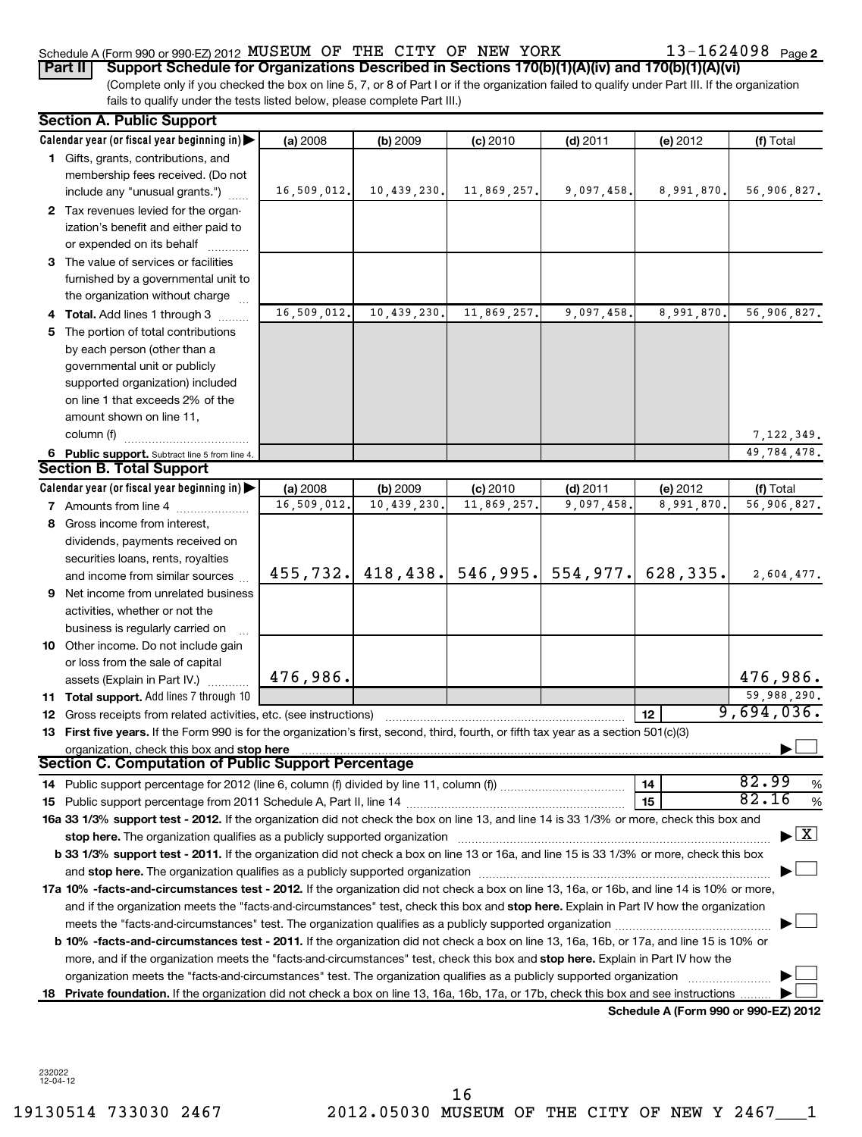### Schedule A (Form 990 or 990-EZ) 2012 MUSEUM OF THE CITY OF NEW YORK  $13$  –  $1624098$  Page **Part II** Support Schedule for Organizations Described in Sections 170(b)(1)(A)(iv) and 170(b)(1)(A)(vi)

13-1624098 <sub>Page 2</sub>

(Complete only if you checked the box on line 5, 7, or 8 of Part I or if the organization failed to qualify under Part III. If the organization fails to qualify under the tests listed below, please complete Part III.)

|    | <b>Section A. Public Support</b>                                                                                                                                                                                                                                                                                                                                           |             |             |             |                                 |                                      |                                          |
|----|----------------------------------------------------------------------------------------------------------------------------------------------------------------------------------------------------------------------------------------------------------------------------------------------------------------------------------------------------------------------------|-------------|-------------|-------------|---------------------------------|--------------------------------------|------------------------------------------|
|    | Calendar year (or fiscal year beginning in)                                                                                                                                                                                                                                                                                                                                | (a) 2008    | (b) 2009    | $(c)$ 2010  | $(d)$ 2011                      | (e) 2012                             | (f) Total                                |
|    | 1 Gifts, grants, contributions, and                                                                                                                                                                                                                                                                                                                                        |             |             |             |                                 |                                      |                                          |
|    | membership fees received. (Do not                                                                                                                                                                                                                                                                                                                                          |             |             |             |                                 |                                      |                                          |
|    | include any "unusual grants.")                                                                                                                                                                                                                                                                                                                                             | 16,509,012. | 10,439,230. | 11,869,257. | 9,097,458.                      | 8,991,870.                           | 56,906,827.                              |
|    | 2 Tax revenues levied for the organ-                                                                                                                                                                                                                                                                                                                                       |             |             |             |                                 |                                      |                                          |
|    | ization's benefit and either paid to                                                                                                                                                                                                                                                                                                                                       |             |             |             |                                 |                                      |                                          |
|    | or expended on its behalf                                                                                                                                                                                                                                                                                                                                                  |             |             |             |                                 |                                      |                                          |
|    | 3 The value of services or facilities                                                                                                                                                                                                                                                                                                                                      |             |             |             |                                 |                                      |                                          |
|    | furnished by a governmental unit to                                                                                                                                                                                                                                                                                                                                        |             |             |             |                                 |                                      |                                          |
|    | the organization without charge                                                                                                                                                                                                                                                                                                                                            |             |             |             |                                 |                                      |                                          |
|    | 4 Total. Add lines 1 through 3                                                                                                                                                                                                                                                                                                                                             | 16,509,012. | 10,439,230. | 11,869,257. | 9,097,458.                      | 8,991,870.                           | 56,906,827.                              |
| 5. | The portion of total contributions                                                                                                                                                                                                                                                                                                                                         |             |             |             |                                 |                                      |                                          |
|    | by each person (other than a                                                                                                                                                                                                                                                                                                                                               |             |             |             |                                 |                                      |                                          |
|    | governmental unit or publicly                                                                                                                                                                                                                                                                                                                                              |             |             |             |                                 |                                      |                                          |
|    | supported organization) included<br>on line 1 that exceeds 2% of the                                                                                                                                                                                                                                                                                                       |             |             |             |                                 |                                      |                                          |
|    | amount shown on line 11,                                                                                                                                                                                                                                                                                                                                                   |             |             |             |                                 |                                      |                                          |
|    | column (f)                                                                                                                                                                                                                                                                                                                                                                 |             |             |             |                                 |                                      | 7,122,349.                               |
|    | 6 Public support. Subtract line 5 from line 4.                                                                                                                                                                                                                                                                                                                             |             |             |             |                                 |                                      | 49,784,478.                              |
|    | <b>Section B. Total Support</b>                                                                                                                                                                                                                                                                                                                                            |             |             |             |                                 |                                      |                                          |
|    | Calendar year (or fiscal year beginning in)                                                                                                                                                                                                                                                                                                                                | (a) 2008    | (b) 2009    | (c) 2010    | $(d)$ 2011                      | (e) 2012                             | (f) Total                                |
|    | <b>7</b> Amounts from line 4                                                                                                                                                                                                                                                                                                                                               | 16,509,012. | 10,439,230. | 11,869,257. | 9,097,458                       | 8,991,870                            | 56,906,827.                              |
|    | 8 Gross income from interest,                                                                                                                                                                                                                                                                                                                                              |             |             |             |                                 |                                      |                                          |
|    | dividends, payments received on                                                                                                                                                                                                                                                                                                                                            |             |             |             |                                 |                                      |                                          |
|    | securities loans, rents, royalties                                                                                                                                                                                                                                                                                                                                         |             |             |             |                                 |                                      |                                          |
|    | and income from similar sources                                                                                                                                                                                                                                                                                                                                            | 455,732.    |             |             | $418, 438.$ 546, 995. 554, 977. | 628,335.                             | 2,604,477.                               |
| 9. | Net income from unrelated business                                                                                                                                                                                                                                                                                                                                         |             |             |             |                                 |                                      |                                          |
|    | activities, whether or not the                                                                                                                                                                                                                                                                                                                                             |             |             |             |                                 |                                      |                                          |
|    | business is regularly carried on                                                                                                                                                                                                                                                                                                                                           |             |             |             |                                 |                                      |                                          |
|    | 10 Other income. Do not include gain                                                                                                                                                                                                                                                                                                                                       |             |             |             |                                 |                                      |                                          |
|    | or loss from the sale of capital                                                                                                                                                                                                                                                                                                                                           |             |             |             |                                 |                                      |                                          |
|    | assets (Explain in Part IV.)                                                                                                                                                                                                                                                                                                                                               | 476,986.    |             |             |                                 |                                      | 476,986.                                 |
|    | 11 Total support. Add lines 7 through 10                                                                                                                                                                                                                                                                                                                                   |             |             |             |                                 |                                      | 59,988,290.                              |
|    | 12 Gross receipts from related activities, etc. (see instructions)                                                                                                                                                                                                                                                                                                         |             |             |             |                                 | 12                                   | 9,694,036.                               |
|    | 13 First five years. If the Form 990 is for the organization's first, second, third, fourth, or fifth tax year as a section 501(c)(3)                                                                                                                                                                                                                                      |             |             |             |                                 |                                      |                                          |
|    | organization, check this box and stop here                                                                                                                                                                                                                                                                                                                                 |             |             |             |                                 |                                      |                                          |
|    | <b>Section C. Computation of Public Support Percentage</b>                                                                                                                                                                                                                                                                                                                 |             |             |             |                                 |                                      |                                          |
|    |                                                                                                                                                                                                                                                                                                                                                                            |             |             |             |                                 | 14                                   | 82.99<br>$\%$<br>82.16                   |
|    |                                                                                                                                                                                                                                                                                                                                                                            |             |             |             |                                 | 15                                   | %                                        |
|    | 16a 33 1/3% support test - 2012. If the organization did not check the box on line 13, and line 14 is 33 1/3% or more, check this box and                                                                                                                                                                                                                                  |             |             |             |                                 |                                      | $\blacktriangleright$ $\boxed{\text{X}}$ |
|    | stop here. The organization qualifies as a publicly supported organization matching manufacture content to content the content of the state of the state of the state of the state of the state of the state of the state of t<br>b 33 1/3% support test - 2011. If the organization did not check a box on line 13 or 16a, and line 15 is 33 1/3% or more, check this box |             |             |             |                                 |                                      |                                          |
|    |                                                                                                                                                                                                                                                                                                                                                                            |             |             |             |                                 |                                      |                                          |
|    | 17a 10% -facts-and-circumstances test - 2012. If the organization did not check a box on line 13, 16a, or 16b, and line 14 is 10% or more,                                                                                                                                                                                                                                 |             |             |             |                                 |                                      |                                          |
|    | and if the organization meets the "facts-and-circumstances" test, check this box and stop here. Explain in Part IV how the organization                                                                                                                                                                                                                                    |             |             |             |                                 |                                      |                                          |
|    |                                                                                                                                                                                                                                                                                                                                                                            |             |             |             |                                 |                                      |                                          |
|    | b 10% -facts-and-circumstances test - 2011. If the organization did not check a box on line 13, 16a, 16b, or 17a, and line 15 is 10% or                                                                                                                                                                                                                                    |             |             |             |                                 |                                      |                                          |
|    | more, and if the organization meets the "facts-and-circumstances" test, check this box and stop here. Explain in Part IV how the                                                                                                                                                                                                                                           |             |             |             |                                 |                                      |                                          |
|    | organization meets the "facts-and-circumstances" test. The organization qualifies as a publicly supported organization                                                                                                                                                                                                                                                     |             |             |             |                                 |                                      |                                          |
|    | 18 Private foundation. If the organization did not check a box on line 13, 16a, 16b, 17a, or 17b, check this box and see instructions.                                                                                                                                                                                                                                     |             |             |             |                                 |                                      |                                          |
|    |                                                                                                                                                                                                                                                                                                                                                                            |             |             |             |                                 | Schedule A (Form 990 or 990-EZ) 2012 |                                          |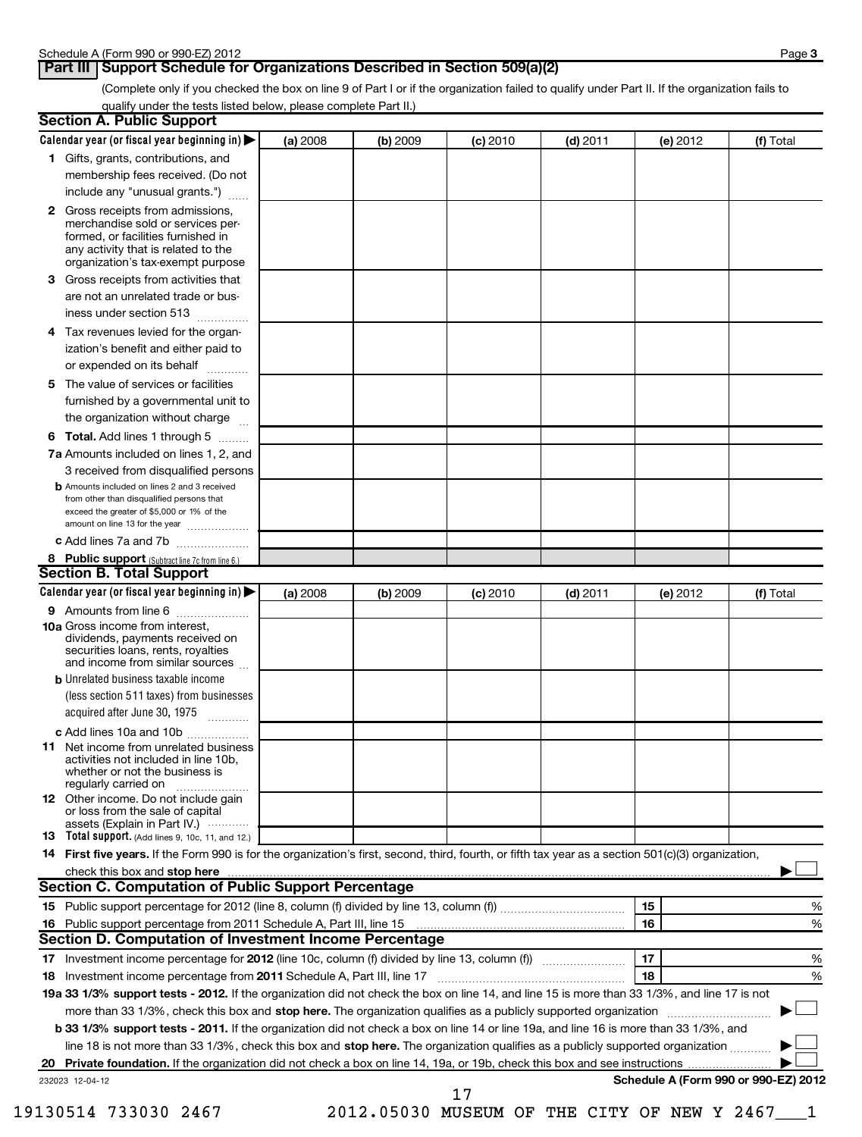## **Part III Support Schedule for Organizations Described in Section 509(a)(2)**

(Complete only if you checked the box on line 9 of Part I or if the organization failed to qualify under Part II. If the organization fails to qualify under the tests listed below, please complete Part II.)

| <b>Section A. Public Support</b>                                                                                                                                                                                               |          |          |            |            |                                      |           |
|--------------------------------------------------------------------------------------------------------------------------------------------------------------------------------------------------------------------------------|----------|----------|------------|------------|--------------------------------------|-----------|
| Calendar year (or fiscal year beginning in)                                                                                                                                                                                    | (a) 2008 | (b) 2009 | $(c)$ 2010 | $(d)$ 2011 | (e) 2012                             | (f) Total |
| 1 Gifts, grants, contributions, and                                                                                                                                                                                            |          |          |            |            |                                      |           |
| membership fees received. (Do not                                                                                                                                                                                              |          |          |            |            |                                      |           |
| include any "unusual grants.")                                                                                                                                                                                                 |          |          |            |            |                                      |           |
| <b>2</b> Gross receipts from admissions,<br>merchandise sold or services per-<br>formed, or facilities furnished in<br>any activity that is related to the<br>organization's tax-exempt purpose                                |          |          |            |            |                                      |           |
| 3 Gross receipts from activities that<br>are not an unrelated trade or bus-                                                                                                                                                    |          |          |            |            |                                      |           |
| iness under section 513                                                                                                                                                                                                        |          |          |            |            |                                      |           |
| Tax revenues levied for the organ-<br>4                                                                                                                                                                                        |          |          |            |            |                                      |           |
| ization's benefit and either paid to<br>or expended on its behalf                                                                                                                                                              |          |          |            |            |                                      |           |
| 5 The value of services or facilities                                                                                                                                                                                          |          |          |            |            |                                      |           |
| furnished by a governmental unit to                                                                                                                                                                                            |          |          |            |            |                                      |           |
| the organization without charge                                                                                                                                                                                                |          |          |            |            |                                      |           |
| <b>6 Total.</b> Add lines 1 through 5                                                                                                                                                                                          |          |          |            |            |                                      |           |
| 7a Amounts included on lines 1, 2, and<br>3 received from disqualified persons                                                                                                                                                 |          |          |            |            |                                      |           |
| <b>b</b> Amounts included on lines 2 and 3 received<br>from other than disqualified persons that<br>exceed the greater of \$5,000 or 1% of the<br>amount on line 13 for the year                                               |          |          |            |            |                                      |           |
| c Add lines 7a and 7b                                                                                                                                                                                                          |          |          |            |            |                                      |           |
| 8 Public support (Subtract line 7c from line 6.)                                                                                                                                                                               |          |          |            |            |                                      |           |
| <b>Section B. Total Support</b>                                                                                                                                                                                                |          |          |            |            |                                      |           |
| Calendar year (or fiscal year beginning in)                                                                                                                                                                                    | (a) 2008 | (b) 2009 | (c) 2010   | $(d)$ 2011 | (e) 2012                             | (f) Total |
| 9 Amounts from line 6<br><b>10a</b> Gross income from interest,                                                                                                                                                                |          |          |            |            |                                      |           |
| dividends, payments received on<br>securities loans, rents, royalties<br>and income from similar sources                                                                                                                       |          |          |            |            |                                      |           |
| <b>b</b> Unrelated business taxable income                                                                                                                                                                                     |          |          |            |            |                                      |           |
| (less section 511 taxes) from businesses                                                                                                                                                                                       |          |          |            |            |                                      |           |
| acquired after June 30, 1975<br>$\overline{\phantom{a}}$                                                                                                                                                                       |          |          |            |            |                                      |           |
| c Add lines 10a and 10b                                                                                                                                                                                                        |          |          |            |            |                                      |           |
| <b>11</b> Net income from unrelated business<br>activities not included in line 10b,<br>whether or not the business is<br>regularly carried on                                                                                 |          |          |            |            |                                      |           |
| 12 Other income. Do not include gain<br>or loss from the sale of capital<br>assets (Explain in Part IV.)                                                                                                                       |          |          |            |            |                                      |           |
| <b>13</b> Total support. (Add lines 9, 10c, 11, and 12.)                                                                                                                                                                       |          |          |            |            |                                      |           |
| 14 First five years. If the Form 990 is for the organization's first, second, third, fourth, or fifth tax year as a section 501(c)(3) organization,                                                                            |          |          |            |            |                                      |           |
| check this box and stop here with the continuum control of the state of the state of the state of the state of the state of the state of the state of the state of the state of the state of the state of the state of the sta |          |          |            |            |                                      |           |
| <b>Section C. Computation of Public Support Percentage</b>                                                                                                                                                                     |          |          |            |            |                                      |           |
|                                                                                                                                                                                                                                |          |          |            |            | 15                                   | %         |
|                                                                                                                                                                                                                                |          |          |            |            | 16                                   | %         |
| Section D. Computation of Investment Income Percentage                                                                                                                                                                         |          |          |            |            |                                      |           |
|                                                                                                                                                                                                                                |          |          |            |            | 17                                   | %         |
| 18 Investment income percentage from 2011 Schedule A, Part III, line 17                                                                                                                                                        |          |          |            |            | 18                                   | %         |
| 19a 33 1/3% support tests - 2012. If the organization did not check the box on line 14, and line 15 is more than 33 1/3%, and line 17 is not                                                                                   |          |          |            |            |                                      |           |
| more than 33 1/3%, check this box and stop here. The organization qualifies as a publicly supported organization                                                                                                               |          |          |            |            |                                      |           |
| b 33 1/3% support tests - 2011. If the organization did not check a box on line 14 or line 19a, and line 16 is more than 33 1/3%, and                                                                                          |          |          |            |            |                                      |           |
| line 18 is not more than 33 1/3%, check this box and stop here. The organization qualifies as a publicly supported organization                                                                                                |          |          |            |            |                                      |           |
| 20<br>232023 12-04-12                                                                                                                                                                                                          |          |          |            |            | Schedule A (Form 990 or 990-EZ) 2012 |           |
|                                                                                                                                                                                                                                |          |          | 17         |            |                                      |           |

19130514 733030 2467 2012.05030 MUSEUM OF THE CITY OF NEW Y 2467\_\_\_1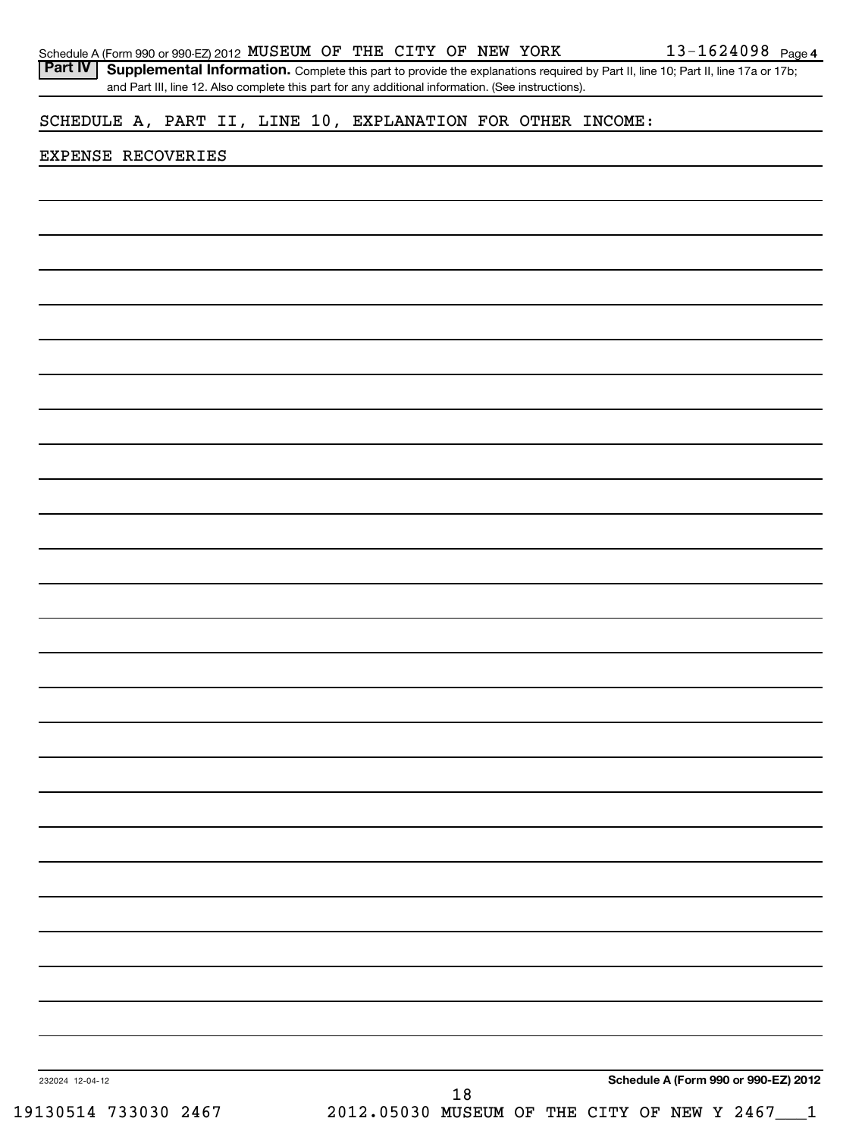| Schedule A (Form 990 or 990-EZ) 2012 MUSEUM OF THE CITY OF NEW YORK                                                                                |  |    |  | 13-1624098 Page 4                               |
|----------------------------------------------------------------------------------------------------------------------------------------------------|--|----|--|-------------------------------------------------|
| <b>Part IV</b><br>Supplemental Information. Complete this part to provide the explanations required by Part II, line 10; Part II, line 17a or 17b; |  |    |  |                                                 |
| and Part III, line 12. Also complete this part for any additional information. (See instructions).                                                 |  |    |  |                                                 |
| SCHEDULE A, PART II, LINE 10, EXPLANATION FOR OTHER INCOME:                                                                                        |  |    |  |                                                 |
| EXPENSE RECOVERIES                                                                                                                                 |  |    |  |                                                 |
|                                                                                                                                                    |  |    |  |                                                 |
|                                                                                                                                                    |  |    |  |                                                 |
|                                                                                                                                                    |  |    |  |                                                 |
|                                                                                                                                                    |  |    |  |                                                 |
|                                                                                                                                                    |  |    |  |                                                 |
|                                                                                                                                                    |  |    |  |                                                 |
|                                                                                                                                                    |  |    |  |                                                 |
|                                                                                                                                                    |  |    |  |                                                 |
|                                                                                                                                                    |  |    |  |                                                 |
|                                                                                                                                                    |  |    |  |                                                 |
|                                                                                                                                                    |  |    |  |                                                 |
|                                                                                                                                                    |  |    |  |                                                 |
|                                                                                                                                                    |  |    |  |                                                 |
|                                                                                                                                                    |  |    |  |                                                 |
|                                                                                                                                                    |  |    |  |                                                 |
|                                                                                                                                                    |  |    |  |                                                 |
|                                                                                                                                                    |  |    |  |                                                 |
|                                                                                                                                                    |  |    |  |                                                 |
|                                                                                                                                                    |  |    |  |                                                 |
|                                                                                                                                                    |  |    |  |                                                 |
|                                                                                                                                                    |  |    |  |                                                 |
|                                                                                                                                                    |  |    |  |                                                 |
|                                                                                                                                                    |  |    |  |                                                 |
|                                                                                                                                                    |  |    |  |                                                 |
|                                                                                                                                                    |  |    |  |                                                 |
|                                                                                                                                                    |  |    |  |                                                 |
|                                                                                                                                                    |  |    |  |                                                 |
|                                                                                                                                                    |  |    |  |                                                 |
|                                                                                                                                                    |  |    |  |                                                 |
|                                                                                                                                                    |  |    |  |                                                 |
|                                                                                                                                                    |  |    |  |                                                 |
|                                                                                                                                                    |  |    |  |                                                 |
|                                                                                                                                                    |  |    |  |                                                 |
|                                                                                                                                                    |  |    |  |                                                 |
|                                                                                                                                                    |  |    |  |                                                 |
|                                                                                                                                                    |  |    |  |                                                 |
|                                                                                                                                                    |  |    |  |                                                 |
| 232024 12-04-12                                                                                                                                    |  |    |  | Schedule A (Form 990 or 990-EZ) 2012            |
|                                                                                                                                                    |  | 18 |  |                                                 |
| 19130514 733030 2467                                                                                                                               |  |    |  | 2012.05030 MUSEUM OF THE CITY OF NEW Y 2467___1 |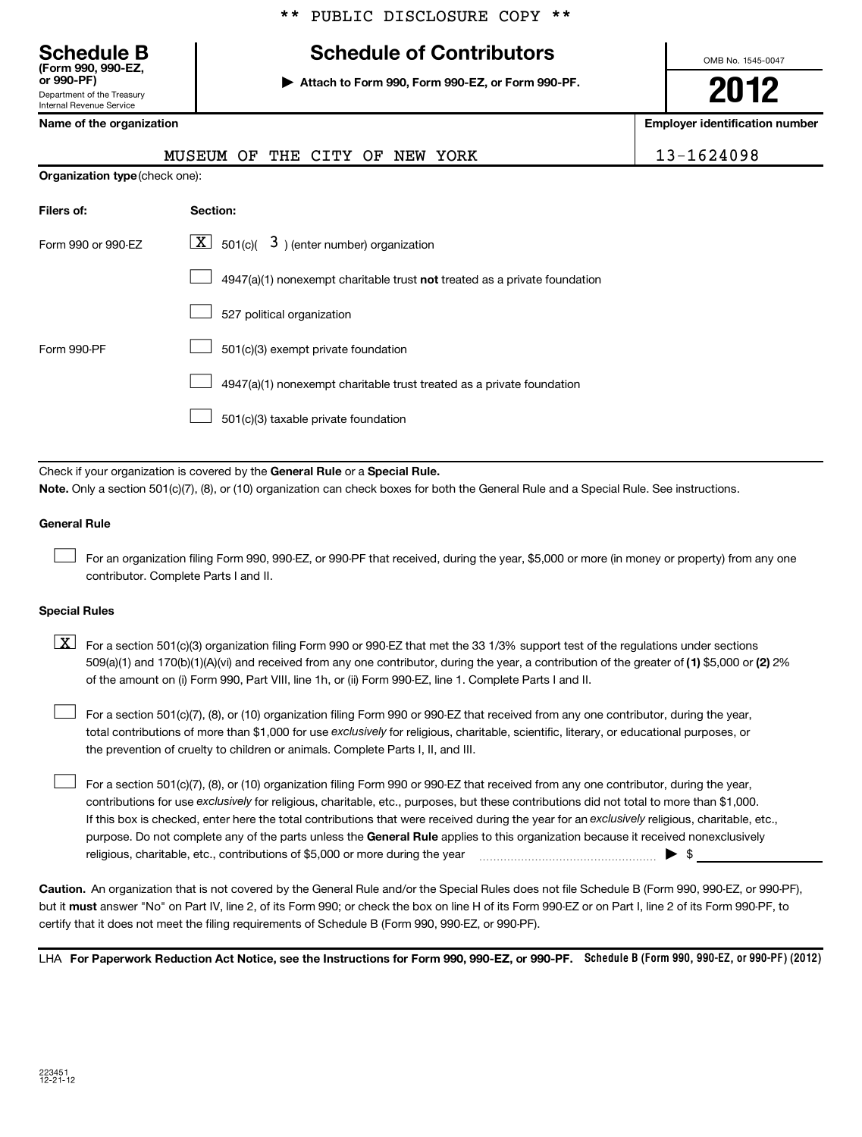# **(Form 990, 990-EZ,**

**Schedule B Schedule of Contributors**

**or 990-PF) | Attach to Form 990, Form 990-EZ, or Form 990-PF.**

MUSEUM OF THE CITY OF NEW YORK [13\_1624098]

OMB No. 1545-0047

**2012**

**Name of the organization Employer identification number**

| ן וואדטכפי                                             |
|--------------------------------------------------------|
| Department of the Treasury<br>Internal Revenue Service |

|                                | nopevn or<br>للالديات تتعتد<br>ັບມ<br>-----<br>エヘエハエ                      | TA TATANA |
|--------------------------------|---------------------------------------------------------------------------|-----------|
| Organization type (check one): |                                                                           |           |
| Filers of:                     | Section:                                                                  |           |
| Form 990 or 990-EZ             | $\lfloor \mathbf{X} \rfloor$ 501(c)(<br>$3$ ) (enter number) organization |           |
|                                | 4947(a)(1) nonexempt charitable trust not treated as a private foundation |           |
|                                | 527 political organization                                                |           |
| Form 990-PF                    | 501(c)(3) exempt private foundation                                       |           |
|                                | 4947(a)(1) nonexempt charitable trust treated as a private foundation     |           |
|                                | 501(c)(3) taxable private foundation                                      |           |

Check if your organization is covered by the General Rule or a Special Rule. **Note.**  Only a section 501(c)(7), (8), or (10) organization can check boxes for both the General Rule and a Special Rule. See instructions.

### **General Rule**

For an organization filing Form 990, 990-EZ, or 990-PF that received, during the year, \$5,000 or more (in money or property) from any one contributor. Complete Parts I and II.  $\left\vert \cdot\right\vert$ 

#### **Special Rules**

509(a)(1) and 170(b)(1)(A)(vi) and received from any one contributor, during the year, a contribution of the greater of (1**)** \$5,000 or (**2**) 2%  $\boxed{\textbf{X}}$  For a section 501(c)(3) organization filing Form 990 or 990-EZ that met the 33 1/3% support test of the regulations under sections of the amount on (i) Form 990, Part VIII, line 1h, or (ii) Form 990-EZ, line 1. Complete Parts I and II.

total contributions of more than \$1,000 for use exclusively for religious, charitable, scientific, literary, or educational purposes, or For a section 501(c)(7), (8), or (10) organization filing Form 990 or 990-EZ that received from any one contributor, during the year, the prevention of cruelty to children or animals. Complete Parts I, II, and III.  $\left\vert \cdot\right\vert$ 

purpose. Do not complete any of the parts unless the General Rule applies to this organization because it received nonexclusively contributions for use exclusively for religious, charitable, etc., purposes, but these contributions did not total to more than \$1,000. If this box is checked, enter here the total contributions that were received during the year for an exclusively religious, charitable, etc., For a section 501(c)(7), (8), or (10) organization filing Form 990 or 990-EZ that received from any one contributor, during the year, religious, charitable, etc., contributions of \$5,000 or more during the year  $\ldots$   $\ldots$   $\ldots$   $\ldots$   $\ldots$   $\ldots$   $\ldots$   $\ldots$   $\ldots$  $\left\vert \cdot\right\vert$ 

**Caution.** An organization that is not covered by the General Rule and/or the Special Rules does not file Schedule B (Form 990, 990-EZ, or 990-PF), but it **must** answer "No" on Part IV, line 2, of its Form 990; or check the box on line H of its Form 990-EZ or on Part I, line 2 of its Form 990-PF, to certify that it does not meet the filing requirements of Schedule B (Form 990, 990-EZ, or 990-PF).

LHA For Paperwork Reduction Act Notice, see the Instructions for Form 990, 990-EZ, or 990-PF. Schedule B (Form 990, 990-EZ, or 990-PF) (2012)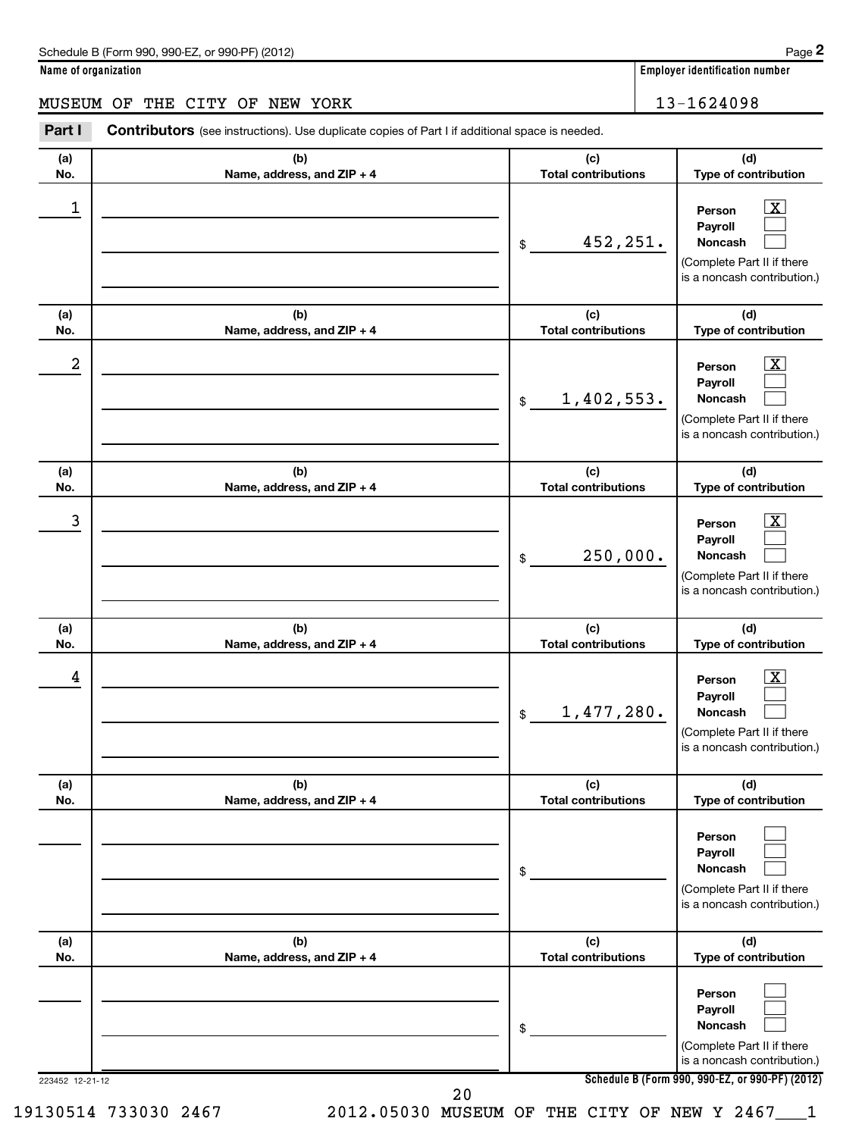**Name of organization Employer identification number**

MUSEUM OF THE CITY OF NEW YORK 13-1624098

| Part I           | <b>Contributors</b> (see instructions). Use duplicate copies of Part I if additional space is needed. |                                   |                                                                                                                         |
|------------------|-------------------------------------------------------------------------------------------------------|-----------------------------------|-------------------------------------------------------------------------------------------------------------------------|
| (a)<br>No.       | (b)<br>Name, address, and ZIP + 4                                                                     | (c)<br><b>Total contributions</b> | (d)<br>Type of contribution                                                                                             |
| 1                |                                                                                                       | 452,251.<br>\$                    | $\boxed{\text{X}}$<br>Person<br>Payroll<br>Noncash<br>(Complete Part II if there<br>is a noncash contribution.)         |
| (a)<br>No.       | (b)<br>Name, address, and ZIP + 4                                                                     | (c)<br><b>Total contributions</b> | (d)<br>Type of contribution                                                                                             |
| $\boldsymbol{2}$ |                                                                                                       | 1,402,553.<br>$\frac{1}{2}$       | $\boxed{\text{X}}$<br>Person<br>Payroll<br>Noncash<br>(Complete Part II if there<br>is a noncash contribution.)         |
| (a)<br>No.       | (b)<br>Name, address, and ZIP + 4                                                                     | (c)<br><b>Total contributions</b> | (d)<br>Type of contribution                                                                                             |
| 3                |                                                                                                       | 250,000.<br>\$                    | $\boxed{\text{X}}$<br>Person<br>Payroll<br>Noncash<br>(Complete Part II if there<br>is a noncash contribution.)         |
| (a)<br>No.       | (b)<br>Name, address, and ZIP + 4                                                                     | (c)<br><b>Total contributions</b> | (d)<br>Type of contribution                                                                                             |
| 4                |                                                                                                       | 1,477,280.<br>$\mathfrak{S}$      | $\lfloor x \rfloor$<br>Person<br>Payroll<br><b>Noncash</b><br>(Complete Part II if there<br>is a noncash contribution.) |
| (a)<br>No.       | (b)<br>Name, address, and ZIP + 4                                                                     | (c)<br><b>Total contributions</b> | (d)<br>Type of contribution                                                                                             |
|                  |                                                                                                       | \$                                | Person<br>Payroll<br>Noncash<br>(Complete Part II if there<br>is a noncash contribution.)                               |
| (a)<br>No.       | (b)<br>Name, address, and ZIP + 4                                                                     | (c)<br><b>Total contributions</b> | (d)<br>Type of contribution                                                                                             |
|                  |                                                                                                       | \$                                | Person<br>Payroll<br>Noncash<br>(Complete Part II if there<br>is a noncash contribution.)                               |
| 223452 12-21-12  |                                                                                                       | 20                                | Schedule B (Form 990, 990-EZ, or 990-PF) (2012)                                                                         |

19130514 733030 2467 2012.05030 MUSEUM OF THE CITY OF NEW Y 2467\_\_\_1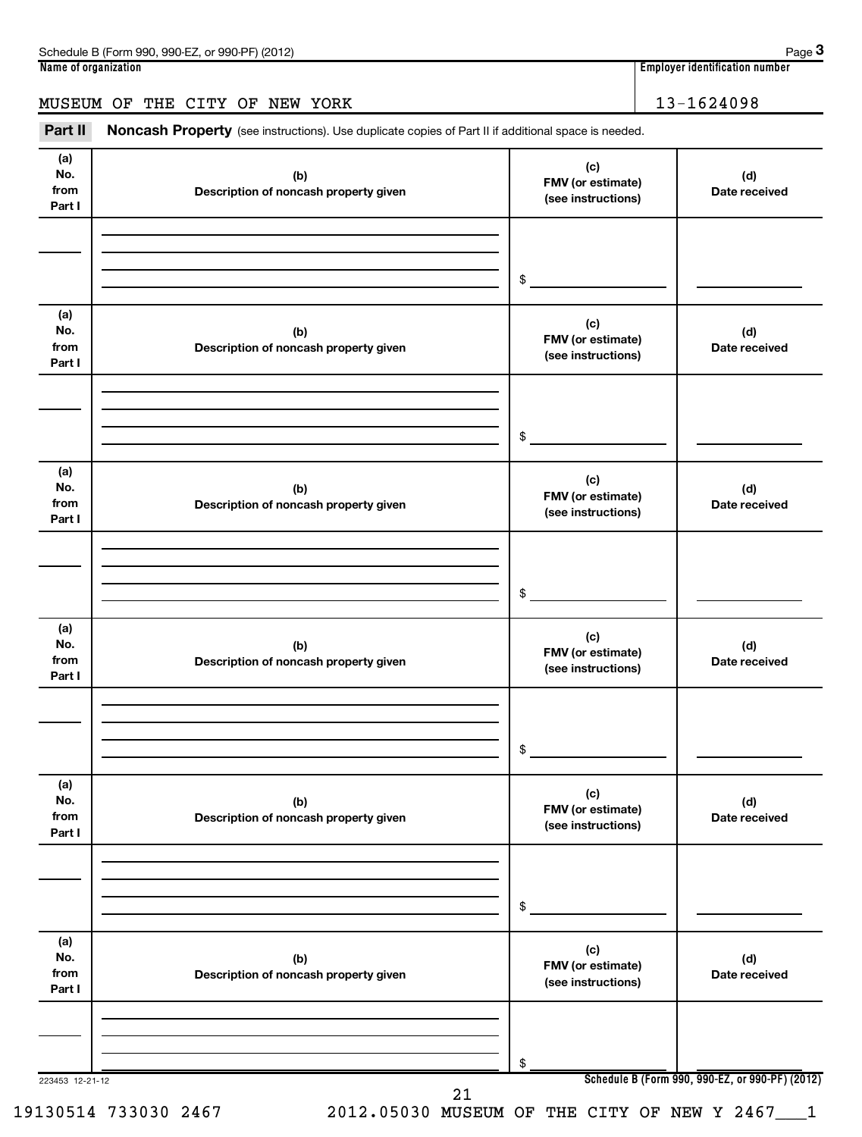| Schedule B (Form 990, 990-EZ, or 990-PF) (2012)                                                                       | Page 3                           |
|-----------------------------------------------------------------------------------------------------------------------|----------------------------------|
| Name of organization                                                                                                  | ' Employer identification number |
| MUSEUM OF THE CITY OF NEW YORK                                                                                        | 13-1624098                       |
| Part II<br><b>Noncash Property</b> (see instructions). Use duplicate copies of Part II if additional space is needed. |                                  |

| (a)<br>No.<br>from<br>Part I | (b)<br>Description of noncash property given | (c)<br>FMV (or estimate)<br>(see instructions) | (d)<br>Date received                            |
|------------------------------|----------------------------------------------|------------------------------------------------|-------------------------------------------------|
|                              |                                              |                                                |                                                 |
|                              |                                              | \$                                             |                                                 |
| (a)<br>No.<br>from<br>Part I | (b)<br>Description of noncash property given | (c)<br>FMV (or estimate)<br>(see instructions) | (d)<br>Date received                            |
|                              |                                              | \$                                             |                                                 |
| (a)<br>No.<br>from<br>Part I | (b)<br>Description of noncash property given | (c)<br>FMV (or estimate)<br>(see instructions) | (d)<br>Date received                            |
|                              |                                              | \$                                             |                                                 |
| (a)<br>No.<br>from<br>Part I | (b)<br>Description of noncash property given | (c)<br>FMV (or estimate)<br>(see instructions) | (d)<br>Date received                            |
|                              |                                              | \$                                             |                                                 |
| (a)<br>No.<br>from<br>Part I | (b)<br>Description of noncash property given | (c)<br>FMV (or estimate)<br>(see instructions) | (d)<br>Date received                            |
|                              |                                              | \$                                             |                                                 |
| (a)<br>No.<br>from<br>Part I | (b)<br>Description of noncash property given | (c)<br>FMV (or estimate)<br>(see instructions) | (d)<br>Date received                            |
|                              |                                              | \$                                             |                                                 |
| 223453 12-21-12              | 21                                           |                                                | Schedule B (Form 990, 990-EZ, or 990-PF) (2012) |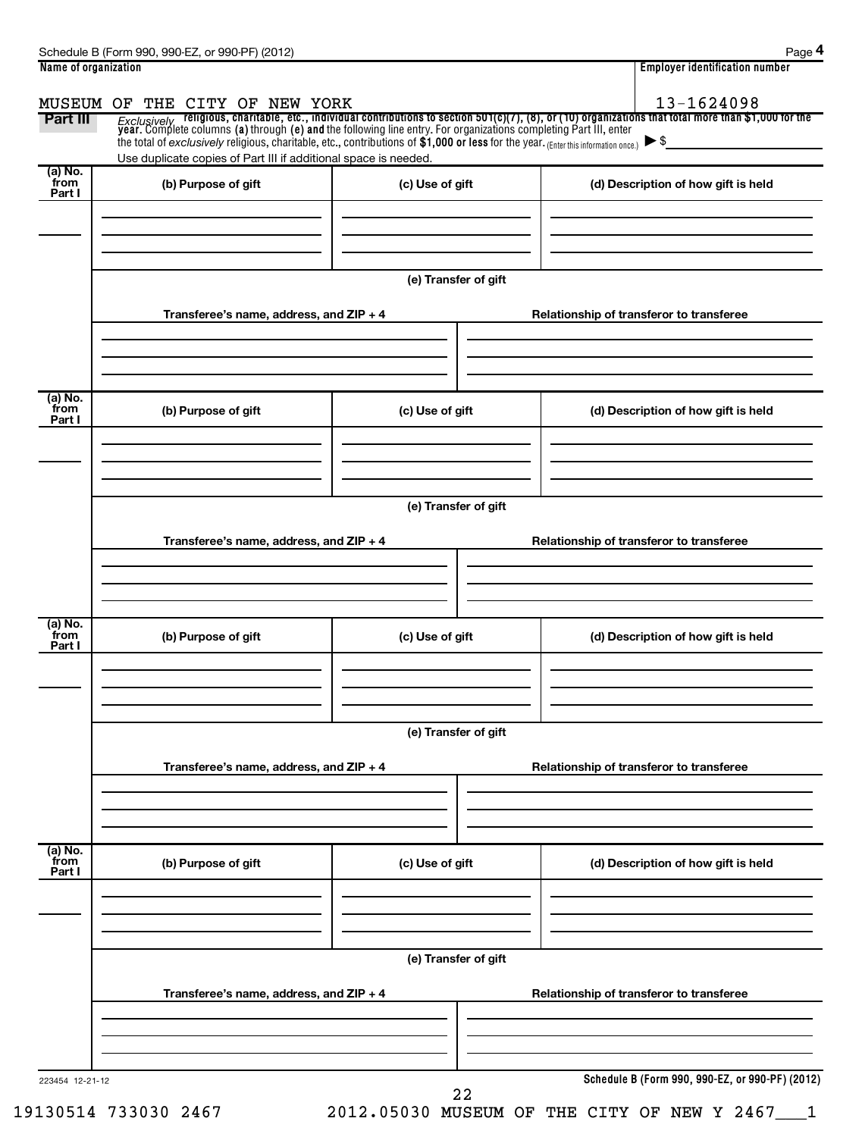|                           |                                                                                                                                                                                                        |                      | <b>Employer identification number</b>                                                                                                                                                                                              |
|---------------------------|--------------------------------------------------------------------------------------------------------------------------------------------------------------------------------------------------------|----------------------|------------------------------------------------------------------------------------------------------------------------------------------------------------------------------------------------------------------------------------|
| MUSEUM OF                 | THE CITY OF NEW YORK                                                                                                                                                                                   |                      | 13-1624098                                                                                                                                                                                                                         |
| Part III                  |                                                                                                                                                                                                        |                      | Exclusively religious, charitable, etc., individual contributions to section 501(c)(7), (8), or (10) organizations that total more than \$1,000 for the<br>year. Complete columns (a) through (e) and the following line entry. Fo |
|                           | the total of exclusively religious, charitable, etc., contributions of \$1,000 or less for the year. (Enter this information once.)<br>Use duplicate copies of Part III if additional space is needed. |                      | $\blacktriangleright$ \$                                                                                                                                                                                                           |
| (a) No.<br>from           |                                                                                                                                                                                                        |                      |                                                                                                                                                                                                                                    |
| Part I                    | (b) Purpose of gift                                                                                                                                                                                    | (c) Use of gift      | (d) Description of how gift is held                                                                                                                                                                                                |
|                           |                                                                                                                                                                                                        |                      |                                                                                                                                                                                                                                    |
|                           |                                                                                                                                                                                                        |                      |                                                                                                                                                                                                                                    |
|                           |                                                                                                                                                                                                        |                      |                                                                                                                                                                                                                                    |
|                           |                                                                                                                                                                                                        | (e) Transfer of gift |                                                                                                                                                                                                                                    |
|                           | Transferee's name, address, and ZIP + 4                                                                                                                                                                |                      | Relationship of transferor to transferee                                                                                                                                                                                           |
|                           |                                                                                                                                                                                                        |                      |                                                                                                                                                                                                                                    |
|                           |                                                                                                                                                                                                        |                      |                                                                                                                                                                                                                                    |
|                           |                                                                                                                                                                                                        |                      |                                                                                                                                                                                                                                    |
| (a) No.<br>from           |                                                                                                                                                                                                        |                      |                                                                                                                                                                                                                                    |
| Part I                    | (b) Purpose of gift                                                                                                                                                                                    | (c) Use of gift      | (d) Description of how gift is held                                                                                                                                                                                                |
|                           |                                                                                                                                                                                                        |                      |                                                                                                                                                                                                                                    |
|                           |                                                                                                                                                                                                        |                      |                                                                                                                                                                                                                                    |
|                           |                                                                                                                                                                                                        |                      |                                                                                                                                                                                                                                    |
|                           |                                                                                                                                                                                                        | (e) Transfer of gift |                                                                                                                                                                                                                                    |
|                           | Transferee's name, address, and ZIP + 4                                                                                                                                                                |                      | Relationship of transferor to transferee                                                                                                                                                                                           |
|                           |                                                                                                                                                                                                        |                      |                                                                                                                                                                                                                                    |
|                           |                                                                                                                                                                                                        |                      |                                                                                                                                                                                                                                    |
|                           |                                                                                                                                                                                                        |                      |                                                                                                                                                                                                                                    |
| (a) No.<br>from           | (b) Purpose of gift                                                                                                                                                                                    | (c) Use of gift      | (d) Description of how gift is held                                                                                                                                                                                                |
| Part I                    |                                                                                                                                                                                                        |                      |                                                                                                                                                                                                                                    |
|                           |                                                                                                                                                                                                        |                      |                                                                                                                                                                                                                                    |
|                           |                                                                                                                                                                                                        |                      |                                                                                                                                                                                                                                    |
|                           |                                                                                                                                                                                                        |                      |                                                                                                                                                                                                                                    |
|                           |                                                                                                                                                                                                        |                      |                                                                                                                                                                                                                                    |
|                           |                                                                                                                                                                                                        | (e) Transfer of gift |                                                                                                                                                                                                                                    |
|                           | Transferee's name, address, and ZIP + 4                                                                                                                                                                |                      | Relationship of transferor to transferee                                                                                                                                                                                           |
|                           |                                                                                                                                                                                                        |                      |                                                                                                                                                                                                                                    |
|                           |                                                                                                                                                                                                        |                      |                                                                                                                                                                                                                                    |
|                           |                                                                                                                                                                                                        |                      |                                                                                                                                                                                                                                    |
|                           | (b) Purpose of gift                                                                                                                                                                                    | (c) Use of gift      | (d) Description of how gift is held                                                                                                                                                                                                |
|                           |                                                                                                                                                                                                        |                      |                                                                                                                                                                                                                                    |
|                           |                                                                                                                                                                                                        |                      |                                                                                                                                                                                                                                    |
|                           |                                                                                                                                                                                                        |                      |                                                                                                                                                                                                                                    |
|                           |                                                                                                                                                                                                        | (e) Transfer of gift |                                                                                                                                                                                                                                    |
|                           |                                                                                                                                                                                                        |                      |                                                                                                                                                                                                                                    |
|                           | Transferee's name, address, and ZIP + 4                                                                                                                                                                |                      | Relationship of transferor to transferee                                                                                                                                                                                           |
|                           |                                                                                                                                                                                                        |                      |                                                                                                                                                                                                                                    |
| (a) No.<br>from<br>Part I |                                                                                                                                                                                                        |                      |                                                                                                                                                                                                                                    |

19130514 733030 2467 2012.05030 MUSEUM OF THE CITY OF NEW Y 2467\_\_\_1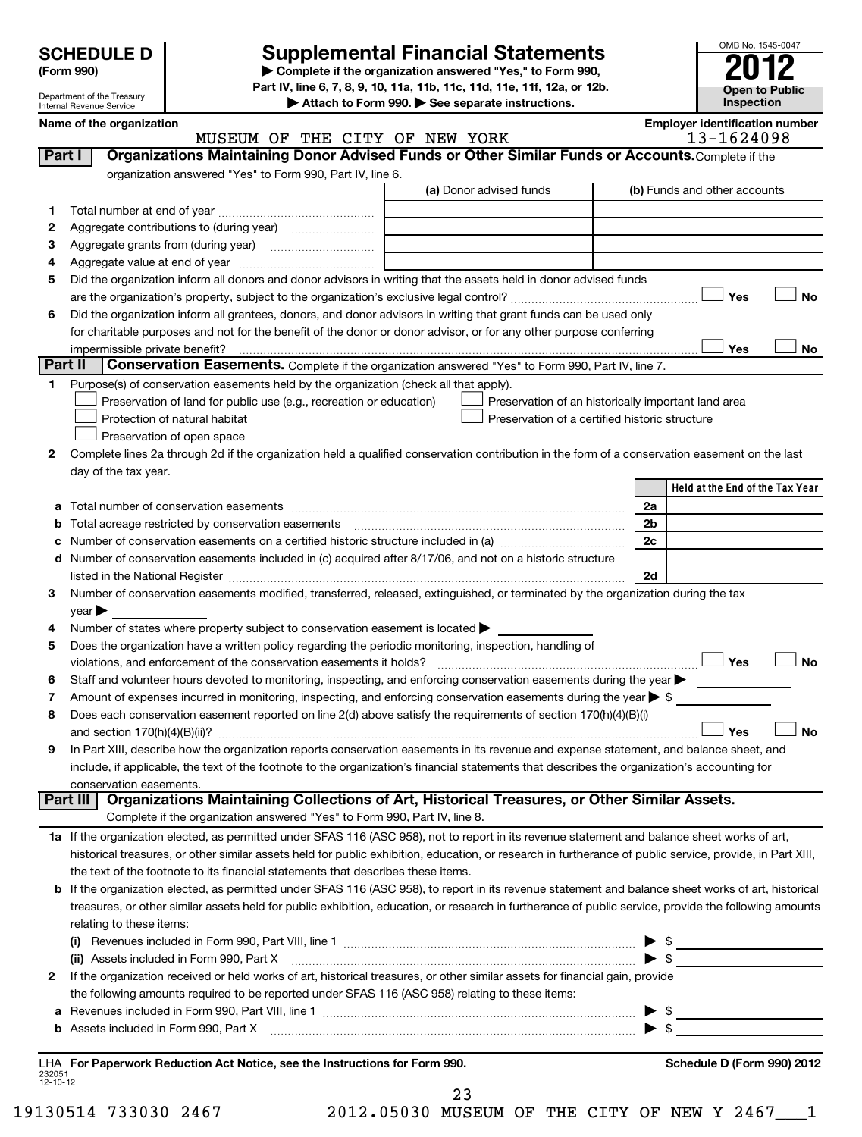Department of the Treasury Internal Revenue Service

# **Supplemental Financial Statements**

**(Form 990) | Complete if the organization answered "Yes," to Form 990, Part IV, line 6, 7, 8, 9, 10, 11a, 11b, 11c, 11d, 11e, 11f, 12a, or 12b.**

**| Attach to Form 990. | See separate instructions.**

| <b>Open to Public</b><br><b>Inspection</b> |
|--------------------------------------------|

OMB No. 1545-0047

**Year** 

|                | Name of the organization                                                                                                                                                |                                                     |                          | <b>Employer identification number</b> |           |
|----------------|-------------------------------------------------------------------------------------------------------------------------------------------------------------------------|-----------------------------------------------------|--------------------------|---------------------------------------|-----------|
|                | MUSEUM OF THE CITY OF NEW YORK                                                                                                                                          |                                                     |                          | 13-1624098                            |           |
| Part I         | Organizations Maintaining Donor Advised Funds or Other Similar Funds or Accounts. Complete if the                                                                       |                                                     |                          |                                       |           |
|                | organization answered "Yes" to Form 990, Part IV, line 6.                                                                                                               |                                                     |                          |                                       |           |
|                |                                                                                                                                                                         | (a) Donor advised funds                             |                          | (b) Funds and other accounts          |           |
| 1.             |                                                                                                                                                                         |                                                     |                          |                                       |           |
| 2              |                                                                                                                                                                         |                                                     |                          |                                       |           |
| з              |                                                                                                                                                                         |                                                     |                          |                                       |           |
| 4              |                                                                                                                                                                         |                                                     |                          |                                       |           |
| 5              | Did the organization inform all donors and donor advisors in writing that the assets held in donor advised funds                                                        |                                                     |                          |                                       |           |
|                |                                                                                                                                                                         |                                                     |                          | Yes                                   | No        |
| 6              | Did the organization inform all grantees, donors, and donor advisors in writing that grant funds can be used only                                                       |                                                     |                          |                                       |           |
|                | for charitable purposes and not for the benefit of the donor or donor advisor, or for any other purpose conferring                                                      |                                                     |                          |                                       |           |
|                |                                                                                                                                                                         |                                                     |                          | Yes                                   | No        |
| <b>Part II</b> | Conservation Easements. Complete if the organization answered "Yes" to Form 990, Part IV, line 7.                                                                       |                                                     |                          |                                       |           |
| 1.             | Purpose(s) of conservation easements held by the organization (check all that apply).                                                                                   |                                                     |                          |                                       |           |
|                | Preservation of land for public use (e.g., recreation or education)                                                                                                     | Preservation of an historically important land area |                          |                                       |           |
|                | Protection of natural habitat                                                                                                                                           | Preservation of a certified historic structure      |                          |                                       |           |
|                | Preservation of open space                                                                                                                                              |                                                     |                          |                                       |           |
| 2              | Complete lines 2a through 2d if the organization held a qualified conservation contribution in the form of a conservation easement on the last                          |                                                     |                          |                                       |           |
|                | day of the tax year.                                                                                                                                                    |                                                     |                          |                                       |           |
|                |                                                                                                                                                                         |                                                     |                          | Held at the End of the Tax Year       |           |
| а              |                                                                                                                                                                         |                                                     | 2a                       |                                       |           |
| b              | Total acreage restricted by conservation easements                                                                                                                      |                                                     | 2b                       |                                       |           |
|                |                                                                                                                                                                         |                                                     | 2c                       |                                       |           |
| d              | Number of conservation easements included in (c) acquired after 8/17/06, and not on a historic structure                                                                |                                                     |                          |                                       |           |
|                |                                                                                                                                                                         |                                                     | 2d                       |                                       |           |
| з              | Number of conservation easements modified, transferred, released, extinguished, or terminated by the organization during the tax                                        |                                                     |                          |                                       |           |
|                | year                                                                                                                                                                    |                                                     |                          |                                       |           |
| 4              | Number of states where property subject to conservation easement is located >                                                                                           |                                                     |                          |                                       |           |
| 5              | Does the organization have a written policy regarding the periodic monitoring, inspection, handling of                                                                  |                                                     |                          |                                       |           |
|                | violations, and enforcement of the conservation easements it holds?                                                                                                     |                                                     |                          | Yes                                   | <b>No</b> |
| 6              | Staff and volunteer hours devoted to monitoring, inspecting, and enforcing conservation easements during the year                                                       |                                                     |                          |                                       |           |
| 7              | Amount of expenses incurred in monitoring, inspecting, and enforcing conservation easements during the year $\blacktriangleright$ \$                                    |                                                     |                          |                                       |           |
| 8              | Does each conservation easement reported on line 2(d) above satisfy the requirements of section 170(h)(4)(B)(i)                                                         |                                                     |                          |                                       | <b>No</b> |
|                |                                                                                                                                                                         |                                                     |                          | Yes                                   |           |
| 9              | In Part XIII, describe how the organization reports conservation easements in its revenue and expense statement, and balance sheet, and                                 |                                                     |                          |                                       |           |
|                | include, if applicable, the text of the footnote to the organization's financial statements that describes the organization's accounting for<br>conservation easements. |                                                     |                          |                                       |           |
|                | Organizations Maintaining Collections of Art, Historical Treasures, or Other Similar Assets.<br>Part III                                                                |                                                     |                          |                                       |           |
|                | Complete if the organization answered "Yes" to Form 990, Part IV, line 8.                                                                                               |                                                     |                          |                                       |           |
|                | 1a If the organization elected, as permitted under SFAS 116 (ASC 958), not to report in its revenue statement and balance sheet works of art,                           |                                                     |                          |                                       |           |
|                | historical treasures, or other similar assets held for public exhibition, education, or research in furtherance of public service, provide, in Part XIII,               |                                                     |                          |                                       |           |
|                | the text of the footnote to its financial statements that describes these items.                                                                                        |                                                     |                          |                                       |           |
|                | b If the organization elected, as permitted under SFAS 116 (ASC 958), to report in its revenue statement and balance sheet works of art, historical                     |                                                     |                          |                                       |           |
|                | treasures, or other similar assets held for public exhibition, education, or research in furtherance of public service, provide the following amounts                   |                                                     |                          |                                       |           |
|                | relating to these items:                                                                                                                                                |                                                     |                          |                                       |           |
|                |                                                                                                                                                                         |                                                     |                          | $\triangleright$ \$                   |           |
|                | (ii) Assets included in Form 990, Part X                                                                                                                                |                                                     |                          | $\blacktriangleright$ \$              |           |
| 2              | If the organization received or held works of art, historical treasures, or other similar assets for financial gain, provide                                            |                                                     |                          |                                       |           |
|                | the following amounts required to be reported under SFAS 116 (ASC 958) relating to these items:                                                                         |                                                     |                          |                                       |           |
| а              |                                                                                                                                                                         |                                                     | $\blacktriangleright$ \$ |                                       |           |
|                |                                                                                                                                                                         |                                                     |                          |                                       |           |

**b** Assets included in Form 990, Part X ~~~~~~~~~~~~~~~~~~~~~~~~~~~~~~~~~~~ | \$

232051 12-10-12 **For Paperwork Reduction Act Notice, see the Instructions for Form 990. Schedule D (Form 990) 2012** LHA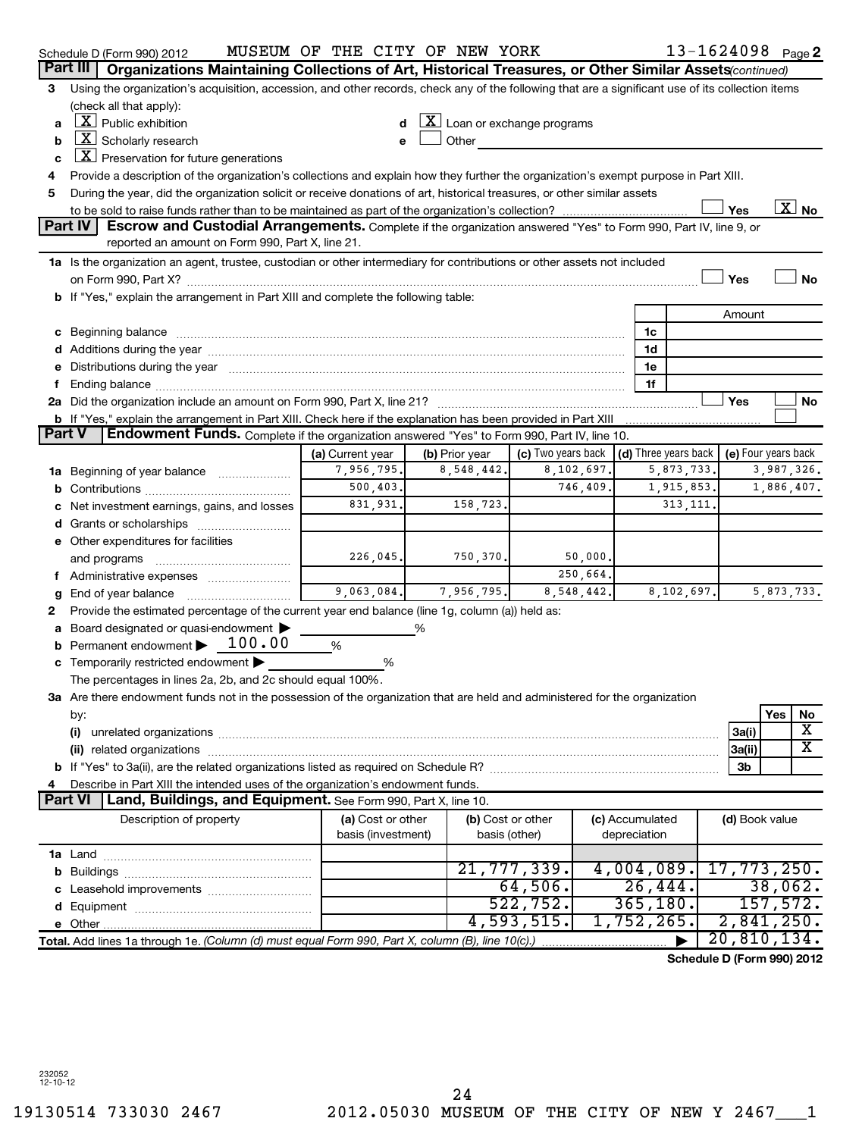|        | Schedule D (Form 990) 2012                                                                                                                                                                                                     | MUSEUM OF THE CITY OF NEW YORK |                |                                                                             |            |                 | $13 - 1624098$ Page 2      |                |            |                          |
|--------|--------------------------------------------------------------------------------------------------------------------------------------------------------------------------------------------------------------------------------|--------------------------------|----------------|-----------------------------------------------------------------------------|------------|-----------------|----------------------------|----------------|------------|--------------------------|
|        | Part III<br>Organizations Maintaining Collections of Art, Historical Treasures, or Other Similar Assets (continued)                                                                                                            |                                |                |                                                                             |            |                 |                            |                |            |                          |
| 3      | Using the organization's acquisition, accession, and other records, check any of the following that are a significant use of its collection items                                                                              |                                |                |                                                                             |            |                 |                            |                |            |                          |
|        | (check all that apply):                                                                                                                                                                                                        |                                |                |                                                                             |            |                 |                            |                |            |                          |
| a      | $\lfloor \underline{X} \rfloor$ Public exhibition                                                                                                                                                                              |                                |                | $\lfloor x \rfloor$ Loan or exchange programs                               |            |                 |                            |                |            |                          |
| b      | $\lfloor \underline{X} \rfloor$ Scholarly research                                                                                                                                                                             |                                | Other          |                                                                             |            |                 |                            |                |            |                          |
| c      | $\lfloor \underline{x} \rfloor$ Preservation for future generations                                                                                                                                                            |                                |                |                                                                             |            |                 |                            |                |            |                          |
| 4      | Provide a description of the organization's collections and explain how they further the organization's exempt purpose in Part XIII.                                                                                           |                                |                |                                                                             |            |                 |                            |                |            |                          |
| 5      | During the year, did the organization solicit or receive donations of art, historical treasures, or other similar assets                                                                                                       |                                |                |                                                                             |            |                 |                            |                |            |                          |
|        |                                                                                                                                                                                                                                |                                |                |                                                                             |            |                 |                            | Yes            |            | $\overline{\text{X}}$ No |
|        | Part IV<br>Escrow and Custodial Arrangements. Complete if the organization answered "Yes" to Form 990, Part IV, line 9, or                                                                                                     |                                |                |                                                                             |            |                 |                            |                |            |                          |
|        | reported an amount on Form 990, Part X, line 21.                                                                                                                                                                               |                                |                |                                                                             |            |                 |                            |                |            |                          |
|        | 1a Is the organization an agent, trustee, custodian or other intermediary for contributions or other assets not included                                                                                                       |                                |                |                                                                             |            |                 |                            |                |            |                          |
|        |                                                                                                                                                                                                                                |                                |                |                                                                             |            |                 |                            | Yes            |            | No                       |
|        | b If "Yes," explain the arrangement in Part XIII and complete the following table:                                                                                                                                             |                                |                |                                                                             |            |                 |                            |                |            |                          |
|        |                                                                                                                                                                                                                                |                                |                |                                                                             |            |                 |                            | Amount         |            |                          |
|        |                                                                                                                                                                                                                                |                                |                |                                                                             |            | 1c              |                            |                |            |                          |
|        | d Additions during the year manufactured and an account of the year manufactured and account of the year manufactured and account of the year manufactured and account of the year manufactured and account of the year manufa |                                |                |                                                                             |            | 1d              |                            |                |            |                          |
|        | Distributions during the year manufactured and an according to the state of the state of the state of the state of the state of the state of the state of the state of the state of the state of the state of the state of the |                                |                |                                                                             |            | 1e              |                            |                |            |                          |
|        |                                                                                                                                                                                                                                |                                |                |                                                                             |            | 1f              |                            |                |            |                          |
|        |                                                                                                                                                                                                                                |                                |                |                                                                             |            |                 |                            | Yes            |            | No                       |
|        | b If "Yes," explain the arrangement in Part XIII. Check here if the explanation has been provided in Part XIII                                                                                                                 |                                |                |                                                                             |            |                 |                            |                |            |                          |
| Part V | Endowment Funds. Complete if the organization answered "Yes" to Form 990, Part IV, line 10.                                                                                                                                    |                                |                |                                                                             |            |                 |                            |                |            |                          |
|        |                                                                                                                                                                                                                                | (a) Current year               | (b) Prior year | (c) Two years back $\vert$ (d) Three years back $\vert$ (e) Four years back |            |                 |                            |                |            |                          |
|        | <b>1a</b> Beginning of year balance                                                                                                                                                                                            | 7,956,795.                     | 8,548,442.     |                                                                             | 8,102,697. |                 | 5,873,733.                 |                | 3,987,326. |                          |
|        |                                                                                                                                                                                                                                | 500, 403.                      |                |                                                                             | 746,409    |                 | 1,915,853.                 |                | 1,886,407. |                          |
|        | Net investment earnings, gains, and losses                                                                                                                                                                                     | 831,931.                       | 158,723.       |                                                                             |            |                 | 313, 111                   |                |            |                          |
|        |                                                                                                                                                                                                                                |                                |                |                                                                             |            |                 |                            |                |            |                          |
|        | e Other expenditures for facilities                                                                                                                                                                                            |                                |                |                                                                             |            |                 |                            |                |            |                          |
|        | and programs                                                                                                                                                                                                                   | 226,045.                       | 750,370.       |                                                                             | 50,000.    |                 |                            |                |            |                          |
|        | Administrative expenses                                                                                                                                                                                                        |                                |                |                                                                             | 250,664.   |                 |                            |                |            |                          |
|        |                                                                                                                                                                                                                                | 9,063,084.                     | 7,956,795.     |                                                                             | 8,548,442. |                 | 8,102,697.                 |                | 5,873,733. |                          |
| 2      | Provide the estimated percentage of the current year end balance (line 1g, column (a)) held as:                                                                                                                                |                                |                |                                                                             |            |                 |                            |                |            |                          |
|        | Board designated or quasi-endowment                                                                                                                                                                                            |                                | ℅              |                                                                             |            |                 |                            |                |            |                          |
|        | Permanent endowment > 100.00                                                                                                                                                                                                   | %                              |                |                                                                             |            |                 |                            |                |            |                          |
|        | Temporarily restricted endowment                                                                                                                                                                                               | %                              |                |                                                                             |            |                 |                            |                |            |                          |
|        | The percentages in lines 2a, 2b, and 2c should equal 100%.                                                                                                                                                                     |                                |                |                                                                             |            |                 |                            |                |            |                          |
|        | 3a Are there endowment funds not in the possession of the organization that are held and administered for the organization                                                                                                     |                                |                |                                                                             |            |                 |                            |                |            |                          |
|        | by:                                                                                                                                                                                                                            |                                |                |                                                                             |            |                 |                            |                | Yes        | No                       |
|        | (i)                                                                                                                                                                                                                            |                                |                |                                                                             |            |                 |                            | 3a(i)          |            | X                        |
|        |                                                                                                                                                                                                                                |                                |                |                                                                             |            |                 |                            | 3a(ii)         |            | $\overline{\text{X}}$    |
|        |                                                                                                                                                                                                                                |                                |                |                                                                             |            |                 |                            | 3b             |            |                          |
|        | Describe in Part XIII the intended uses of the organization's endowment funds.                                                                                                                                                 |                                |                |                                                                             |            |                 |                            |                |            |                          |
|        | Land, Buildings, and Equipment. See Form 990, Part X, line 10.<br>Part VI                                                                                                                                                      |                                |                |                                                                             |            |                 |                            |                |            |                          |
|        | Description of property                                                                                                                                                                                                        | (a) Cost or other              |                | (b) Cost or other                                                           |            | (c) Accumulated |                            | (d) Book value |            |                          |
|        |                                                                                                                                                                                                                                | basis (investment)             |                | basis (other)                                                               |            | depreciation    |                            |                |            |                          |
|        |                                                                                                                                                                                                                                |                                |                |                                                                             |            |                 |                            |                |            |                          |
|        |                                                                                                                                                                                                                                |                                |                | 21,777,339.                                                                 |            | 4,004,089.      |                            | 17,773,250.    |            |                          |
|        |                                                                                                                                                                                                                                |                                |                | 64,506.                                                                     |            | 26,444.         |                            |                | 38,062.    |                          |
|        |                                                                                                                                                                                                                                |                                |                | 522,752.                                                                    |            | 365, 180.       |                            |                | 157,572.   |                          |
|        |                                                                                                                                                                                                                                |                                |                | 4,593,515.                                                                  |            | 1,752,265.      |                            | 2,841,250.     |            |                          |
|        | Total. Add lines 1a through 1e. (Column (d) must equal Form 990, Part X, column (B), line 10(c).)                                                                                                                              |                                |                |                                                                             |            |                 |                            | 20,810,134.    |            |                          |
|        |                                                                                                                                                                                                                                |                                |                |                                                                             |            |                 | Schedule D (Form 990) 2012 |                |            |                          |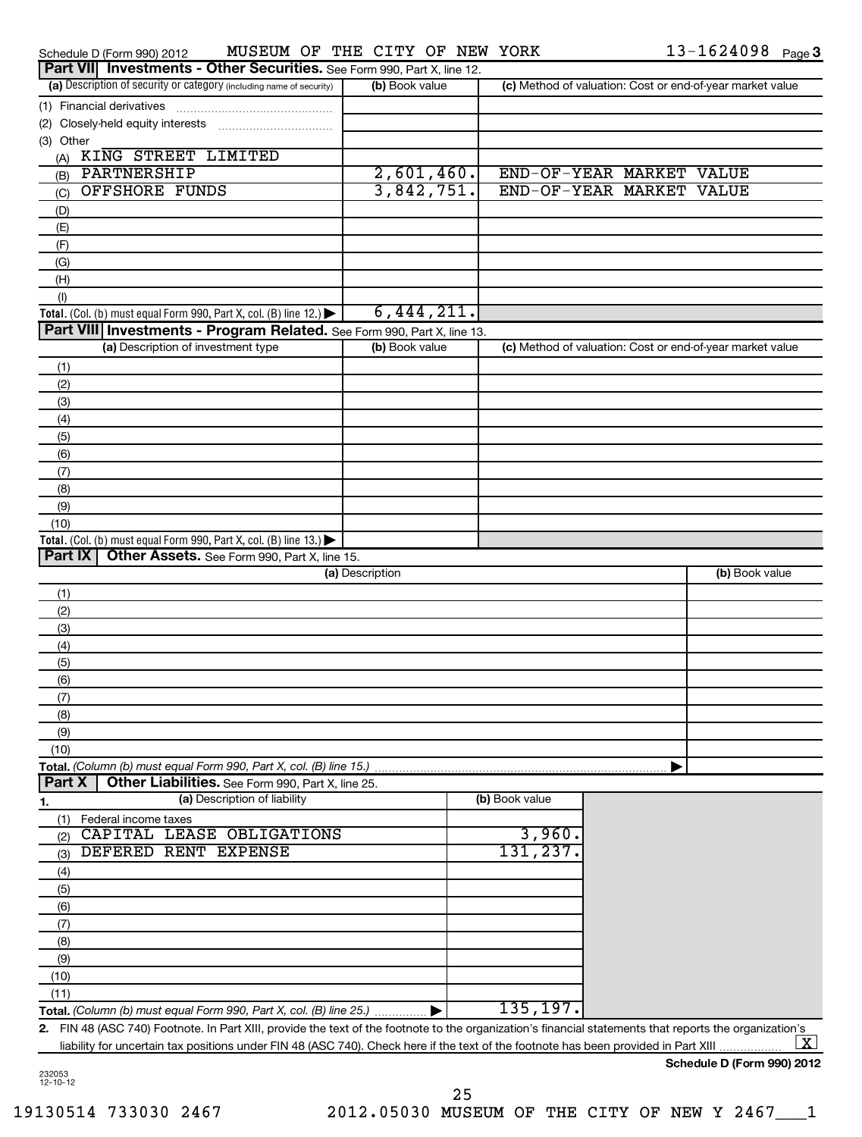| MUSEUM OF THE CITY OF NEW YORK<br>Schedule D (Form 990) 2012                                                                                            |                 |                | $13 - 1624098$ Page 3                                     |
|---------------------------------------------------------------------------------------------------------------------------------------------------------|-----------------|----------------|-----------------------------------------------------------|
| Part VII Investments - Other Securities. See Form 990, Part X, line 12.                                                                                 |                 |                |                                                           |
| (a) Description of security or category (including name of security)                                                                                    | (b) Book value  |                | (c) Method of valuation: Cost or end-of-year market value |
| (1) Financial derivatives                                                                                                                               |                 |                |                                                           |
| (2) Closely-held equity interests                                                                                                                       |                 |                |                                                           |
| (3) Other                                                                                                                                               |                 |                |                                                           |
| (A) KING STREET LIMITED                                                                                                                                 |                 |                |                                                           |
| PARTNERSHIP<br>(B)                                                                                                                                      | 2,601,460.      |                | END-OF-YEAR MARKET VALUE                                  |
| <b>OFFSHORE FUNDS</b><br>(C)                                                                                                                            | 3,842,751.      |                | END-OF-YEAR MARKET VALUE                                  |
| (D)                                                                                                                                                     |                 |                |                                                           |
| (E)                                                                                                                                                     |                 |                |                                                           |
| (F)                                                                                                                                                     |                 |                |                                                           |
| (G)                                                                                                                                                     |                 |                |                                                           |
| (H)                                                                                                                                                     |                 |                |                                                           |
| (1)                                                                                                                                                     |                 |                |                                                           |
| Total. (Col. (b) must equal Form 990, Part X, col. (B) line 12.) $\blacktriangleright$                                                                  | 6,444,211.      |                |                                                           |
| Part VIII Investments - Program Related. See Form 990, Part X, line 13.                                                                                 |                 |                |                                                           |
| (a) Description of investment type                                                                                                                      | (b) Book value  |                | (c) Method of valuation: Cost or end-of-year market value |
| (1)                                                                                                                                                     |                 |                |                                                           |
| (2)                                                                                                                                                     |                 |                |                                                           |
| (3)                                                                                                                                                     |                 |                |                                                           |
| (4)                                                                                                                                                     |                 |                |                                                           |
| (5)                                                                                                                                                     |                 |                |                                                           |
| (6)                                                                                                                                                     |                 |                |                                                           |
| (7)                                                                                                                                                     |                 |                |                                                           |
| (8)                                                                                                                                                     |                 |                |                                                           |
| (9)                                                                                                                                                     |                 |                |                                                           |
| (10)                                                                                                                                                    |                 |                |                                                           |
| Total. (Col. (b) must equal Form 990, Part X, col. (B) line 13.) $\blacktriangleright$                                                                  |                 |                |                                                           |
| Part IX<br>Other Assets. See Form 990, Part X, line 15.                                                                                                 |                 |                |                                                           |
|                                                                                                                                                         | (a) Description |                | (b) Book value                                            |
| (1)                                                                                                                                                     |                 |                |                                                           |
| (2)                                                                                                                                                     |                 |                |                                                           |
| (3)                                                                                                                                                     |                 |                |                                                           |
| (4)                                                                                                                                                     |                 |                |                                                           |
| (5)                                                                                                                                                     |                 |                |                                                           |
| (6)                                                                                                                                                     |                 |                |                                                           |
| (7)                                                                                                                                                     |                 |                |                                                           |
| (8)                                                                                                                                                     |                 |                |                                                           |
| (9)                                                                                                                                                     |                 |                |                                                           |
| (10)                                                                                                                                                    |                 |                |                                                           |
| Total. (Column (b) must equal Form 990, Part X, col. (B) line 15.)                                                                                      |                 |                |                                                           |
| Part X<br>Other Liabilities. See Form 990, Part X, line 25.                                                                                             |                 |                |                                                           |
| (a) Description of liability<br>1.                                                                                                                      |                 | (b) Book value |                                                           |
| Federal income taxes<br>(1)                                                                                                                             |                 |                |                                                           |
| CAPITAL LEASE OBLIGATIONS<br>(2)                                                                                                                        |                 | 3,960.         |                                                           |
| DEFERED RENT EXPENSE<br>(3)                                                                                                                             |                 | 131,237.       |                                                           |
| (4)                                                                                                                                                     |                 |                |                                                           |
| (5)                                                                                                                                                     |                 |                |                                                           |
| (6)                                                                                                                                                     |                 |                |                                                           |
| (7)                                                                                                                                                     |                 |                |                                                           |
| (8)                                                                                                                                                     |                 |                |                                                           |
| (9)                                                                                                                                                     |                 |                |                                                           |
| (10)                                                                                                                                                    |                 |                |                                                           |
|                                                                                                                                                         |                 |                |                                                           |
| (11)                                                                                                                                                    |                 | 135, 197.      |                                                           |
| Total. (Column (b) must equal Form 990, Part X, col. (B) line 25.)                                                                                      |                 |                |                                                           |
| 2. FIN 48 (ASC 740) Footnote. In Part XIII, provide the text of the footnote to the organization's financial statements that reports the organization's |                 |                | <u> X  </u>                                               |
| liability for uncertain tax positions under FIN 48 (ASC 740). Check here if the text of the footnote has been provided in Part XIII                     |                 |                |                                                           |

**Schedule D (Form 990) 2012**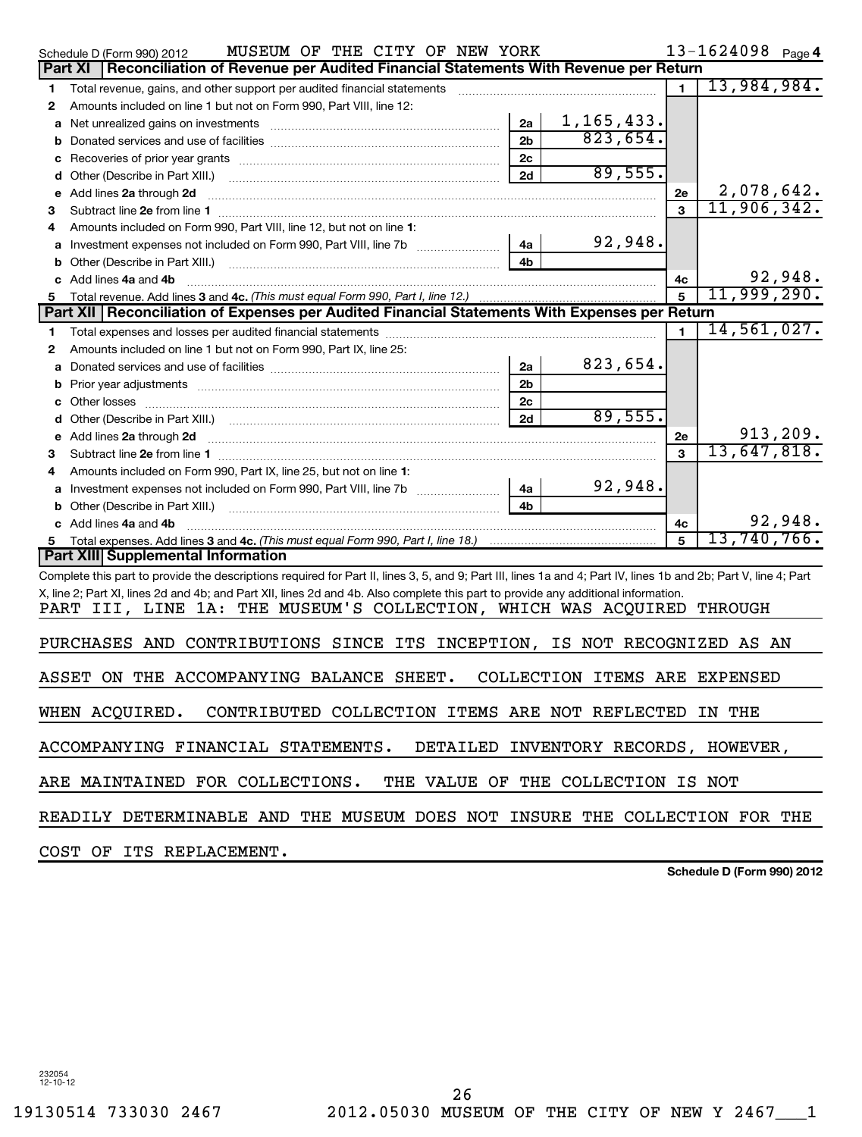|       | MUSEUM OF THE CITY OF NEW YORK<br>Schedule D (Form 990) 2012                                                                                                     |                |                               |                | 13-1624098 Page 4 |
|-------|------------------------------------------------------------------------------------------------------------------------------------------------------------------|----------------|-------------------------------|----------------|-------------------|
|       | Reconciliation of Revenue per Audited Financial Statements With Revenue per Return<br>Part XI                                                                    |                |                               |                |                   |
| 1     | Total revenue, gains, and other support per audited financial statements                                                                                         |                |                               | $\mathbf{1}$   | 13,984,984.       |
| 2     | Amounts included on line 1 but not on Form 990, Part VIII, line 12:                                                                                              |                |                               |                |                   |
| а     |                                                                                                                                                                  | 2a             | 1, 165, 433.                  |                |                   |
| b     |                                                                                                                                                                  | 2 <sub>b</sub> | 823,654.                      |                |                   |
| с     |                                                                                                                                                                  | 2c             |                               |                |                   |
| d     |                                                                                                                                                                  | 2d             | 89,555.                       |                |                   |
| е     | Add lines 2a through 2d                                                                                                                                          |                |                               | 2e             | 2,078,642.        |
| з     |                                                                                                                                                                  |                |                               | $\mathbf{a}$   | 11,906,342.       |
| 4     | Amounts included on Form 990, Part VIII, line 12, but not on line 1:                                                                                             |                |                               |                |                   |
|       |                                                                                                                                                                  | 4a             | 92,948.                       |                |                   |
|       |                                                                                                                                                                  | 4b             |                               |                |                   |
|       | c Add lines 4a and 4b                                                                                                                                            |                |                               | 4с             | 92,948.           |
| 5.    | Total revenue. Add lines 3 and 4c. (This must equal Form 990, Part I, line 12.)                                                                                  |                |                               | 5              | 11,999,290.       |
|       | Part XII Reconciliation of Expenses per Audited Financial Statements With Expenses per Return                                                                    |                |                               |                |                   |
| 1     |                                                                                                                                                                  |                |                               | $\blacksquare$ | 14,561,027.       |
| 2     | Amounts included on line 1 but not on Form 990, Part IX, line 25:                                                                                                |                |                               |                |                   |
|       |                                                                                                                                                                  | 2a             | 823,654.                      |                |                   |
| b     |                                                                                                                                                                  | 2 <sub>b</sub> |                               |                |                   |
|       |                                                                                                                                                                  | 2 <sub>c</sub> |                               |                |                   |
|       |                                                                                                                                                                  | 2d             | 89,555.                       |                |                   |
| е     | Add lines 2a through 2d                                                                                                                                          |                |                               | 2е             | 913, 209.         |
| з     |                                                                                                                                                                  |                |                               | $\mathbf{a}$   | 13,647,818.       |
|       | Amounts included on Form 990, Part IX, line 25, but not on line 1:                                                                                               |                |                               |                |                   |
|       |                                                                                                                                                                  | 4a             | 92,948.                       |                |                   |
|       | Other (Describe in Part XIII.) [100] [100] [100] [100] [100] [100] [100] [100] [100] [100] [100] [100] [100] [                                                   | 4 <sub>b</sub> |                               |                |                   |
|       | c Add lines 4a and 4b                                                                                                                                            |                |                               | 4c             | 92,948.           |
|       |                                                                                                                                                                  |                |                               | 5              | 13,740,766.       |
|       | Part XIII Supplemental Information                                                                                                                               |                |                               |                |                   |
|       | Complete this part to provide the descriptions required for Part II, lines 3, 5, and 9; Part III, lines 1a and 4; Part IV, lines 1b and 2b; Part V, line 4; Part |                |                               |                |                   |
|       | X, line 2; Part XI, lines 2d and 4b; and Part XII, lines 2d and 4b. Also complete this part to provide any additional information.                               |                |                               |                |                   |
|       | PART III, LINE 1A: THE MUSEUM'S COLLECTION, WHICH WAS ACQUIRED THROUGH                                                                                           |                |                               |                |                   |
|       |                                                                                                                                                                  |                |                               |                |                   |
|       | PURCHASES AND CONTRIBUTIONS SINCE ITS INCEPTION, IS NOT RECOGNIZED AS AN                                                                                         |                |                               |                |                   |
|       |                                                                                                                                                                  |                |                               |                |                   |
| ASSET | ON THE ACCOMPANYING BALANCE SHEET.                                                                                                                               |                | COLLECTION ITEMS ARE EXPENSED |                |                   |
|       |                                                                                                                                                                  |                |                               |                |                   |
|       | WHEN ACQUIRED. CONTRIBUTED COLLECTION ITEMS ARE NOT REFLECTED IN THE                                                                                             |                |                               |                |                   |
|       |                                                                                                                                                                  |                |                               |                |                   |
|       | ACCOMPANYING FINANCIAL STATEMENTS. DETAILED INVENTORY RECORDS, HOWEVER,                                                                                          |                |                               |                |                   |
|       |                                                                                                                                                                  |                |                               |                |                   |
|       | ARE MAINTAINED FOR COLLECTIONS. THE VALUE OF THE COLLECTION IS NOT                                                                                               |                |                               |                |                   |
|       |                                                                                                                                                                  |                |                               |                |                   |
|       | READILY DETERMINABLE AND THE MUSEUM DOES NOT INSURE THE COLLECTION FOR THE                                                                                       |                |                               |                |                   |
|       |                                                                                                                                                                  |                |                               |                |                   |
|       | COST OF ITS REPLACEMENT.                                                                                                                                         |                |                               |                |                   |

**Schedule D (Form 990) 2012**

232054 12-10-12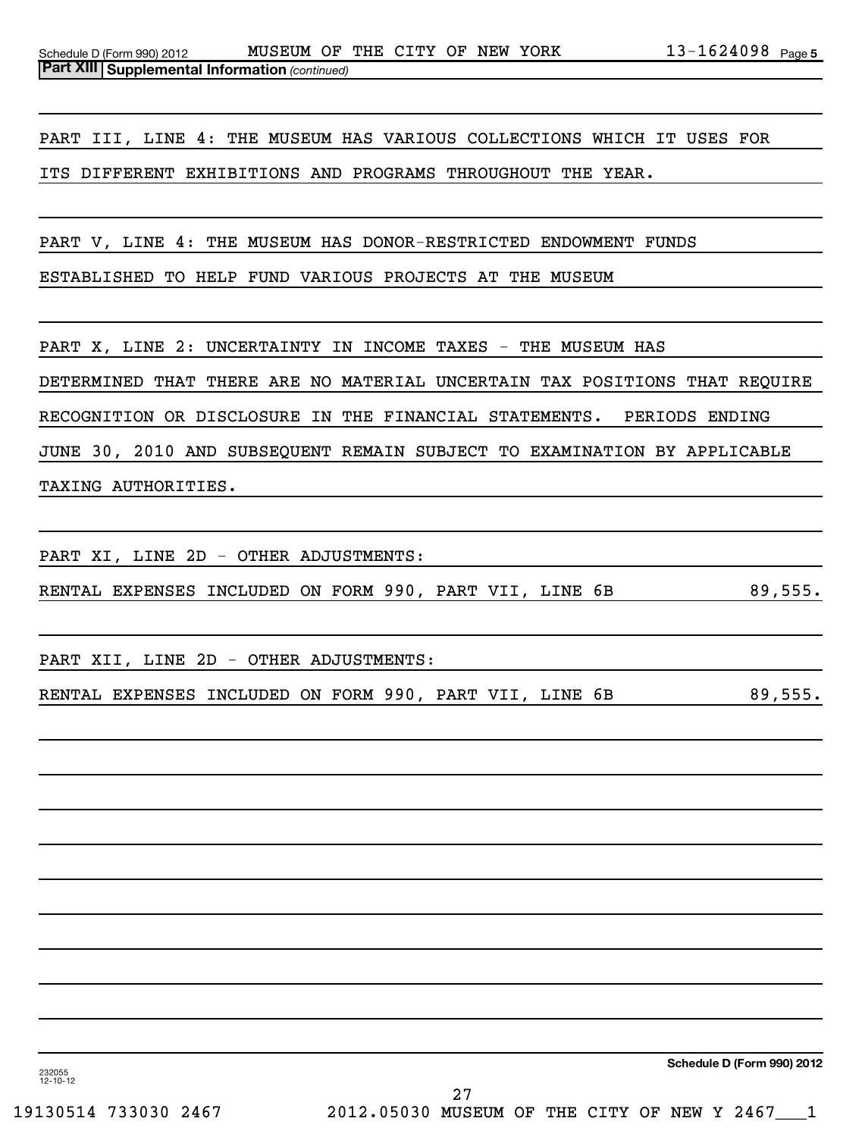PART III, LINE 4: THE MUSEUM HAS VARIOUS COLLECTIONS WHICH IT USES FOR

ITS DIFFERENT EXHIBITIONS AND PROGRAMS THROUGHOUT THE YEAR.

PART V, LINE 4: THE MUSEUM HAS DONOR-RESTRICTED ENDOWMENT FUNDS

ESTABLISHED TO HELP FUND VARIOUS PROJECTS AT THE MUSEUM

PART X, LINE 2: UNCERTAINTY IN INCOME TAXES - THE MUSEUM HAS DETERMINED THAT THERE ARE NO MATERIAL UNCERTAIN TAX POSITIONS THAT REQUIRE RECOGNITION OR DISCLOSURE IN THE FINANCIAL STATEMENTS. PERIODS ENDING JUNE 30, 2010 AND SUBSEQUENT REMAIN SUBJECT TO EXAMINATION BY APPLICABLE TAXING AUTHORITIES.

PART XI, LINE 2D - OTHER ADJUSTMENTS:

RENTAL EXPENSES INCLUDED ON FORM 990, PART VII, LINE 6B 89,555.

PART XII, LINE 2D - OTHER ADJUSTMENTS:

RENTAL EXPENSES INCLUDED ON FORM 990, PART VII, LINE 6B 89,555.

**Schedule D (Form 990) 2012**

232055 12-10-12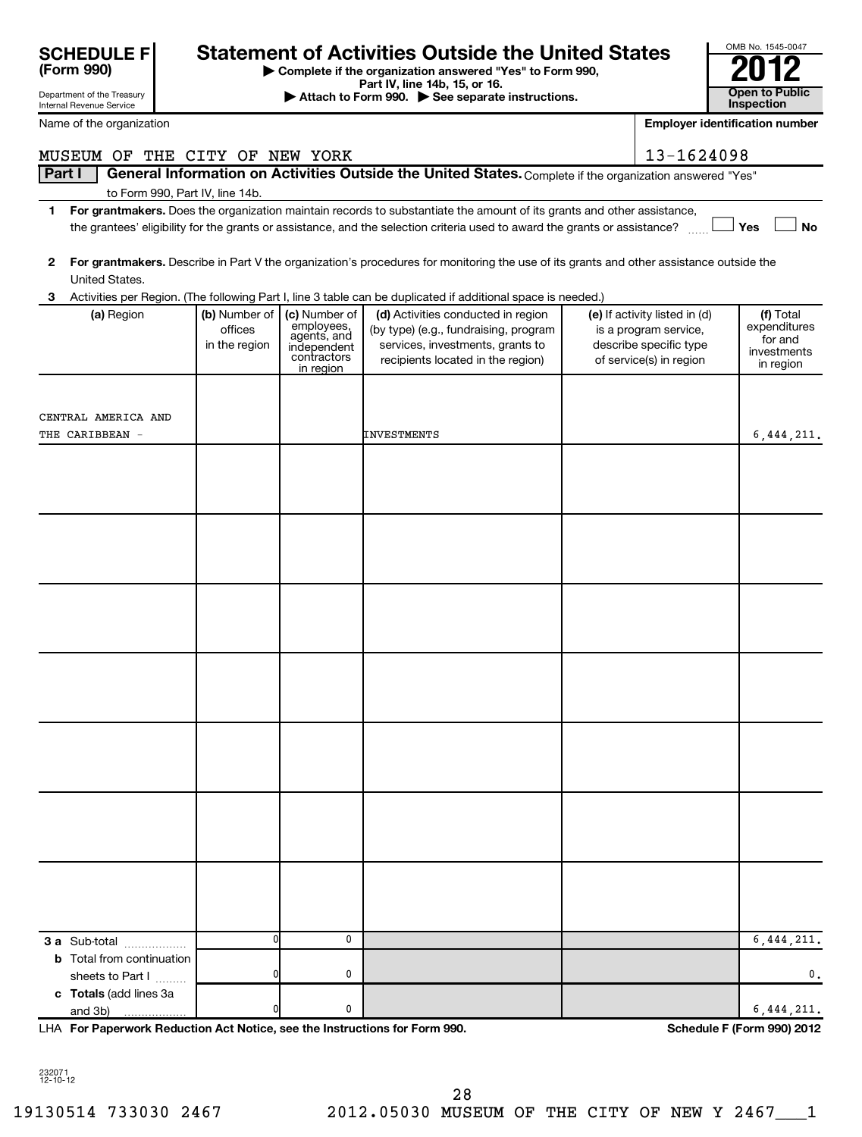|        | <b>SCHEDULE F</b><br>(Form 990)<br>Department of the Treasury<br>Internal Revenue Service |                          |                             | <b>Statement of Activities Outside the United States</b><br>Complete if the organization answered "Yes" to Form 990,<br>Part IV, line 14b, 15, or 16.<br>Attach to Form 990. See separate instructions. |                                                 | OMB No. 1545-0047<br><b>Open to Public</b><br>Inspection |
|--------|-------------------------------------------------------------------------------------------|--------------------------|-----------------------------|---------------------------------------------------------------------------------------------------------------------------------------------------------------------------------------------------------|-------------------------------------------------|----------------------------------------------------------|
|        | Name of the organization                                                                  |                          |                             |                                                                                                                                                                                                         |                                                 | <b>Employer identification number</b>                    |
|        |                                                                                           |                          |                             |                                                                                                                                                                                                         |                                                 |                                                          |
|        | MUSEUM OF THE CITY OF NEW YORK                                                            |                          |                             |                                                                                                                                                                                                         | 13-1624098                                      |                                                          |
| Part I | to Form 990, Part IV, line 14b.                                                           |                          |                             | General Information on Activities Outside the United States. Complete if the organization answered "Yes"                                                                                                |                                                 |                                                          |
| 1.     |                                                                                           |                          |                             | For grantmakers. Does the organization maintain records to substantiate the amount of its grants and other assistance,                                                                                  |                                                 |                                                          |
|        |                                                                                           |                          |                             | the grantees' eligibility for the grants or assistance, and the selection criteria used to award the grants or assistance?                                                                              |                                                 | J Yes⊣<br><b>No</b>                                      |
| 2      | United States.                                                                            |                          |                             | For grantmakers. Describe in Part V the organization's procedures for monitoring the use of its grants and other assistance outside the                                                                 |                                                 |                                                          |
|        |                                                                                           |                          |                             | Activities per Region. (The following Part I, line 3 table can be duplicated if additional space is needed.)                                                                                            |                                                 |                                                          |
|        | (a) Region                                                                                | (b) Number of            | (c) Number of<br>employees, | (d) Activities conducted in region                                                                                                                                                                      | (e) If activity listed in (d)                   | (f) Total<br>expenditures                                |
|        |                                                                                           | offices<br>in the region | agents, and<br>independent  | (by type) (e.g., fundraising, program<br>services, investments, grants to                                                                                                                               | is a program service,<br>describe specific type | for and                                                  |
|        |                                                                                           |                          | contractors<br>in region    | recipients located in the region)                                                                                                                                                                       | of service(s) in region                         | investments<br>in region                                 |
|        |                                                                                           |                          |                             |                                                                                                                                                                                                         |                                                 |                                                          |
|        |                                                                                           |                          |                             |                                                                                                                                                                                                         |                                                 |                                                          |
|        | CENTRAL AMERICA AND                                                                       |                          |                             |                                                                                                                                                                                                         |                                                 |                                                          |
|        | THE CARIBBEAN -                                                                           |                          |                             | INVESTMENTS                                                                                                                                                                                             |                                                 | 6,444,211.                                               |
|        |                                                                                           |                          |                             |                                                                                                                                                                                                         |                                                 |                                                          |
|        |                                                                                           |                          |                             |                                                                                                                                                                                                         |                                                 |                                                          |
|        |                                                                                           |                          |                             |                                                                                                                                                                                                         |                                                 |                                                          |
|        |                                                                                           |                          |                             |                                                                                                                                                                                                         |                                                 |                                                          |
|        |                                                                                           |                          |                             |                                                                                                                                                                                                         |                                                 |                                                          |
|        |                                                                                           |                          |                             |                                                                                                                                                                                                         |                                                 |                                                          |
|        |                                                                                           |                          |                             |                                                                                                                                                                                                         |                                                 |                                                          |
|        |                                                                                           |                          |                             |                                                                                                                                                                                                         |                                                 |                                                          |
|        |                                                                                           |                          |                             |                                                                                                                                                                                                         |                                                 |                                                          |
|        |                                                                                           |                          |                             |                                                                                                                                                                                                         |                                                 |                                                          |
|        |                                                                                           |                          |                             |                                                                                                                                                                                                         |                                                 |                                                          |
|        |                                                                                           |                          |                             |                                                                                                                                                                                                         |                                                 |                                                          |
|        |                                                                                           |                          |                             |                                                                                                                                                                                                         |                                                 |                                                          |
|        |                                                                                           |                          |                             |                                                                                                                                                                                                         |                                                 |                                                          |
|        |                                                                                           |                          |                             |                                                                                                                                                                                                         |                                                 |                                                          |
|        |                                                                                           |                          |                             |                                                                                                                                                                                                         |                                                 |                                                          |
|        |                                                                                           |                          |                             |                                                                                                                                                                                                         |                                                 |                                                          |
|        |                                                                                           |                          |                             |                                                                                                                                                                                                         |                                                 |                                                          |
|        |                                                                                           |                          |                             |                                                                                                                                                                                                         |                                                 |                                                          |
|        |                                                                                           |                          |                             |                                                                                                                                                                                                         |                                                 |                                                          |
|        |                                                                                           |                          |                             |                                                                                                                                                                                                         |                                                 |                                                          |
|        |                                                                                           |                          |                             |                                                                                                                                                                                                         |                                                 |                                                          |
|        |                                                                                           |                          |                             |                                                                                                                                                                                                         |                                                 |                                                          |

| 3 a Sub-total<br>                | 01 |  | 6.444.211.    |
|----------------------------------|----|--|---------------|
| <b>b</b> Total from continuation |    |  |               |
| sheets to Part I<br>             | 01 |  | 0.            |
| c Totals (add lines 3a           |    |  |               |
| and 3b)<br>                      | 01 |  | $6,444,211$ . |

**For Paperwork Reduction Act Notice, see the Instructions for Form 990. Schedule F (Form 990) 2012** LHA

232071 12-10-12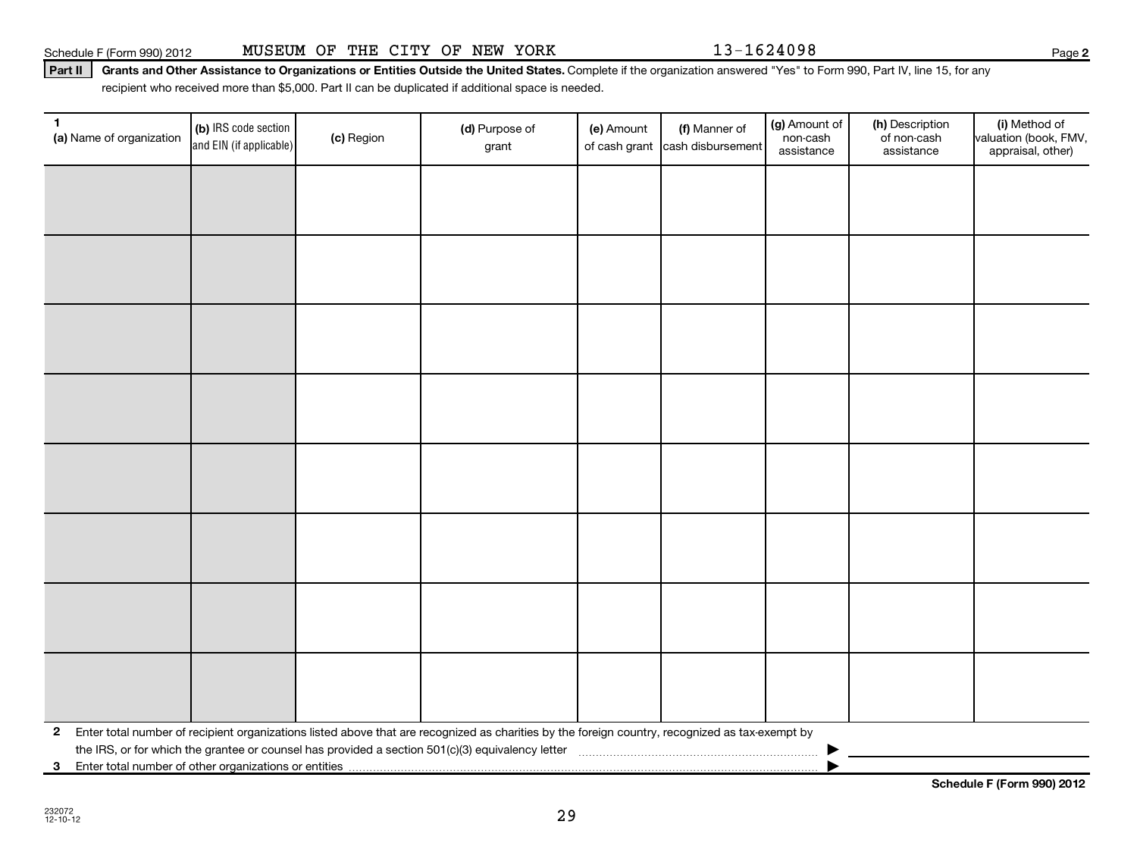**3** Enter total number of other organizations or entities |

**Schedule F (Form 990) 2012**

# Part II | Grants and Other Assistance to Organizations or Entities Outside the United States. Complete if the organization answered "Yes" to Form 990, Part IV, line 15, for any recipient who received more than \$5,000. Part II can be duplicated if additional space is needed.

| $\mathbf{1}$ | (a) Name of organization | (b) IRS code section<br>and EIN (if applicable) | (c) Region | (d) Purpose of<br>grant                                                                                                                                                                                                                               | (e) Amount | (f) Manner of<br>of cash grant cash disbursement | (g) Amount of<br>non-cash<br>assistance | (h) Description<br>of non-cash<br>assistance | (i) Method of<br>valuation (book, FMV,<br>appraisal, other) |
|--------------|--------------------------|-------------------------------------------------|------------|-------------------------------------------------------------------------------------------------------------------------------------------------------------------------------------------------------------------------------------------------------|------------|--------------------------------------------------|-----------------------------------------|----------------------------------------------|-------------------------------------------------------------|
|              |                          |                                                 |            |                                                                                                                                                                                                                                                       |            |                                                  |                                         |                                              |                                                             |
|              |                          |                                                 |            |                                                                                                                                                                                                                                                       |            |                                                  |                                         |                                              |                                                             |
|              |                          |                                                 |            |                                                                                                                                                                                                                                                       |            |                                                  |                                         |                                              |                                                             |
|              |                          |                                                 |            |                                                                                                                                                                                                                                                       |            |                                                  |                                         |                                              |                                                             |
|              |                          |                                                 |            |                                                                                                                                                                                                                                                       |            |                                                  |                                         |                                              |                                                             |
|              |                          |                                                 |            |                                                                                                                                                                                                                                                       |            |                                                  |                                         |                                              |                                                             |
|              |                          |                                                 |            |                                                                                                                                                                                                                                                       |            |                                                  |                                         |                                              |                                                             |
|              |                          |                                                 |            |                                                                                                                                                                                                                                                       |            |                                                  |                                         |                                              |                                                             |
|              |                          |                                                 |            |                                                                                                                                                                                                                                                       |            |                                                  |                                         |                                              |                                                             |
|              |                          |                                                 |            |                                                                                                                                                                                                                                                       |            |                                                  |                                         |                                              |                                                             |
|              |                          |                                                 |            |                                                                                                                                                                                                                                                       |            |                                                  |                                         |                                              |                                                             |
|              |                          |                                                 |            |                                                                                                                                                                                                                                                       |            |                                                  |                                         |                                              |                                                             |
|              |                          |                                                 |            |                                                                                                                                                                                                                                                       |            |                                                  |                                         |                                              |                                                             |
|              |                          |                                                 |            |                                                                                                                                                                                                                                                       |            |                                                  |                                         |                                              |                                                             |
|              |                          |                                                 |            |                                                                                                                                                                                                                                                       |            |                                                  |                                         |                                              |                                                             |
|              |                          |                                                 |            |                                                                                                                                                                                                                                                       |            |                                                  |                                         |                                              |                                                             |
|              |                          |                                                 |            | 2 Enter total number of recipient organizations listed above that are recognized as charities by the foreign country, recognized as tax-exempt by<br>the IRS, or for which the grantee or counsel has provided a section 501(c)(3) equivalency letter |            |                                                  |                                         |                                              |                                                             |
|              |                          |                                                 |            |                                                                                                                                                                                                                                                       |            |                                                  |                                         |                                              |                                                             |

29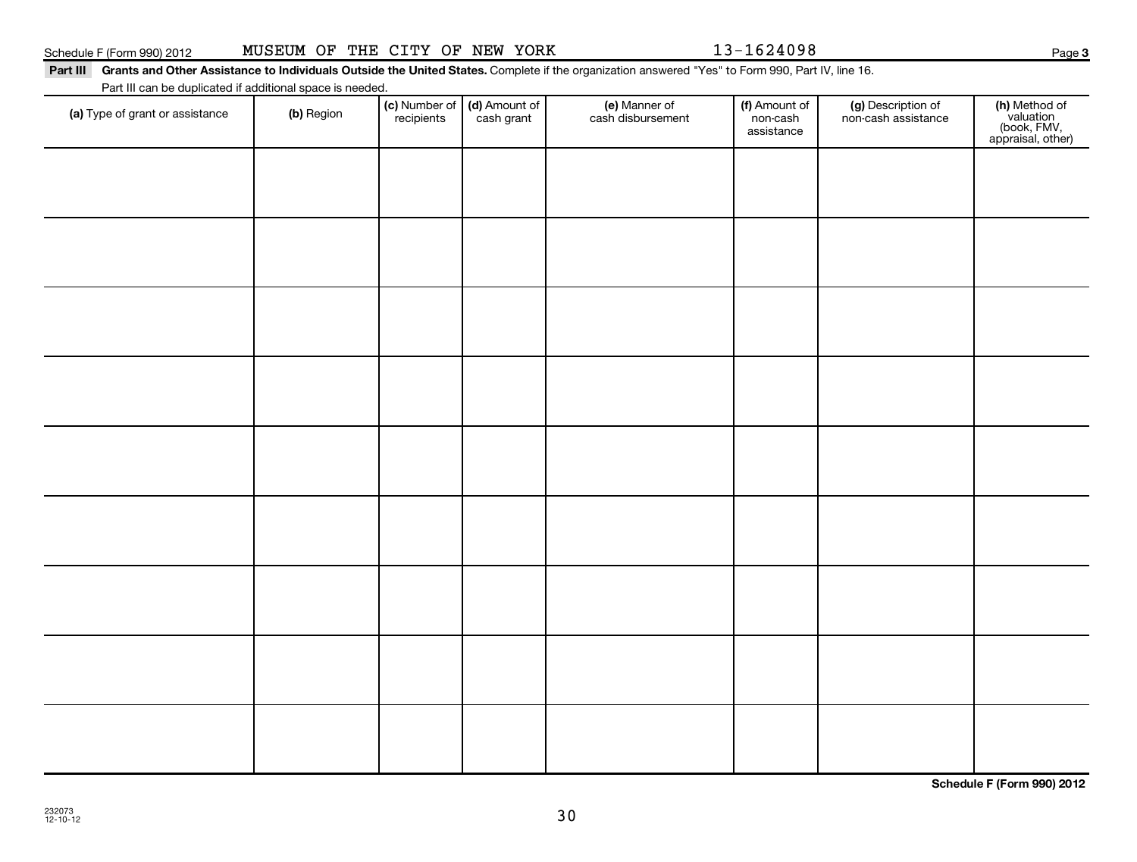**Schedule F (Form 990) 2012**

30

| (a) Type of grant or assistance | (b) Region | (c) Number of (d) Amount of recipients cash grant | (e) Manner of<br>cash disbursement | (f) Amount of<br>non-cash<br>assistance | (g) Description of<br>non-cash assistance | (h) Method of<br>valuation<br>(book, FMV,<br>appraisal, other) |
|---------------------------------|------------|---------------------------------------------------|------------------------------------|-----------------------------------------|-------------------------------------------|----------------------------------------------------------------|
|                                 |            |                                                   |                                    |                                         |                                           |                                                                |
|                                 |            |                                                   |                                    |                                         |                                           |                                                                |
|                                 |            |                                                   |                                    |                                         |                                           |                                                                |
|                                 |            |                                                   |                                    |                                         |                                           |                                                                |
|                                 |            |                                                   |                                    |                                         |                                           |                                                                |
|                                 |            |                                                   |                                    |                                         |                                           |                                                                |
|                                 |            |                                                   |                                    |                                         |                                           |                                                                |
|                                 |            |                                                   |                                    |                                         |                                           |                                                                |
|                                 |            |                                                   |                                    |                                         |                                           |                                                                |
|                                 |            |                                                   |                                    |                                         |                                           |                                                                |
|                                 |            |                                                   |                                    |                                         |                                           |                                                                |

#### Part III Grants and Other Assistance to Individuals Outside the United States. Complete if the organization answered "Yes" to Form 990, Part IV, line 16.

Part III can be duplicated if additional space is needed.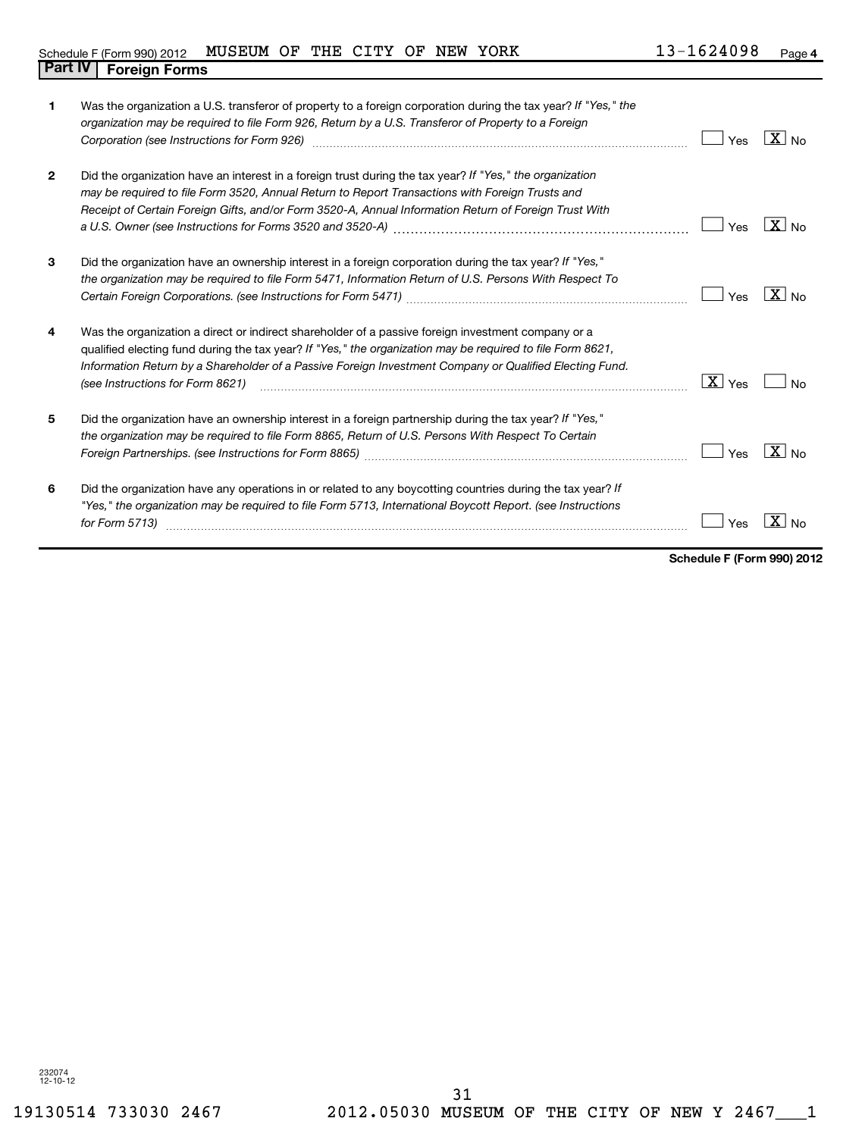| 1            | Was the organization a U.S. transferor of property to a foreign corporation during the tax year? If "Yes," the<br>organization may be required to file Form 926, Return by a U.S. Transferor of Property to a Foreign<br>Corporation (see Instructions for Form 926) [11] Corporation (see Instructions of Form 926) [11] Corporation (                         | Yes                | $\overline{\mathbf{X}}$ No |
|--------------|-----------------------------------------------------------------------------------------------------------------------------------------------------------------------------------------------------------------------------------------------------------------------------------------------------------------------------------------------------------------|--------------------|----------------------------|
| $\mathbf{2}$ | Did the organization have an interest in a foreign trust during the tax year? If "Yes," the organization<br>may be required to file Form 3520, Annual Return to Report Transactions with Foreign Trusts and<br>Receipt of Certain Foreign Gifts, and/or Form 3520-A, Annual Information Return of Foreign Trust With                                            | Yes                | $X _{\text{No}}$           |
| 3            | Did the organization have an ownership interest in a foreign corporation during the tax year? If "Yes,"<br>the organization may be required to file Form 5471, Information Return of U.S. Persons With Respect To                                                                                                                                               | Yes                | $\overline{X}$ No          |
| 4            | Was the organization a direct or indirect shareholder of a passive foreign investment company or a<br>qualified electing fund during the tax year? If "Yes," the organization may be required to file Form 8621,<br>Information Return by a Shareholder of a Passive Foreign Investment Company or Qualified Electing Fund.<br>(see Instructions for Form 8621) | $\overline{X}$ Yes | No                         |
| 5            | Did the organization have an ownership interest in a foreign partnership during the tax year? If "Yes,"<br>the organization may be required to file Form 8865, Return of U.S. Persons With Respect To Certain                                                                                                                                                   | Yes                | $X_{N0}$                   |
| 6            | Did the organization have any operations in or related to any boycotting countries during the tax year? If<br>"Yes," the organization may be required to file Form 5713, International Boycott Report. (see Instructions<br>for Form 5713)                                                                                                                      | Yes                | $\mathbf{x}$               |

**Schedule F (Form 990) 2012**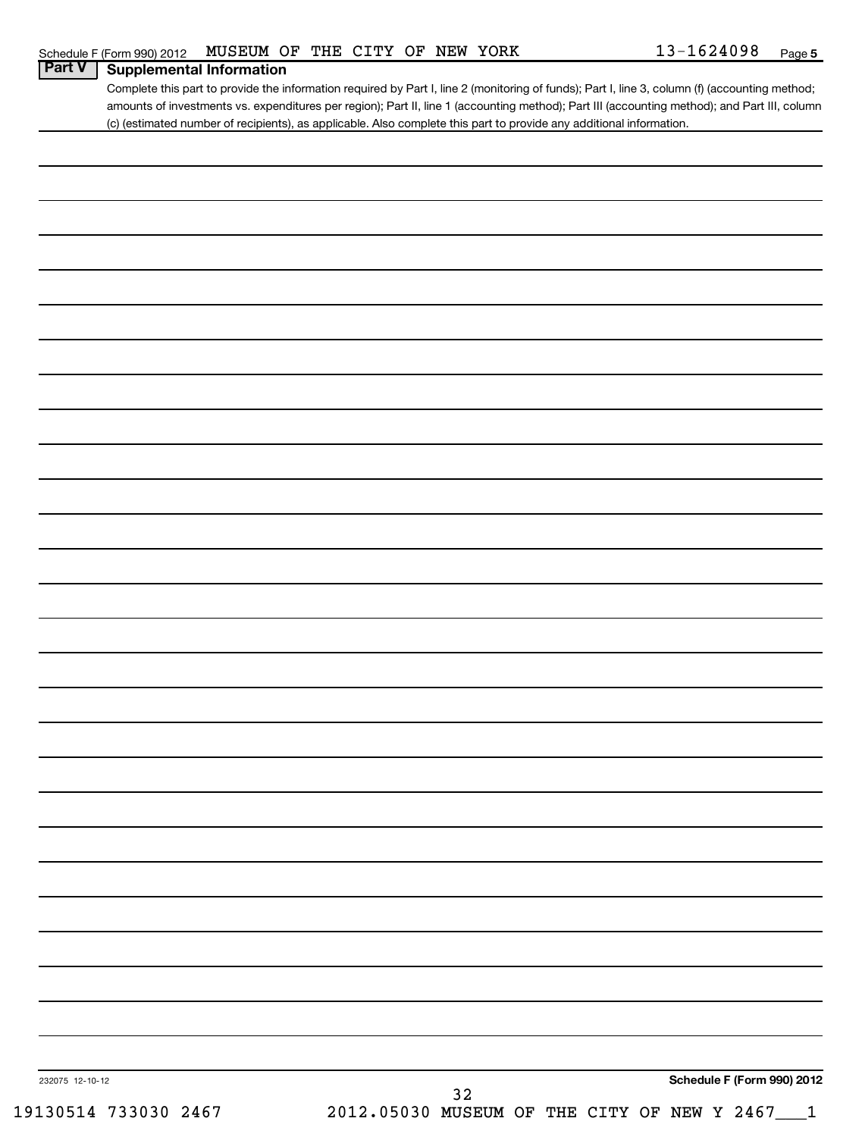|                 | (c) (estimated number of recipients), as applicable. Also complete this part to provide any additional information. |  |  |    |  |  |                            |
|-----------------|---------------------------------------------------------------------------------------------------------------------|--|--|----|--|--|----------------------------|
|                 |                                                                                                                     |  |  |    |  |  |                            |
|                 |                                                                                                                     |  |  |    |  |  |                            |
|                 |                                                                                                                     |  |  |    |  |  |                            |
|                 |                                                                                                                     |  |  |    |  |  |                            |
|                 |                                                                                                                     |  |  |    |  |  |                            |
|                 |                                                                                                                     |  |  |    |  |  |                            |
|                 |                                                                                                                     |  |  |    |  |  |                            |
|                 |                                                                                                                     |  |  |    |  |  |                            |
|                 |                                                                                                                     |  |  |    |  |  |                            |
|                 |                                                                                                                     |  |  |    |  |  |                            |
|                 |                                                                                                                     |  |  |    |  |  |                            |
|                 |                                                                                                                     |  |  |    |  |  |                            |
|                 |                                                                                                                     |  |  |    |  |  |                            |
|                 |                                                                                                                     |  |  |    |  |  |                            |
|                 |                                                                                                                     |  |  |    |  |  |                            |
|                 |                                                                                                                     |  |  |    |  |  |                            |
|                 |                                                                                                                     |  |  |    |  |  |                            |
|                 |                                                                                                                     |  |  |    |  |  |                            |
|                 |                                                                                                                     |  |  |    |  |  |                            |
|                 |                                                                                                                     |  |  |    |  |  |                            |
|                 |                                                                                                                     |  |  |    |  |  |                            |
|                 |                                                                                                                     |  |  |    |  |  |                            |
|                 |                                                                                                                     |  |  |    |  |  |                            |
|                 |                                                                                                                     |  |  |    |  |  |                            |
|                 |                                                                                                                     |  |  |    |  |  |                            |
|                 |                                                                                                                     |  |  |    |  |  |                            |
|                 |                                                                                                                     |  |  |    |  |  |                            |
|                 |                                                                                                                     |  |  |    |  |  |                            |
|                 |                                                                                                                     |  |  |    |  |  |                            |
|                 |                                                                                                                     |  |  |    |  |  |                            |
|                 |                                                                                                                     |  |  |    |  |  |                            |
|                 |                                                                                                                     |  |  |    |  |  |                            |
|                 |                                                                                                                     |  |  |    |  |  |                            |
|                 |                                                                                                                     |  |  |    |  |  |                            |
|                 |                                                                                                                     |  |  |    |  |  |                            |
|                 |                                                                                                                     |  |  |    |  |  |                            |
| 232075 12-10-12 |                                                                                                                     |  |  | 32 |  |  | Schedule F (Form 990) 2012 |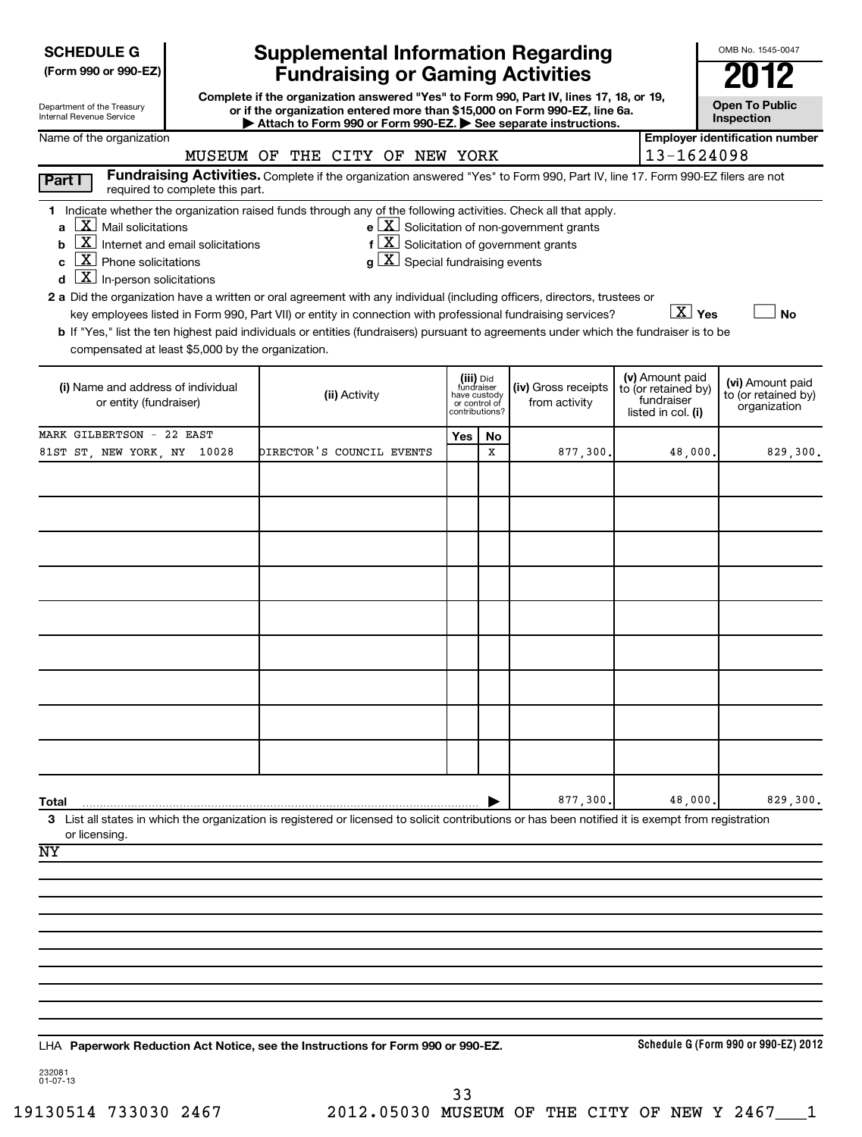| Department of the Treasury      |  |
|---------------------------------|--|
| <b>Internal Revenue Service</b> |  |

# **Supplemental Information Regarding Fundraising or Gaming Activities**

**Complete if the organization answered "Yes" to Form 990, Part IV, lines 17, 18, or 19, or if the organization entered more than \$15,000 on Form 990-EZ, line 6a.** Attach to Form 990 or Form 990-EZ. See separate instructions.

**Open To Public Inspection**

OMB No. 1545-0047

# (iii) Did fundraiser have custody or control of contributions? **Schedule G (Form 990 or 990-EZ) 2012 Employer identification number 1 a b c d a 2** Did the organization have a written or oral agreement with any individual (including officers, directors, trustees or **b** If "Yes," list the ten highest paid individuals or entities (fundraisers) pursuant to agreements under which the fundraiser is to be **e** Solicitation of non-government grants **f** Solicitation of government grants **g**  $\lfloor$  ∆ Special fundraising events **Yes No (i) (ii)**  Name and address of individual **(iv)** Gross receipts **(i)** listed in col. **(vi)**  Amount paid **Yes No Total 3** List all states in which the organization is registered or licensed to solicit contributions or has been notified it is exempt from registration **Paperwork Reduction Act Notice, see the Instructions for Form 990 or 990-EZ.** LHA Name of the organization **Part I** Fundraising Activities. Complete if the organization answered "Yes" to Form 990, Part IV, line 17. Form 990-EZ filers are not required to complete this part. Indicate whether the organization raised funds through any of the following activities. Check all that apply.  $\boxed{\textbf{X}}$  Mail solicitations  $\boxed{\textbf{x}}$  $\boxed{\textbf{X}}$  Internet and email solicitations **f**  $\boxed{\textbf{X}}$  $\boxed{\textbf{X}}$  Phone solicitations and  $\boxed{\textbf{X}}$  $\boxed{\textbf{X}}$  In-person solicitations key employees listed in Form 990, Part VII) or entity in connection with professional fundraising services? compensated at least \$5,000 by the organization. or entity (fundraiser) (iv) Gross receipts<br>
or entity (fundraiser) (iv) Gross receipts<br>
or control of the trom activity from activity (v) Amount paid to (or retained by) fundraiser to (or retained by) organization | or licensing.  $\boxed{\text{X}}$   $\boxed{\text{Yes}}$   $\boxed{\phantom{0}}$ MUSEUM OF THE CITY OF NEW YORK  $|13-1624098$ MARK GILBERTSON - 22 EAST 81ST ST, NEW YORK, NY 10028 DIRECTOR'S COUNCIL EVENTS  $\vert$   $\vert$  x  $\vert$  877,300. 48,000. 829,300. 877,300. 48,000. 829,300. NY

232081 01-07-13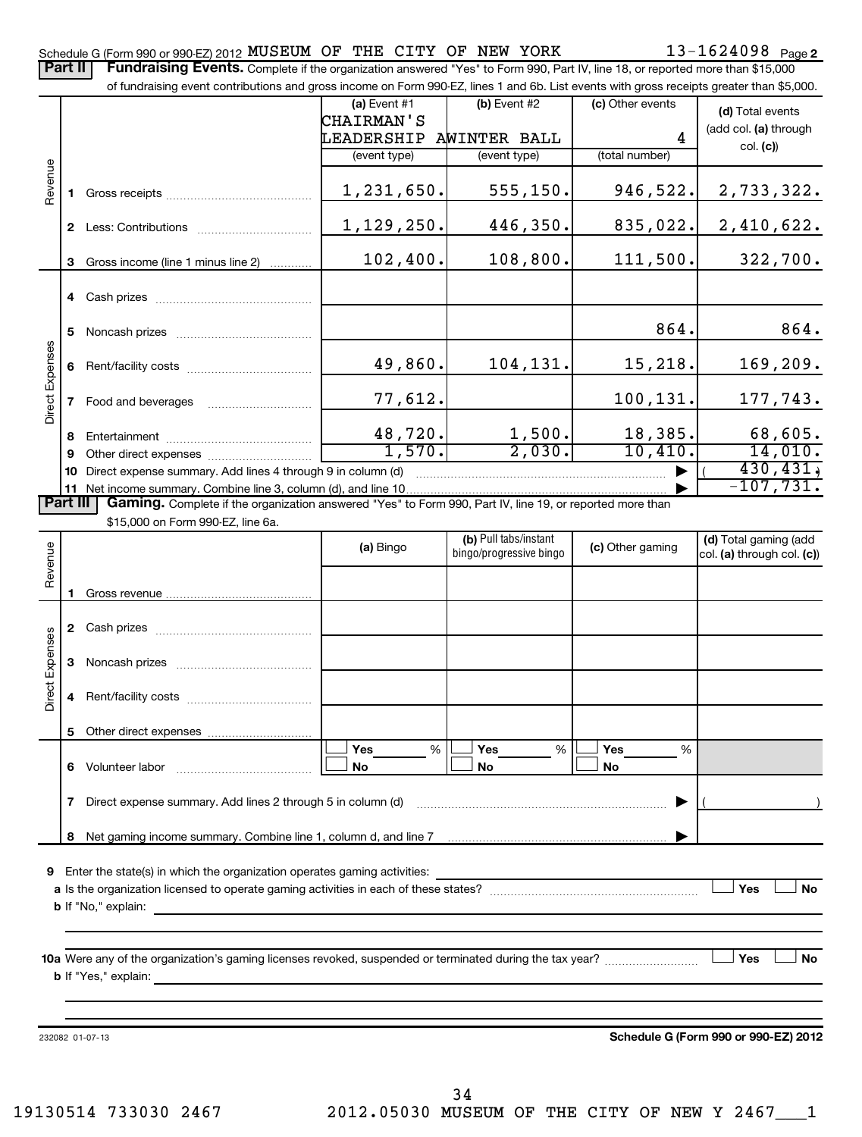Part II | Fundraising Events. Complete if the organization answered "Yes" to Form 990, Part IV, line 18, or reported more than \$15,000

|                 |        | of fundraising event contributions and gross income on Form 990-EZ, lines 1 and 6b. List events with gross receipts greater than \$5,000. | <b></b> Ouripicto il the organization anowered - red - to r onli boo, r art rv, line -ro, or reported more than $\psi$ ro, |                                                  |                    |                                                     |
|-----------------|--------|-------------------------------------------------------------------------------------------------------------------------------------------|----------------------------------------------------------------------------------------------------------------------------|--------------------------------------------------|--------------------|-----------------------------------------------------|
|                 |        |                                                                                                                                           | $(a)$ Event #1                                                                                                             | $(b)$ Event #2                                   | (c) Other events   | (d) Total events                                    |
|                 |        |                                                                                                                                           | <b>CHAIRMAN'S</b>                                                                                                          |                                                  |                    | (add col. (a) through                               |
|                 |        |                                                                                                                                           | LEADERSHIP                                                                                                                 | AWINTER BALL                                     | 4                  | col. (c)                                            |
|                 |        |                                                                                                                                           | (event type)                                                                                                               | (event type)                                     | (total number)     |                                                     |
| Revenue         | 1.     |                                                                                                                                           | 1,231,650.                                                                                                                 | 555, 150.                                        | 946,522.           | 2,733,322.                                          |
|                 |        |                                                                                                                                           | 1,129,250.                                                                                                                 | 446,350.                                         | 835,022.           | 2,410,622.                                          |
|                 | 3      | Gross income (line 1 minus line 2)                                                                                                        | 102,400.                                                                                                                   | 108,800.                                         | 111,500.           | 322,700.                                            |
|                 |        | 4 Cash prizes                                                                                                                             |                                                                                                                            |                                                  |                    |                                                     |
|                 | 5.     |                                                                                                                                           |                                                                                                                            |                                                  | 864.               | 864.                                                |
|                 | 6      |                                                                                                                                           | 49,860.                                                                                                                    | 104,131.                                         | 15,218.            | 169,209.                                            |
| Direct Expenses | 7      | Food and beverages                                                                                                                        | 77,612.                                                                                                                    |                                                  | 100,131.           | 177,743.                                            |
|                 | 8<br>9 |                                                                                                                                           | 48,720.<br>1,570.                                                                                                          | 1,500.<br>2,030.                                 | 18,385.<br>10,410. | 68,605.<br>14,010.                                  |
|                 |        | 10 Direct expense summary. Add lines 4 through 9 in column (d)                                                                            |                                                                                                                            |                                                  |                    | 430, 431,                                           |
|                 |        |                                                                                                                                           |                                                                                                                            |                                                  |                    | $-107,731.$                                         |
| <b>Part III</b> |        | Gaming. Complete if the organization answered "Yes" to Form 990, Part IV, line 19, or reported more than                                  |                                                                                                                            |                                                  |                    |                                                     |
|                 |        | \$15,000 on Form 990-EZ, line 6a.                                                                                                         |                                                                                                                            |                                                  |                    |                                                     |
| Revenue         |        |                                                                                                                                           | (a) Bingo                                                                                                                  | (b) Pull tabs/instant<br>bingo/progressive bingo | (c) Other gaming   | (d) Total gaming (add<br>col. (a) through col. (c)) |
|                 |        |                                                                                                                                           |                                                                                                                            |                                                  |                    |                                                     |
|                 |        | 2 Cash prizes                                                                                                                             |                                                                                                                            |                                                  |                    |                                                     |
| Direct Expenses |        |                                                                                                                                           |                                                                                                                            |                                                  |                    |                                                     |
|                 | 4      |                                                                                                                                           |                                                                                                                            |                                                  |                    |                                                     |
|                 | 5      |                                                                                                                                           |                                                                                                                            |                                                  |                    |                                                     |
|                 | 6.     | Volunteer labor                                                                                                                           | Yes<br>$\%$<br>No                                                                                                          | <b>Yes</b><br>%<br>No                            | Yes<br>%<br>No     |                                                     |
|                 | 7      | Direct expense summary. Add lines 2 through 5 in column (d)                                                                               |                                                                                                                            |                                                  |                    |                                                     |
|                 | 8      |                                                                                                                                           |                                                                                                                            |                                                  |                    |                                                     |
|                 |        |                                                                                                                                           |                                                                                                                            |                                                  |                    |                                                     |
|                 |        | 9 Enter the state(s) in which the organization operates gaming activities:                                                                |                                                                                                                            |                                                  |                    |                                                     |
|                 |        |                                                                                                                                           |                                                                                                                            |                                                  |                    | Yes<br><b>No</b>                                    |
|                 |        | <b>b</b> If "No," explain:                                                                                                                |                                                                                                                            |                                                  |                    |                                                     |
|                 |        |                                                                                                                                           |                                                                                                                            |                                                  |                    | Yes<br>No                                           |
|                 |        | <b>b</b> If "Yes," explain:                                                                                                               |                                                                                                                            |                                                  |                    |                                                     |
|                 |        |                                                                                                                                           |                                                                                                                            |                                                  |                    |                                                     |
|                 |        | 232082 01-07-13                                                                                                                           |                                                                                                                            |                                                  |                    | Schedule G (Form 990 or 990-EZ) 2012                |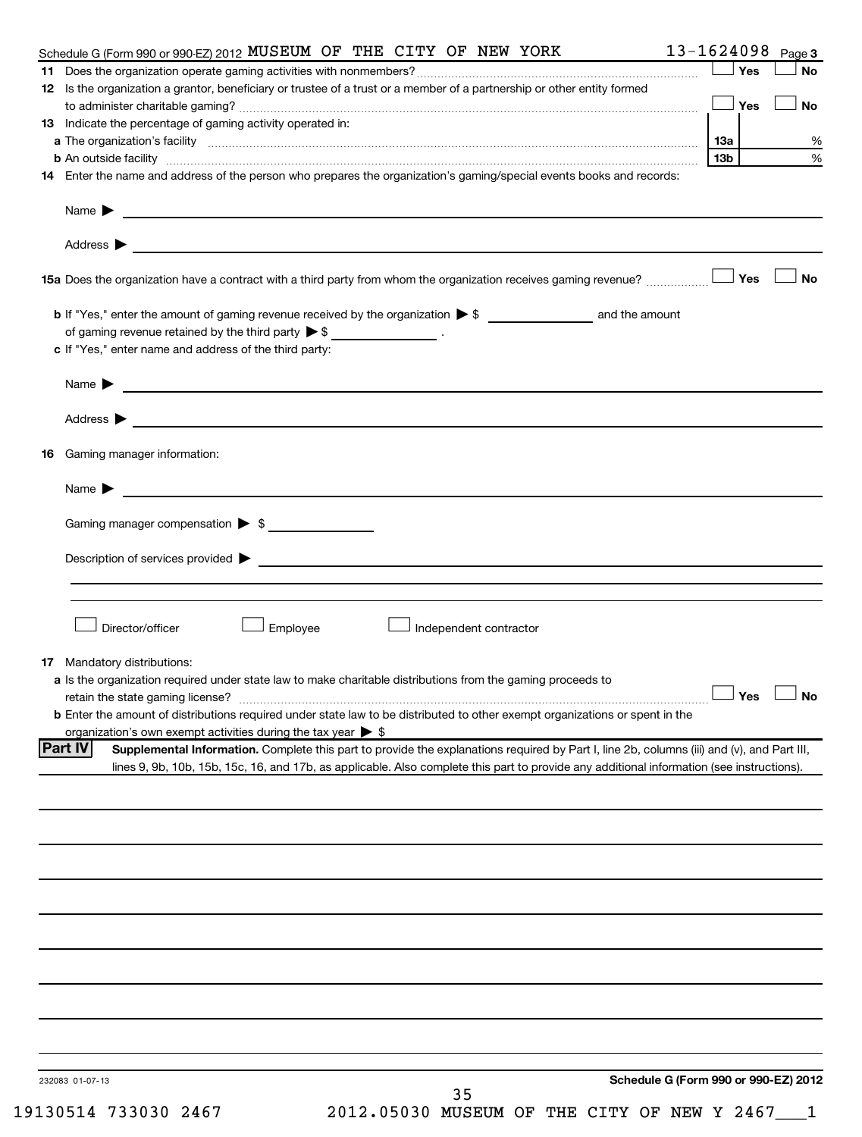| Schedule G (Form 990 or 990-EZ) 2012 MUSEUM OF THE CITY OF NEW YORK                                                                                                                                                                    |     |     | 13-1624098 Page 3    |
|----------------------------------------------------------------------------------------------------------------------------------------------------------------------------------------------------------------------------------------|-----|-----|----------------------|
|                                                                                                                                                                                                                                        |     | Yes | No                   |
| 12 Is the organization a grantor, beneficiary or trustee of a trust or a member of a partnership or other entity formed                                                                                                                |     |     |                      |
|                                                                                                                                                                                                                                        |     |     | No                   |
| 13 Indicate the percentage of gaming activity operated in:                                                                                                                                                                             |     |     |                      |
| a The organization's facility <b>contained to the contract of the contract of the contract of the contract of the contract of the contract of the contract of the contract of the contract of the contract of the contract of th</b>   | 13a |     | %<br>%               |
| b An outside facility www.communications.com/news/communications.com/news/communications.com/news/communicatio<br>14 Enter the name and address of the person who prepares the organization's gaming/special events books and records: | 13b |     |                      |
|                                                                                                                                                                                                                                        |     |     |                      |
| Name $\triangleright$                                                                                                                                                                                                                  |     |     |                      |
|                                                                                                                                                                                                                                        |     |     |                      |
| 15a Does the organization have a contract with a third party from whom the organization receives gaming revenue?                                                                                                                       |     | Yes | No                   |
|                                                                                                                                                                                                                                        |     |     |                      |
| of gaming revenue retained by the third party $\triangleright$ \$ __________________.                                                                                                                                                  |     |     |                      |
| c If "Yes," enter name and address of the third party:                                                                                                                                                                                 |     |     |                      |
|                                                                                                                                                                                                                                        |     |     |                      |
|                                                                                                                                                                                                                                        |     |     |                      |
|                                                                                                                                                                                                                                        |     |     |                      |
| <b>16</b> Gaming manager information:                                                                                                                                                                                                  |     |     |                      |
|                                                                                                                                                                                                                                        |     |     |                      |
| Gaming manager compensation > \$                                                                                                                                                                                                       |     |     |                      |
|                                                                                                                                                                                                                                        |     |     |                      |
|                                                                                                                                                                                                                                        |     |     |                      |
|                                                                                                                                                                                                                                        |     |     |                      |
| Director/officer<br>Employee<br>$\perp$ Independent contractor                                                                                                                                                                         |     |     |                      |
|                                                                                                                                                                                                                                        |     |     |                      |
| 17 Mandatory distributions:                                                                                                                                                                                                            |     |     |                      |
| a Is the organization required under state law to make charitable distributions from the gaming proceeds to                                                                                                                            |     |     |                      |
| retain the state gaming license?                                                                                                                                                                                                       |     |     | $\Box$ Yes $\Box$ No |
| <b>b</b> Enter the amount of distributions required under state law to be distributed to other exempt organizations or spent in the<br>organization's own exempt activities during the tax year $\triangleright$ \$                    |     |     |                      |
| <b>Part IV</b><br>Supplemental Information. Complete this part to provide the explanations required by Part I, line 2b, columns (iii) and (v), and Part III,                                                                           |     |     |                      |
| lines 9, 9b, 10b, 15b, 15c, 16, and 17b, as applicable. Also complete this part to provide any additional information (see instructions).                                                                                              |     |     |                      |
|                                                                                                                                                                                                                                        |     |     |                      |
|                                                                                                                                                                                                                                        |     |     |                      |
|                                                                                                                                                                                                                                        |     |     |                      |
|                                                                                                                                                                                                                                        |     |     |                      |
|                                                                                                                                                                                                                                        |     |     |                      |
|                                                                                                                                                                                                                                        |     |     |                      |
|                                                                                                                                                                                                                                        |     |     |                      |
|                                                                                                                                                                                                                                        |     |     |                      |
|                                                                                                                                                                                                                                        |     |     |                      |
|                                                                                                                                                                                                                                        |     |     |                      |
| Schedule G (Form 990 or 990-EZ) 2012<br>232083 01-07-13                                                                                                                                                                                |     |     |                      |
| 35                                                                                                                                                                                                                                     |     |     |                      |

19130514 733030 2467 2012.05030 MUSEUM OF THE CITY OF NEW Y 2467\_\_\_1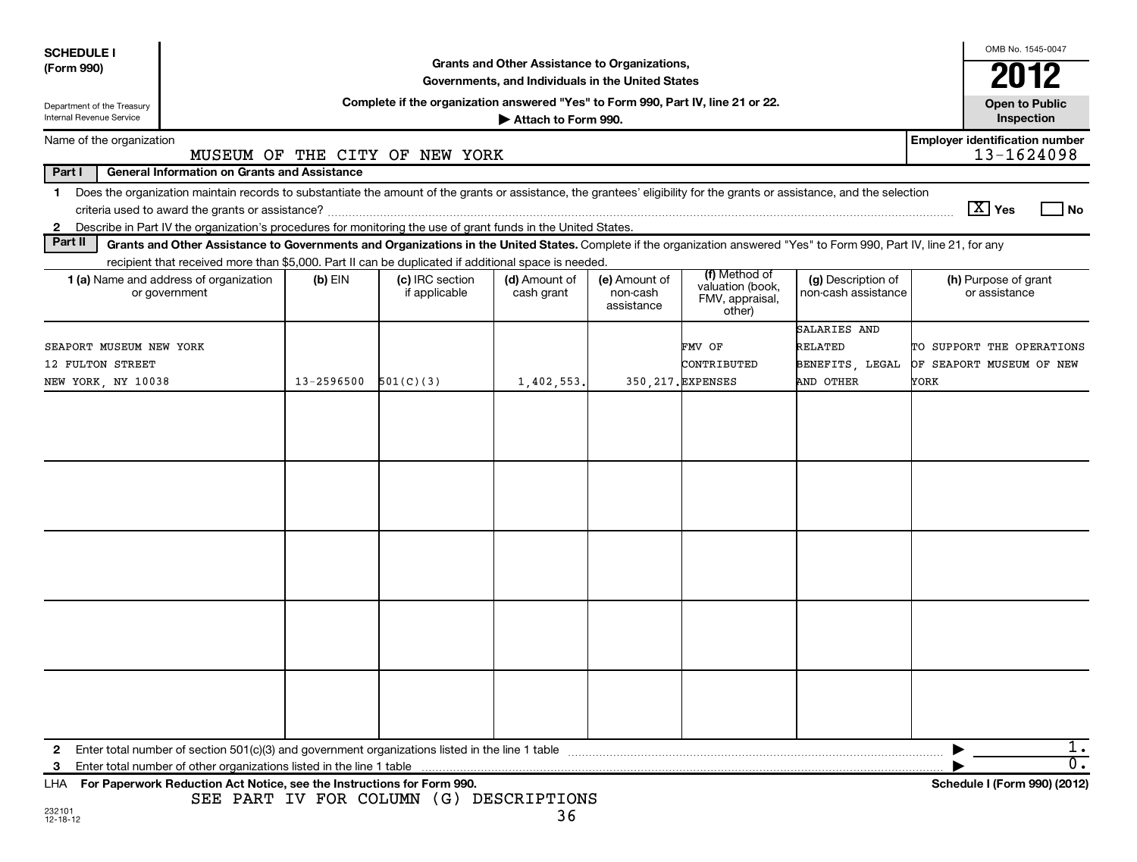| <b>SCHEDULE I</b>                                      |                                                                                                                                                                          |            |                                                                                  |                             |                                         |                                                                |                                           | OMB No. 1545-0047                                   |  |
|--------------------------------------------------------|--------------------------------------------------------------------------------------------------------------------------------------------------------------------------|------------|----------------------------------------------------------------------------------|-----------------------------|-----------------------------------------|----------------------------------------------------------------|-------------------------------------------|-----------------------------------------------------|--|
| (Form 990)                                             | Grants and Other Assistance to Organizations,<br>Governments, and Individuals in the United States                                                                       |            |                                                                                  |                             |                                         |                                                                |                                           |                                                     |  |
|                                                        |                                                                                                                                                                          |            |                                                                                  |                             |                                         |                                                                |                                           | 2012                                                |  |
| Department of the Treasury<br>Internal Revenue Service |                                                                                                                                                                          |            | Complete if the organization answered "Yes" to Form 990, Part IV, line 21 or 22. | Attach to Form 990.         |                                         |                                                                |                                           | <b>Open to Public</b><br>Inspection                 |  |
| Name of the organization                               |                                                                                                                                                                          |            | MUSEUM OF THE CITY OF NEW YORK                                                   |                             |                                         |                                                                |                                           | <b>Employer identification number</b><br>13-1624098 |  |
| Part I                                                 | <b>General Information on Grants and Assistance</b>                                                                                                                      |            |                                                                                  |                             |                                         |                                                                |                                           |                                                     |  |
| 1.                                                     | Does the organization maintain records to substantiate the amount of the grants or assistance, the grantees' eligibility for the grants or assistance, and the selection |            |                                                                                  |                             |                                         |                                                                |                                           |                                                     |  |
|                                                        |                                                                                                                                                                          |            |                                                                                  |                             |                                         |                                                                |                                           | $\lfloor X \rfloor$ Yes<br><b>No</b>                |  |
|                                                        | 2 Describe in Part IV the organization's procedures for monitoring the use of grant funds in the United States.                                                          |            |                                                                                  |                             |                                         |                                                                |                                           |                                                     |  |
| Part II                                                | Grants and Other Assistance to Governments and Organizations in the United States. Complete if the organization answered "Yes" to Form 990, Part IV, line 21, for any    |            |                                                                                  |                             |                                         |                                                                |                                           |                                                     |  |
|                                                        | recipient that received more than \$5,000. Part II can be duplicated if additional space is needed.                                                                      |            |                                                                                  |                             |                                         |                                                                |                                           |                                                     |  |
|                                                        | 1 (a) Name and address of organization<br>or government                                                                                                                  | $(b)$ EIN  | (c) IRC section<br>if applicable                                                 | (d) Amount of<br>cash grant | (e) Amount of<br>non-cash<br>assistance | (f) Method of<br>valuation (book,<br>FMV, appraisal,<br>other) | (g) Description of<br>non-cash assistance | (h) Purpose of grant<br>or assistance               |  |
|                                                        |                                                                                                                                                                          |            |                                                                                  |                             |                                         |                                                                | SALARIES AND                              |                                                     |  |
| SEAPORT MUSEUM NEW YORK                                |                                                                                                                                                                          |            |                                                                                  |                             |                                         | FMV OF                                                         | RELATED                                   | TO SUPPORT THE OPERATIONS                           |  |
| 12 FULTON STREET                                       |                                                                                                                                                                          |            |                                                                                  |                             |                                         | CONTRIBUTED                                                    | BENEFITS, LEGAL                           | OF SEAPORT MUSEUM OF NEW                            |  |
| NEW YORK, NY 10038                                     |                                                                                                                                                                          | 13-2596500 | 501(C)(3)                                                                        | 1,402,553.                  |                                         | 350, 217. EXPENSES                                             | AND OTHER                                 | YORK                                                |  |
|                                                        |                                                                                                                                                                          |            |                                                                                  |                             |                                         |                                                                |                                           |                                                     |  |
|                                                        |                                                                                                                                                                          |            |                                                                                  |                             |                                         |                                                                |                                           |                                                     |  |
|                                                        |                                                                                                                                                                          |            |                                                                                  |                             |                                         |                                                                |                                           |                                                     |  |
|                                                        |                                                                                                                                                                          |            |                                                                                  |                             |                                         |                                                                |                                           |                                                     |  |
|                                                        |                                                                                                                                                                          |            |                                                                                  |                             |                                         |                                                                |                                           |                                                     |  |
| 2                                                      |                                                                                                                                                                          |            |                                                                                  |                             |                                         |                                                                |                                           | ı.                                                  |  |
| 3                                                      | Enter total number of other organizations listed in the line 1 table                                                                                                     |            |                                                                                  |                             |                                         |                                                                |                                           | $\overline{\mathfrak{o}}$ .                         |  |
|                                                        | LHA For Paperwork Reduction Act Notice, see the Instructions for Form 990.                                                                                               |            | SEE PART IV FOR COLUMN (G) DESCRIPTIONS                                          |                             |                                         |                                                                |                                           | Schedule I (Form 990) (2012)                        |  |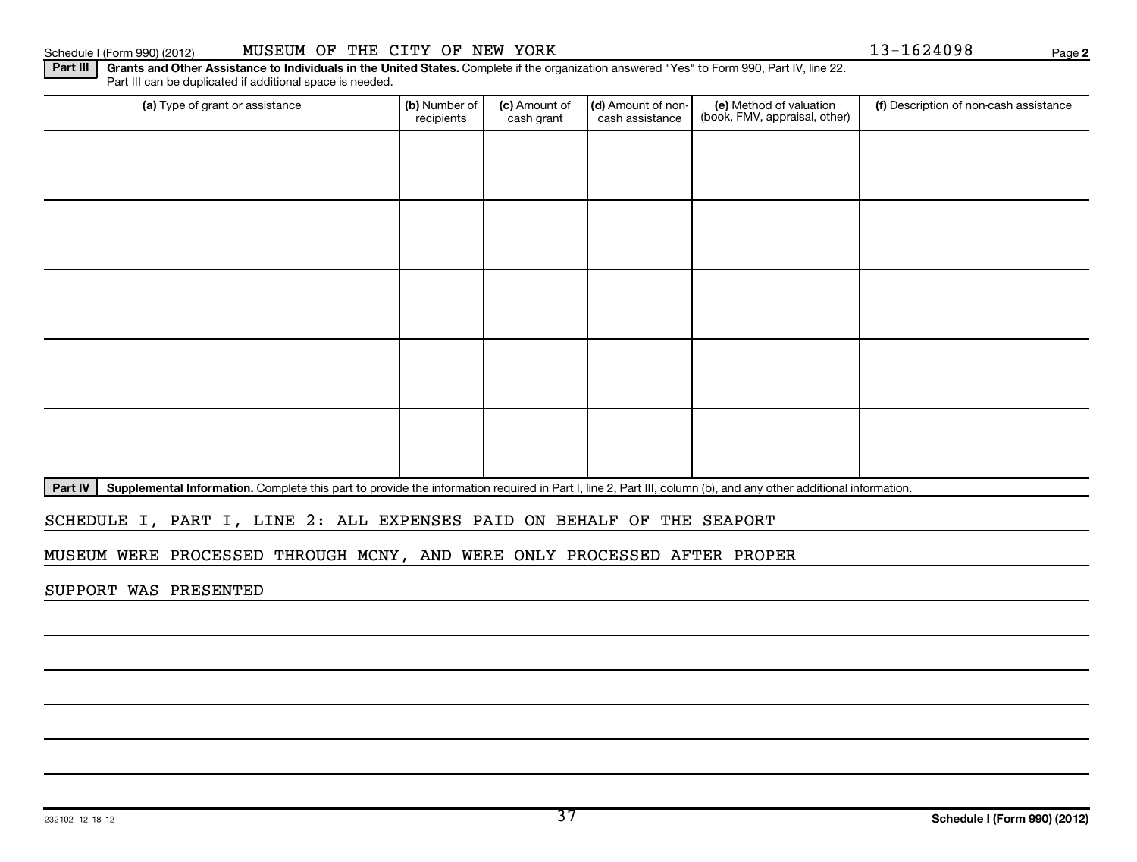|  |  | Fail III Call |
|--|--|---------------|
|  |  |               |
|  |  |               |

# Schedule I (Form 990) (2012) MUSEUM OF THE CITY OF NEW YORK 13-1624098 Page

**2**

Part III | Grants and Other Assistance to Individuals in the United States. Complete if the organization answered "Yes" to Form 990, Part IV, line 22. Part III can be duplicated if additional space is needed.

| (a) Type of grant or assistance                                                                                                                                            | (b) Number of<br>recipients | (c) Amount of<br>cash grant | (d) Amount of non-<br>cash assistance | (e) Method of valuation<br>(book, FMV, appraisal, other) | (f) Description of non-cash assistance |
|----------------------------------------------------------------------------------------------------------------------------------------------------------------------------|-----------------------------|-----------------------------|---------------------------------------|----------------------------------------------------------|----------------------------------------|
|                                                                                                                                                                            |                             |                             |                                       |                                                          |                                        |
|                                                                                                                                                                            |                             |                             |                                       |                                                          |                                        |
|                                                                                                                                                                            |                             |                             |                                       |                                                          |                                        |
|                                                                                                                                                                            |                             |                             |                                       |                                                          |                                        |
|                                                                                                                                                                            |                             |                             |                                       |                                                          |                                        |
|                                                                                                                                                                            |                             |                             |                                       |                                                          |                                        |
|                                                                                                                                                                            |                             |                             |                                       |                                                          |                                        |
|                                                                                                                                                                            |                             |                             |                                       |                                                          |                                        |
|                                                                                                                                                                            |                             |                             |                                       |                                                          |                                        |
|                                                                                                                                                                            |                             |                             |                                       |                                                          |                                        |
| Part IV<br>Supplemental Information. Complete this part to provide the information required in Part I, line 2, Part III, column (b), and any other additional information. |                             |                             |                                       |                                                          |                                        |

# SCHEDULE I, PART I, LINE 2: ALL EXPENSES PAID ON BEHALF OF THE SEAPORT

MUSEUM WERE PROCESSED THROUGH MCNY, AND WERE ONLY PROCESSED AFTER PROPER

SUPPORT WAS PRESENTED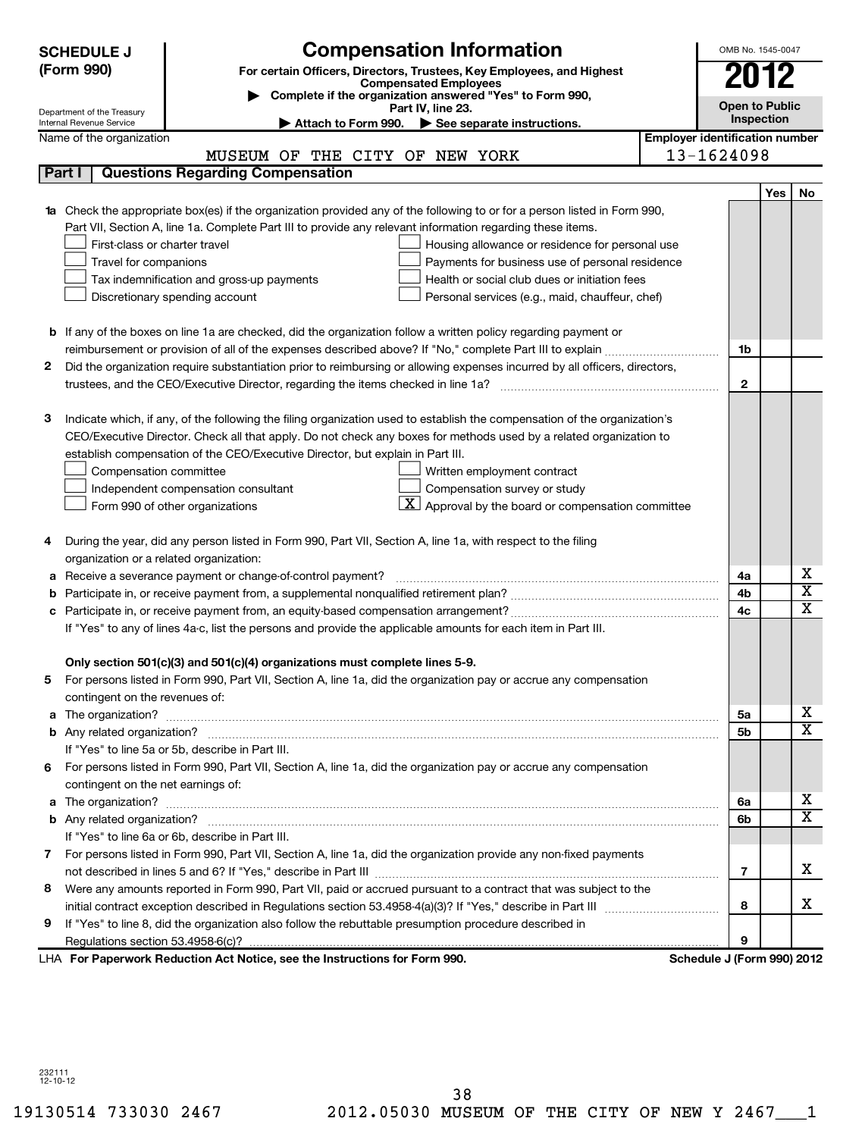|        | <b>SCHEDULE J</b><br>(Form 990)                      | <b>Compensation Information</b><br>For certain Officers, Directors, Trustees, Key Employees, and Highest<br><b>Compensated Employees</b> |                                       | OMB No. 1545-0047<br>2012           |     |                         |
|--------|------------------------------------------------------|------------------------------------------------------------------------------------------------------------------------------------------|---------------------------------------|-------------------------------------|-----|-------------------------|
|        |                                                      | Complete if the organization answered "Yes" to Form 990,                                                                                 |                                       |                                     |     |                         |
|        | Department of the Treasury                           | Part IV, line 23.                                                                                                                        |                                       | <b>Open to Public</b><br>Inspection |     |                         |
|        | Internal Revenue Service<br>Name of the organization | Attach to Form 990. $\triangleright$ See separate instructions.                                                                          | <b>Employer identification number</b> |                                     |     |                         |
|        |                                                      | MUSEUM OF THE CITY OF NEW YORK                                                                                                           |                                       | 13-1624098                          |     |                         |
| Part I |                                                      | <b>Questions Regarding Compensation</b>                                                                                                  |                                       |                                     |     |                         |
|        |                                                      |                                                                                                                                          |                                       |                                     | Yes | No                      |
|        |                                                      | 1a Check the appropriate box(es) if the organization provided any of the following to or for a person listed in Form 990,                |                                       |                                     |     |                         |
|        |                                                      | Part VII, Section A, line 1a. Complete Part III to provide any relevant information regarding these items.                               |                                       |                                     |     |                         |
|        | First-class or charter travel                        | Housing allowance or residence for personal use                                                                                          |                                       |                                     |     |                         |
|        | Travel for companions                                | Payments for business use of personal residence                                                                                          |                                       |                                     |     |                         |
|        |                                                      | Health or social club dues or initiation fees<br>Tax indemnification and gross-up payments                                               |                                       |                                     |     |                         |
|        |                                                      | Discretionary spending account<br>Personal services (e.g., maid, chauffeur, chef)                                                        |                                       |                                     |     |                         |
|        |                                                      |                                                                                                                                          |                                       |                                     |     |                         |
|        |                                                      | <b>b</b> If any of the boxes on line 1a are checked, did the organization follow a written policy regarding payment or                   |                                       |                                     |     |                         |
|        |                                                      |                                                                                                                                          |                                       | 1b                                  |     |                         |
| 2      |                                                      | Did the organization require substantiation prior to reimbursing or allowing expenses incurred by all officers, directors,               |                                       |                                     |     |                         |
|        |                                                      |                                                                                                                                          |                                       | $\mathbf{2}$                        |     |                         |
|        |                                                      |                                                                                                                                          |                                       |                                     |     |                         |
| з      |                                                      | Indicate which, if any, of the following the filing organization used to establish the compensation of the organization's                |                                       |                                     |     |                         |
|        |                                                      | CEO/Executive Director. Check all that apply. Do not check any boxes for methods used by a related organization to                       |                                       |                                     |     |                         |
|        |                                                      | establish compensation of the CEO/Executive Director, but explain in Part III.                                                           |                                       |                                     |     |                         |
|        | Compensation committee                               | Written employment contract                                                                                                              |                                       |                                     |     |                         |
|        |                                                      | Compensation survey or study<br>Independent compensation consultant                                                                      |                                       |                                     |     |                         |
|        |                                                      | $\mathbf{X}$ Approval by the board or compensation committee<br>Form 990 of other organizations                                          |                                       |                                     |     |                         |
|        |                                                      |                                                                                                                                          |                                       |                                     |     |                         |
| 4      |                                                      | During the year, did any person listed in Form 990, Part VII, Section A, line 1a, with respect to the filing                             |                                       |                                     |     |                         |
|        | organization or a related organization:              |                                                                                                                                          |                                       |                                     |     |                         |
| а      |                                                      | Receive a severance payment or change-of-control payment?                                                                                |                                       | 4a                                  |     | х                       |
| b      |                                                      |                                                                                                                                          |                                       | 4b                                  |     | $\overline{\textbf{x}}$ |
| с      |                                                      |                                                                                                                                          |                                       | 4c                                  |     | $\overline{\mathbf{x}}$ |
|        |                                                      | If "Yes" to any of lines 4a-c, list the persons and provide the applicable amounts for each item in Part III.                            |                                       |                                     |     |                         |
|        |                                                      |                                                                                                                                          |                                       |                                     |     |                         |
|        |                                                      | Only section 501(c)(3) and 501(c)(4) organizations must complete lines 5-9.                                                              |                                       |                                     |     |                         |
| b      |                                                      | For persons listed in Form 990, Part VII, Section A, line 1a, did the organization pay or accrue any compensation                        |                                       |                                     |     |                         |
|        | contingent on the revenues of:                       |                                                                                                                                          |                                       |                                     |     |                         |
|        |                                                      |                                                                                                                                          |                                       | 5a                                  |     | x                       |
|        |                                                      |                                                                                                                                          |                                       | 5 <sub>b</sub>                      |     | $\overline{\mathbf{x}}$ |
|        |                                                      | If "Yes" to line 5a or 5b, describe in Part III.                                                                                         |                                       |                                     |     |                         |
|        |                                                      | 6 For persons listed in Form 990, Part VII, Section A, line 1a, did the organization pay or accrue any compensation                      |                                       |                                     |     |                         |
|        | contingent on the net earnings of:                   |                                                                                                                                          |                                       |                                     |     |                         |
|        |                                                      |                                                                                                                                          |                                       | 6a                                  |     | х                       |
|        |                                                      |                                                                                                                                          |                                       | 6b                                  |     | $\overline{\mathtt{x}}$ |
|        |                                                      | If "Yes" to line 6a or 6b, describe in Part III.                                                                                         |                                       |                                     |     |                         |
|        |                                                      | 7 For persons listed in Form 990, Part VII, Section A, line 1a, did the organization provide any non-fixed payments                      |                                       |                                     |     |                         |
|        |                                                      |                                                                                                                                          |                                       | $\overline{7}$                      |     | x                       |
| 8      |                                                      | Were any amounts reported in Form 990, Part VII, paid or accrued pursuant to a contract that was subject to the                          |                                       |                                     |     |                         |
|        |                                                      |                                                                                                                                          |                                       | 8                                   |     | x                       |
| 9      |                                                      | If "Yes" to line 8, did the organization also follow the rebuttable presumption procedure described in                                   |                                       |                                     |     |                         |
|        |                                                      |                                                                                                                                          |                                       | 9                                   |     |                         |
|        |                                                      | LHA For Paperwork Reduction Act Notice, see the Instructions for Form 990.                                                               |                                       | Schedule J (Form 990) 2012          |     |                         |

232111 12-10-12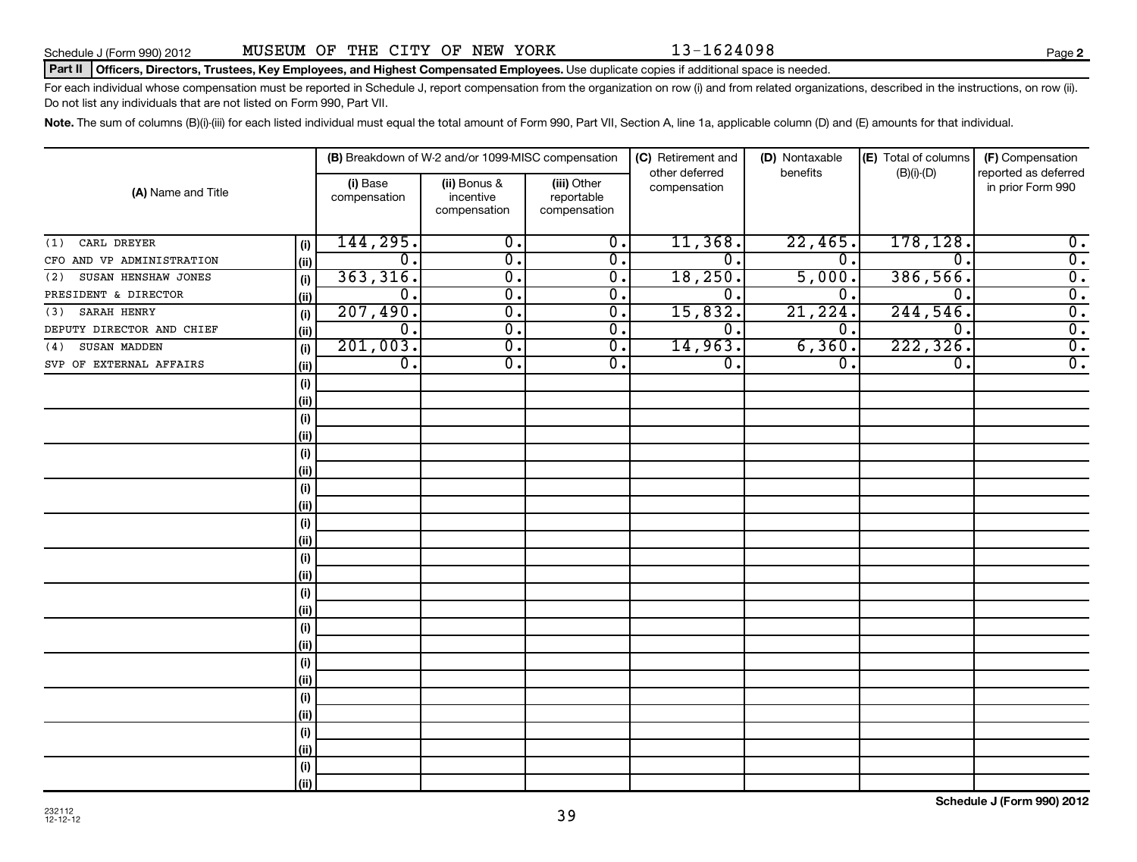Schedule J (Form 990) 2012 MUSEUM OF THE CITY OF NEW YORK  $13-1624098$ 

### Part II | Officers, Directors, Trustees, Key Employees, and Highest Compensated Employees. Use duplicate copies if additional space is needed.

For each individual whose compensation must be reported in Schedule J, report compensation from the organization on row (i) and from related organizations, described in the instructions, on row (ii). Do not list any individuals that are not listed on Form 990, Part VII.

Note. The sum of columns (B)(i)-(iii) for each listed individual must equal the total amount of Form 990, Part VII, Section A, line 1a, applicable column (D) and (E) amounts for that individual.

| (A) Name and Title        |             |                          | (B) Breakdown of W-2 and/or 1099-MISC compensation |                                           | (C) Retirement and             | (D) Nontaxable   | (E) Total of columns        | (F) Compensation                          |
|---------------------------|-------------|--------------------------|----------------------------------------------------|-------------------------------------------|--------------------------------|------------------|-----------------------------|-------------------------------------------|
|                           |             | (i) Base<br>compensation | (ii) Bonus &<br>incentive<br>compensation          | (iii) Other<br>reportable<br>compensation | other deferred<br>compensation | benefits         | $(B)(i)-(D)$                | reported as deferred<br>in prior Form 990 |
| CARL DREYER<br>(1)        | (i)         | 144, 295.                | σ.                                                 | $\overline{\mathfrak{o}}$ .               | 11,368.                        | 22,465.          | 178, 128.                   | $\overline{0}$ .                          |
| CFO AND VP ADMINISTRATION | (ii)        | $\overline{0}$ .         | σ.                                                 | $\overline{\mathfrak{o}}$ .               | σ.                             | $\overline{0}$ . | $\overline{0}$ .            | $\overline{0}$ .                          |
| (2) SUSAN HENSHAW JONES   | (i)         | 363,316.                 | σ.                                                 | σ.                                        | 18,250.                        | 5,000.           | 386,566.                    | $\overline{0}$ .                          |
| PRESIDENT & DIRECTOR      | (ii)        | $\overline{0}$ .         | σ.                                                 | σ.                                        | σ.                             | $\overline{0}$ . | $\overline{0}$ .            | $\overline{0}$ .                          |
| $(3)$ SARAH HENRY         | (i)         | 207,490.                 | σ.                                                 | $\overline{\mathfrak{o}}$ .               | 15,832.                        | 21,224.          | 244,546.                    | $\overline{0}$ .                          |
| DEPUTY DIRECTOR AND CHIEF | (ii)        | $\overline{0}$ .         | σ.                                                 | $\overline{\mathfrak{o}}$ .               | σ.                             | $\overline{0}$ . | $\overline{\mathfrak{o}}$ . | $\overline{0}$ .                          |
| (4) SUSAN MADDEN          | (i)         | 201,003.                 | σ.                                                 | $\overline{\mathfrak{o}}$ .               | 14,963.                        | 6, 360.          | 222, 326.                   | $\overline{0}$ .                          |
| SVP OF EXTERNAL AFFAIRS   | (ii)        | $\overline{0}$ .         | σ.                                                 | $\overline{\mathfrak{o}}$ .               | σ.                             | $\overline{0}$ . | $\overline{\mathfrak{o}}$ . | $\overline{0}$ .                          |
|                           | (i)         |                          |                                                    |                                           |                                |                  |                             |                                           |
|                           | (ii)        |                          |                                                    |                                           |                                |                  |                             |                                           |
|                           | (i)         |                          |                                                    |                                           |                                |                  |                             |                                           |
|                           | (ii)        |                          |                                                    |                                           |                                |                  |                             |                                           |
|                           | (i)         |                          |                                                    |                                           |                                |                  |                             |                                           |
|                           | (ii)        |                          |                                                    |                                           |                                |                  |                             |                                           |
|                           | (i)         |                          |                                                    |                                           |                                |                  |                             |                                           |
|                           | (ii)        |                          |                                                    |                                           |                                |                  |                             |                                           |
|                           | (i)         |                          |                                                    |                                           |                                |                  |                             |                                           |
|                           | (ii)        |                          |                                                    |                                           |                                |                  |                             |                                           |
|                           | (i)         |                          |                                                    |                                           |                                |                  |                             |                                           |
|                           | (ii)        |                          |                                                    |                                           |                                |                  |                             |                                           |
|                           | (i)         |                          |                                                    |                                           |                                |                  |                             |                                           |
|                           | (ii)        |                          |                                                    |                                           |                                |                  |                             |                                           |
|                           | (i)         |                          |                                                    |                                           |                                |                  |                             |                                           |
|                           | (ii)        |                          |                                                    |                                           |                                |                  |                             |                                           |
|                           | (i)         |                          |                                                    |                                           |                                |                  |                             |                                           |
|                           | (ii)        |                          |                                                    |                                           |                                |                  |                             |                                           |
|                           | (i)         |                          |                                                    |                                           |                                |                  |                             |                                           |
|                           | (ii)        |                          |                                                    |                                           |                                |                  |                             |                                           |
|                           | (i)<br>(ii) |                          |                                                    |                                           |                                |                  |                             |                                           |
|                           | (i)         |                          |                                                    |                                           |                                |                  |                             |                                           |
|                           | (ii)        |                          |                                                    |                                           |                                |                  |                             |                                           |
|                           |             |                          |                                                    |                                           |                                |                  |                             |                                           |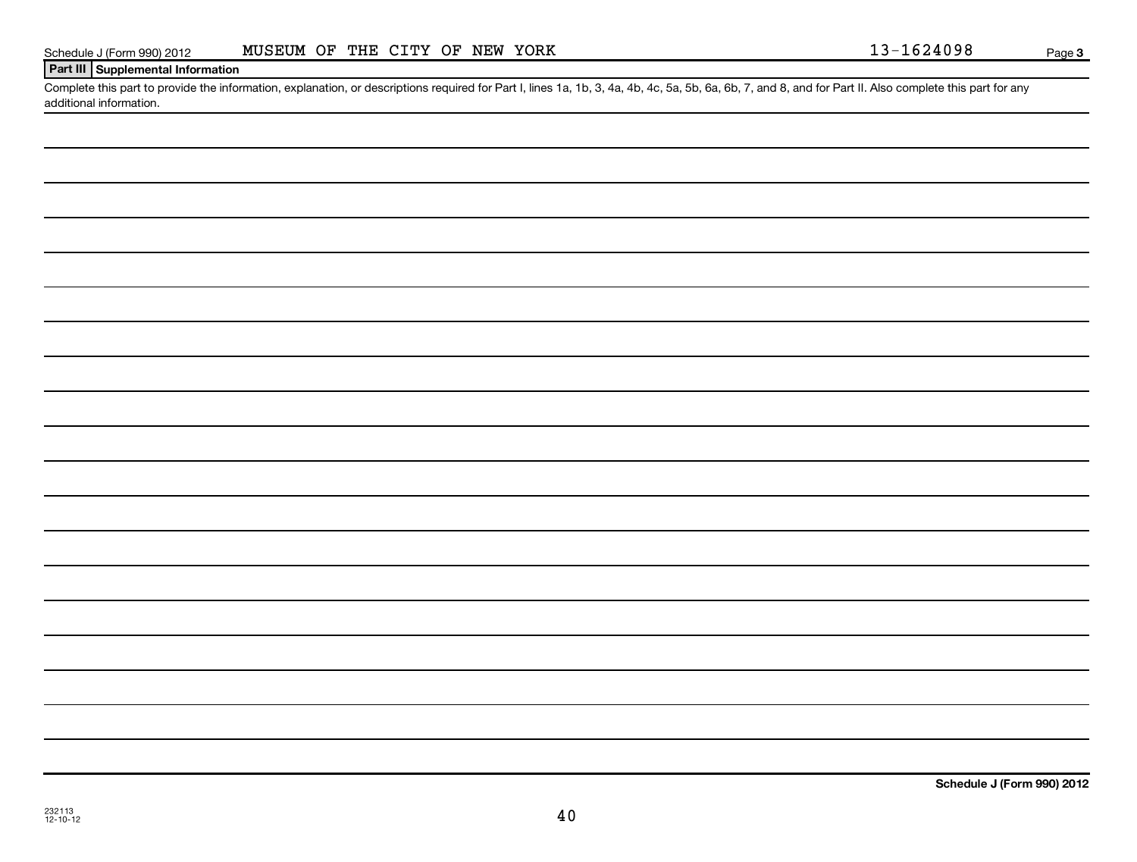| インコ |   |
|-----|---|
| о   | ש |

# **Part III Supplemental Information**

Complete this part to provide the information, explanation, or descriptions required for Part I, lines 1a, 1b, 3, 4a, 4b, 4c, 5a, 5b, 6a, 6b, 7, and 8, and for Part II. Also complete this part for any additional information.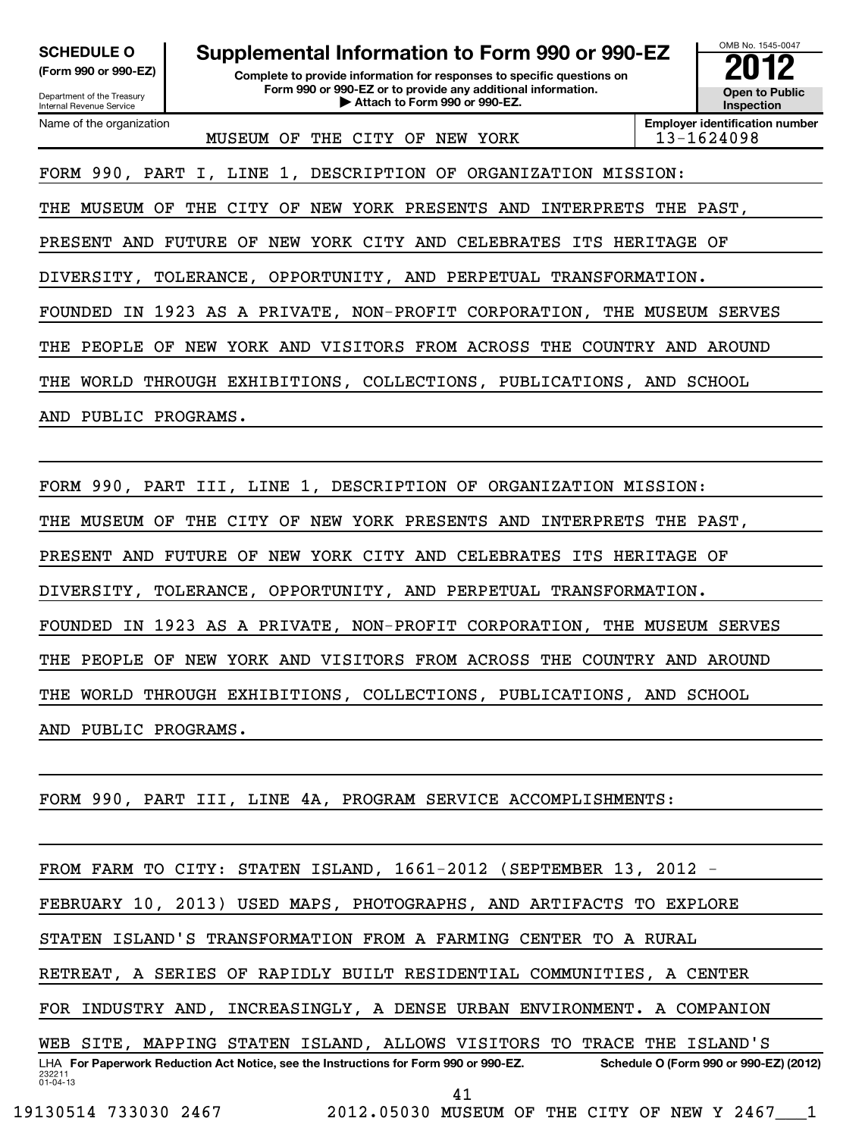| <b>SCHEDULE O</b><br>(Form 990 or 990-EZ)<br>Department of the Treasury<br><b>Internal Revenue Service</b> | Supplemental Information to Form 990 or 990-EZ<br>Complete to provide information for responses to specific questions on<br>Form 990 or 990-EZ or to provide any additional information.<br>Attach to Form 990 or 990-EZ. |             |                                                     |  |  |  |  |  |
|------------------------------------------------------------------------------------------------------------|---------------------------------------------------------------------------------------------------------------------------------------------------------------------------------------------------------------------------|-------------|-----------------------------------------------------|--|--|--|--|--|
| Name of the organization                                                                                   | MUSEUM<br>THE CITY OF<br>NEW YORK<br>OF                                                                                                                                                                                   |             | <b>Employer identification number</b><br>13-1624098 |  |  |  |  |  |
|                                                                                                            | FORM 990, PART I, LINE 1, DESCRIPTION OF ORGANIZATION MISSION:                                                                                                                                                            |             |                                                     |  |  |  |  |  |
| MUSEUM<br>OF<br>THE                                                                                        | YORK PRESENTS AND<br>THE<br>CITY OF<br>NEW<br>INTERPRETS                                                                                                                                                                  | THE         | PAST,                                               |  |  |  |  |  |
| PRESENT<br>AND                                                                                             | NEW YORK CITY AND CELEBRATES ITS<br><b>FUTURE OF</b>                                                                                                                                                                      | HERITAGE OF |                                                     |  |  |  |  |  |
|                                                                                                            | DIVERSITY, TOLERANCE, OPPORTUNITY, AND PERPETUAL TRANSFORMATION.                                                                                                                                                          |             |                                                     |  |  |  |  |  |
| FOUNDED                                                                                                    | IN 1923 AS A PRIVATE, NON-PROFIT CORPORATION, THE MUSEUM SERVES                                                                                                                                                           |             |                                                     |  |  |  |  |  |
| YORK AND VISITORS FROM ACROSS THE<br>PEOPLE<br>THE<br>OF<br>NEW<br>COUNTRY AND<br>AROUND                   |                                                                                                                                                                                                                           |             |                                                     |  |  |  |  |  |
| THROUGH EXHIBITIONS, COLLECTIONS, PUBLICATIONS, AND<br>THE<br>WORLD<br>SCHOOL                              |                                                                                                                                                                                                                           |             |                                                     |  |  |  |  |  |
| PUBLIC PROGRAMS.<br>AND                                                                                    |                                                                                                                                                                                                                           |             |                                                     |  |  |  |  |  |
|                                                                                                            |                                                                                                                                                                                                                           |             |                                                     |  |  |  |  |  |

FORM 990, PART III, LINE 1, DESCRIPTION OF ORGANIZATION MISSION: THE MUSEUM OF THE CITY OF NEW YORK PRESENTS AND INTERPRETS THE PAST, PRESENT AND FUTURE OF NEW YORK CITY AND CELEBRATES ITS HERITAGE OF DIVERSITY, TOLERANCE, OPPORTUNITY, AND PERPETUAL TRANSFORMATION. FOUNDED IN 1923 AS A PRIVATE, NON-PROFIT CORPORATION, THE MUSEUM SERVES THE PEOPLE OF NEW YORK AND VISITORS FROM ACROSS THE COUNTRY AND AROUND THE WORLD THROUGH EXHIBITIONS, COLLECTIONS, PUBLICATIONS, AND SCHOOL AND PUBLIC PROGRAMS.

FORM 990, PART III, LINE 4A, PROGRAM SERVICE ACCOMPLISHMENTS:

FROM FARM TO CITY: STATEN ISLAND, 1661-2012 (SEPTEMBER 13, 2012 -

FEBRUARY 10, 2013) USED MAPS, PHOTOGRAPHS, AND ARTIFACTS TO EXPLORE

STATEN ISLAND'S TRANSFORMATION FROM A FARMING CENTER TO A RURAL

RETREAT, A SERIES OF RAPIDLY BUILT RESIDENTIAL COMMUNITIES, A CENTER

FOR INDUSTRY AND, INCREASINGLY, A DENSE URBAN ENVIRONMENT. A COMPANION

232211 01-04-13 LHA For Paperwork Reduction Act Notice, see the Instructions for Form 990 or 990-EZ. Schedule O (Form 990 or 990-EZ) (2012) WEB SITE, MAPPING STATEN ISLAND, ALLOWS VISITORS TO TRACE THE ISLAND'S 41

19130514 733030 2467 2012.05030 MUSEUM OF THE CITY OF NEW Y 2467\_\_\_1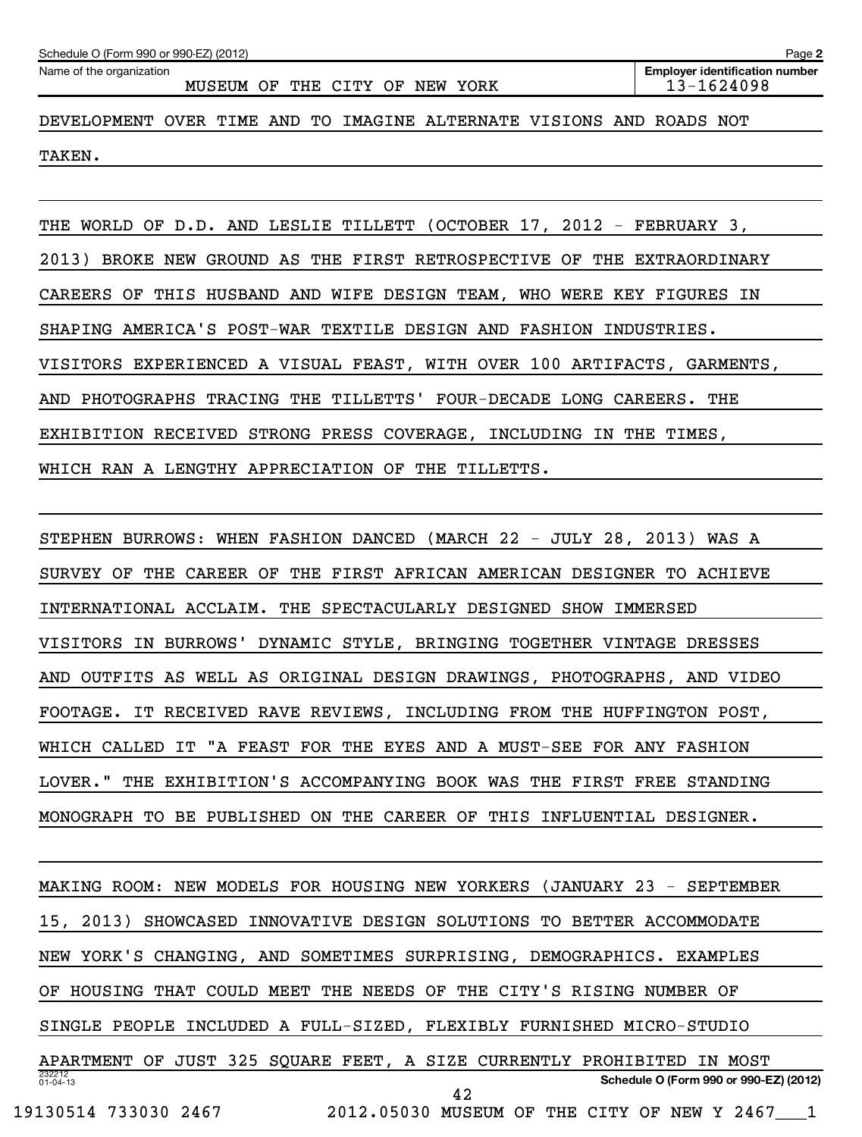| Schedule O (Form 990 or 990-EZ) (2012)<br>Page 2                                                                  |  |  |  |  |  |  |  |  |  |  |  |
|-------------------------------------------------------------------------------------------------------------------|--|--|--|--|--|--|--|--|--|--|--|
| Name of the organization<br><b>Employer identification number</b><br>13-1624098<br>MUSEUM OF THE CITY OF NEW YORK |  |  |  |  |  |  |  |  |  |  |  |
| DEVELOPMENT OVER TIME AND TO IMAGINE ALTERNATE VISIONS AND ROADS NOT                                              |  |  |  |  |  |  |  |  |  |  |  |
| TAKEN.                                                                                                            |  |  |  |  |  |  |  |  |  |  |  |

THE WORLD OF D.D. AND LESLIE TILLETT (OCTOBER 17, 2012 - FEBRUARY 3, 2013) BROKE NEW GROUND AS THE FIRST RETROSPECTIVE OF THE EXTRAORDINARY CAREERS OF THIS HUSBAND AND WIFE DESIGN TEAM, WHO WERE KEY FIGURES IN SHAPING AMERICA'S POST-WAR TEXTILE DESIGN AND FASHION INDUSTRIES. VISITORS EXPERIENCED A VISUAL FEAST, WITH OVER 100 ARTIFACTS, GARMENTS, AND PHOTOGRAPHS TRACING THE TILLETTS' FOUR-DECADE LONG CAREERS. THE EXHIBITION RECEIVED STRONG PRESS COVERAGE, INCLUDING IN THE TIMES, WHICH RAN A LENGTHY APPRECIATION OF THE TILLETTS.

STEPHEN BURROWS: WHEN FASHION DANCED (MARCH 22 - JULY 28, 2013) WAS A SURVEY OF THE CAREER OF THE FIRST AFRICAN AMERICAN DESIGNER TO ACHIEVE INTERNATIONAL ACCLAIM. THE SPECTACULARLY DESIGNED SHOW IMMERSED VISITORS IN BURROWS' DYNAMIC STYLE, BRINGING TOGETHER VINTAGE DRESSES AND OUTFITS AS WELL AS ORIGINAL DESIGN DRAWINGS, PHOTOGRAPHS, AND VIDEO FOOTAGE. IT RECEIVED RAVE REVIEWS, INCLUDING FROM THE HUFFINGTON POST, WHICH CALLED IT "A FEAST FOR THE EYES AND A MUST-SEE FOR ANY FASHION LOVER." THE EXHIBITION'S ACCOMPANYING BOOK WAS THE FIRST FREE STANDING MONOGRAPH TO BE PUBLISHED ON THE CAREER OF THIS INFLUENTIAL DESIGNER.

232212 01-04-13 **Schedule O (Form 990 or 990-EZ) (2012)** MAKING ROOM: NEW MODELS FOR HOUSING NEW YORKERS (JANUARY 23 - SEPTEMBER 15, 2013) SHOWCASED INNOVATIVE DESIGN SOLUTIONS TO BETTER ACCOMMODATE NEW YORK'S CHANGING, AND SOMETIMES SURPRISING, DEMOGRAPHICS. EXAMPLES OF HOUSING THAT COULD MEET THE NEEDS OF THE CITY'S RISING NUMBER OF SINGLE PEOPLE INCLUDED A FULL-SIZED, FLEXIBLY FURNISHED MICRO-STUDIO APARTMENT OF JUST 325 SQUARE FEET, A SIZE CURRENTLY PROHIBITED IN MOST 19130514 733030 2467 2012.05030 MUSEUM OF THE CITY OF NEW Y 2467 42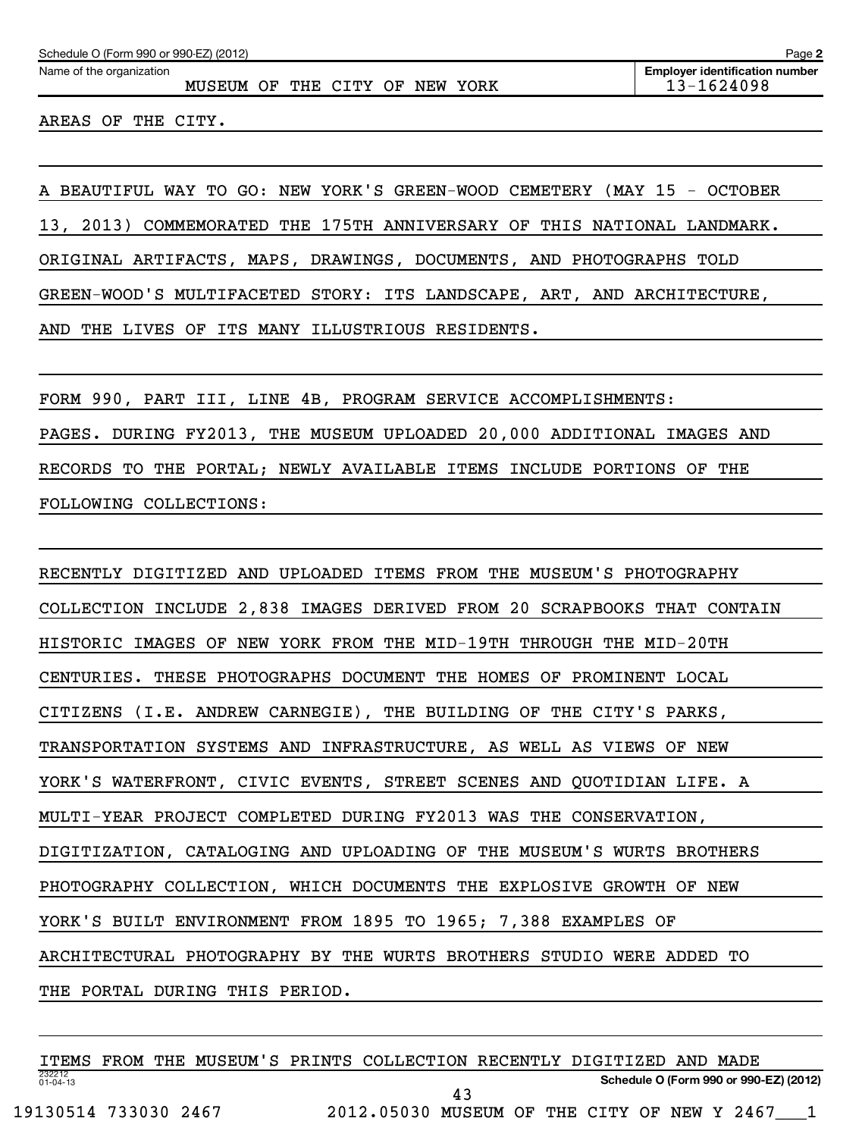MUSEUM OF THE CITY OF NEW YORK 13-1624098

AREAS OF THE CITY.

Name of the organization

A BEAUTIFUL WAY TO GO: NEW YORK'S GREEN-WOOD CEMETERY (MAY 15 - OCTOBER 13, 2013) COMMEMORATED THE 175TH ANNIVERSARY OF THIS NATIONAL LANDMARK. ORIGINAL ARTIFACTS, MAPS, DRAWINGS, DOCUMENTS, AND PHOTOGRAPHS TOLD GREEN-WOOD'S MULTIFACETED STORY: ITS LANDSCAPE, ART, AND ARCHITECTURE, AND THE LIVES OF ITS MANY ILLUSTRIOUS RESIDENTS.

FORM 990, PART III, LINE 4B, PROGRAM SERVICE ACCOMPLISHMENTS: PAGES. DURING FY2013, THE MUSEUM UPLOADED 20,000 ADDITIONAL IMAGES AND RECORDS TO THE PORTAL; NEWLY AVAILABLE ITEMS INCLUDE PORTIONS OF THE FOLLOWING COLLECTIONS:

RECENTLY DIGITIZED AND UPLOADED ITEMS FROM THE MUSEUM'S PHOTOGRAPHY COLLECTION INCLUDE 2,838 IMAGES DERIVED FROM 20 SCRAPBOOKS THAT CONTAIN HISTORIC IMAGES OF NEW YORK FROM THE MID-19TH THROUGH THE MID-20TH CENTURIES. THESE PHOTOGRAPHS DOCUMENT THE HOMES OF PROMINENT LOCAL CITIZENS (I.E. ANDREW CARNEGIE), THE BUILDING OF THE CITY'S PARKS, TRANSPORTATION SYSTEMS AND INFRASTRUCTURE, AS WELL AS VIEWS OF NEW YORK'S WATERFRONT, CIVIC EVENTS, STREET SCENES AND QUOTIDIAN LIFE. A MULTI-YEAR PROJECT COMPLETED DURING FY2013 WAS THE CONSERVATION, DIGITIZATION, CATALOGING AND UPLOADING OF THE MUSEUM'S WURTS BROTHERS PHOTOGRAPHY COLLECTION, WHICH DOCUMENTS THE EXPLOSIVE GROWTH OF NEW YORK'S BUILT ENVIRONMENT FROM 1895 TO 1965; 7,388 EXAMPLES OF ARCHITECTURAL PHOTOGRAPHY BY THE WURTS BROTHERS STUDIO WERE ADDED TO THE PORTAL DURING THIS PERIOD.

232212 01-04-13 **Schedule O (Form 990 or 990-EZ) (2012)** ITEMS FROM THE MUSEUM'S PRINTS COLLECTION RECENTLY DIGITIZED AND MADE 19130514 733030 2467 2012.05030 MUSEUM OF THE CITY OF NEW Y 2467\_\_\_1 43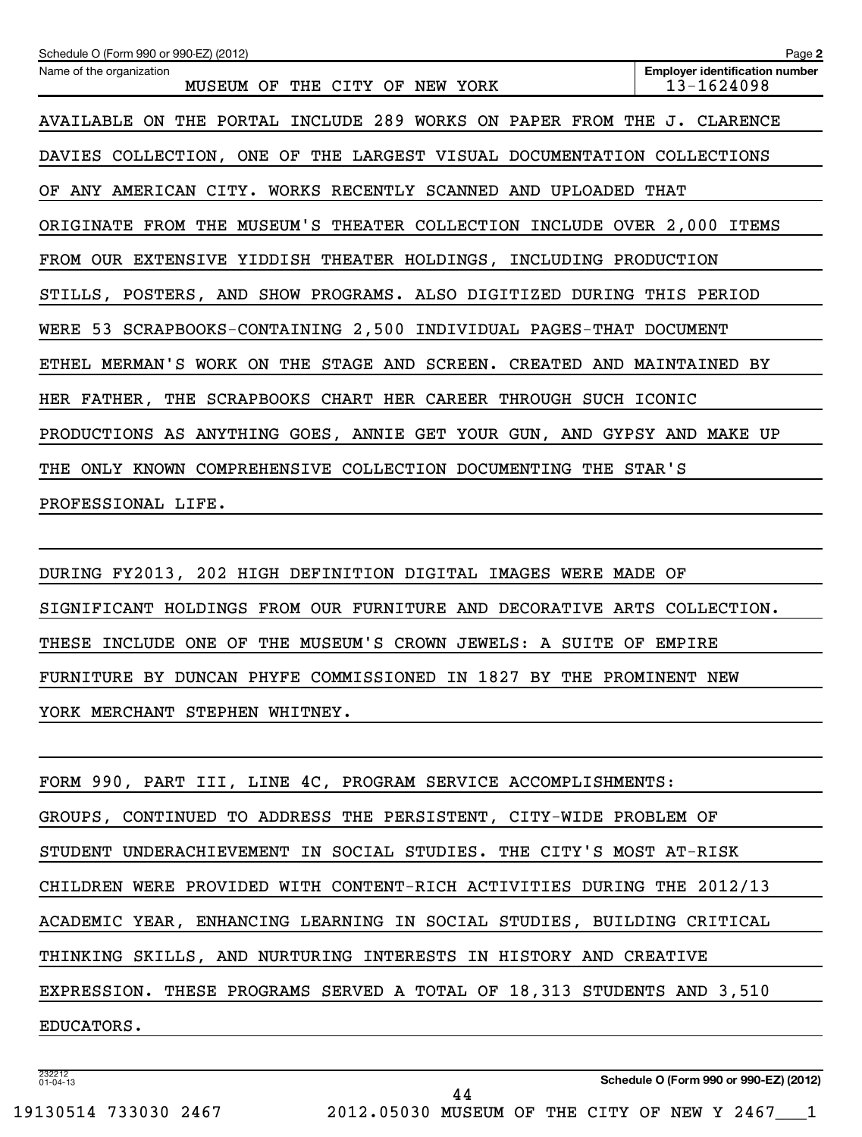| Schedule O (Form 990 or 990-EZ) (2012)                                  | Page 2                                              |
|-------------------------------------------------------------------------|-----------------------------------------------------|
| Name of the organization<br>MUSEUM OF<br>THE CITY OF<br>NEW YORK        | <b>Employer identification number</b><br>13-1624098 |
| AVAILABLE ON THE PORTAL INCLUDE 289 WORKS ON PAPER FROM THE J. CLARENCE |                                                     |
| DAVIES COLLECTION, ONE OF THE LARGEST VISUAL DOCUMENTATION COLLECTIONS  |                                                     |
| OF ANY AMERICAN CITY. WORKS RECENTLY SCANNED AND UPLOADED               | THAT                                                |
| ORIGINATE FROM THE MUSEUM'S THEATER COLLECTION INCLUDE OVER 2,000 ITEMS |                                                     |
| FROM OUR EXTENSIVE YIDDISH THEATER HOLDINGS, INCLUDING PRODUCTION       |                                                     |
| STILLS, POSTERS, AND SHOW PROGRAMS. ALSO DIGITIZED DURING THIS PERIOD   |                                                     |
| WERE 53 SCRAPBOOKS-CONTAINING 2,500 INDIVIDUAL PAGES-THAT DOCUMENT      |                                                     |
| ETHEL MERMAN'S WORK ON THE STAGE AND SCREEN. CREATED AND MAINTAINED BY  |                                                     |
| HER FATHER, THE SCRAPBOOKS CHART HER CAREER THROUGH SUCH ICONIC         |                                                     |
| PRODUCTIONS AS ANYTHING GOES, ANNIE GET YOUR GUN, AND GYPSY AND MAKE UP |                                                     |
| THE ONLY KNOWN COMPREHENSIVE COLLECTION DOCUMENTING THE STAR'S          |                                                     |
| PROFESSIONAL LIFE.                                                      |                                                     |

DURING FY2013, 202 HIGH DEFINITION DIGITAL IMAGES WERE MADE OF SIGNIFICANT HOLDINGS FROM OUR FURNITURE AND DECORATIVE ARTS COLLECTION. THESE INCLUDE ONE OF THE MUSEUM'S CROWN JEWELS: A SUITE OF EMPIRE FURNITURE BY DUNCAN PHYFE COMMISSIONED IN 1827 BY THE PROMINENT NEW YORK MERCHANT STEPHEN WHITNEY.

| FORM 990, PART III, LINE 4C, PROGRAM SERVICE ACCOMPLISHMENTS:          |
|------------------------------------------------------------------------|
| GROUPS, CONTINUED TO ADDRESS THE PERSISTENT, CITY-WIDE PROBLEM OF      |
| STUDENT UNDERACHIEVEMENT IN SOCIAL STUDIES. THE CITY'S MOST AT-RISK    |
| CHILDREN WERE PROVIDED WITH CONTENT-RICH ACTIVITIES DURING THE 2012/13 |
| ACADEMIC YEAR, ENHANCING LEARNING IN SOCIAL STUDIES, BUILDING CRITICAL |
| THINKING SKILLS, AND NURTURING INTERESTS IN HISTORY AND CREATIVE       |
| EXPRESSION. THESE PROGRAMS SERVED A TOTAL OF 18,313 STUDENTS AND 3,510 |
| EDUCATORS.                                                             |
|                                                                        |

44

232212 01-04-13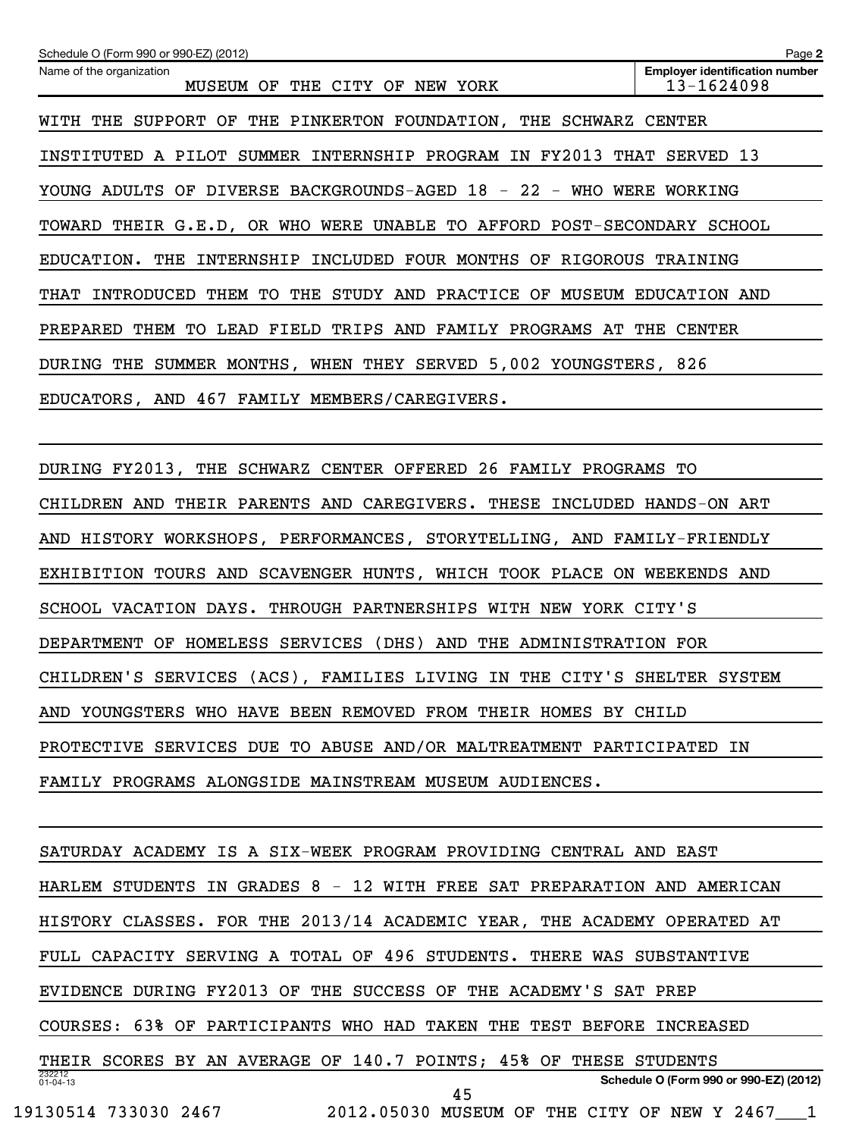| Schedule O (Form 990 or 990-EZ) (2012)                                 | Page 2                                              |
|------------------------------------------------------------------------|-----------------------------------------------------|
| Name of the organization<br>MUSEUM OF<br>THE CITY OF<br>NEW YORK       | <b>Employer identification number</b><br>13-1624098 |
| WITH THE SUPPORT OF THE PINKERTON FOUNDATION, THE SCHWARZ CENTER       |                                                     |
| INSTITUTED A PILOT SUMMER INTERNSHIP PROGRAM IN FY2013 THAT SERVED 13  |                                                     |
| YOUNG ADULTS OF DIVERSE BACKGROUNDS-AGED 18 - 22 - WHO WERE            | WORKING                                             |
| TOWARD THEIR G.E.D, OR WHO WERE UNABLE TO AFFORD POST-SECONDARY SCHOOL |                                                     |
| EDUCATION. THE INTERNSHIP INCLUDED FOUR MONTHS OF RIGOROUS TRAINING    |                                                     |
| INTRODUCED THEM TO<br>THE STUDY AND PRACTICE OF<br>THAT                | MUSEUM EDUCATION AND                                |
| PREPARED THEM TO LEAD FIELD TRIPS AND FAMILY PROGRAMS AT THE CENTER    |                                                     |
| DURING THE SUMMER MONTHS, WHEN THEY SERVED 5,002 YOUNGSTERS, 826       |                                                     |
| EDUCATORS, AND 467 FAMILY MEMBERS/CAREGIVERS.                          |                                                     |
|                                                                        |                                                     |
| DURING FY2013, THE SCHWARZ CENTER OFFERED 26 FAMILY PROGRAMS TO        |                                                     |

CHILDREN AND THEIR PARENTS AND CAREGIVERS. THESE INCLUDED HANDS-ON ART AND HISTORY WORKSHOPS, PERFORMANCES, STORYTELLING, AND FAMILY-FRIENDLY EXHIBITION TOURS AND SCAVENGER HUNTS, WHICH TOOK PLACE ON WEEKENDS AND SCHOOL VACATION DAYS. THROUGH PARTNERSHIPS WITH NEW YORK CITY'S DEPARTMENT OF HOMELESS SERVICES (DHS) AND THE ADMINISTRATION FOR CHILDREN'S SERVICES (ACS), FAMILIES LIVING IN THE CITY'S SHELTER SYSTEM AND YOUNGSTERS WHO HAVE BEEN REMOVED FROM THEIR HOMES BY CHILD PROTECTIVE SERVICES DUE TO ABUSE AND/OR MALTREATMENT PARTICIPATED IN FAMILY PROGRAMS ALONGSIDE MAINSTREAM MUSEUM AUDIENCES.

232212 01-04-13 **Schedule O (Form 990 or 990-EZ) (2012)** SATURDAY ACADEMY IS A SIX-WEEK PROGRAM PROVIDING CENTRAL AND EAST HARLEM STUDENTS IN GRADES 8 - 12 WITH FREE SAT PREPARATION AND AMERICAN HISTORY CLASSES. FOR THE 2013/14 ACADEMIC YEAR, THE ACADEMY OPERATED AT FULL CAPACITY SERVING A TOTAL OF 496 STUDENTS. THERE WAS SUBSTANTIVE EVIDENCE DURING FY2013 OF THE SUCCESS OF THE ACADEMY'S SAT PREP COURSES: 63% OF PARTICIPANTS WHO HAD TAKEN THE TEST BEFORE INCREASED THEIR SCORES BY AN AVERAGE OF 140.7 POINTS; 45% OF THESE STUDENTS 19130514 733030 2467 2012.05030 MUSEUM OF THE CITY OF NEW Y 2467\_\_\_1 45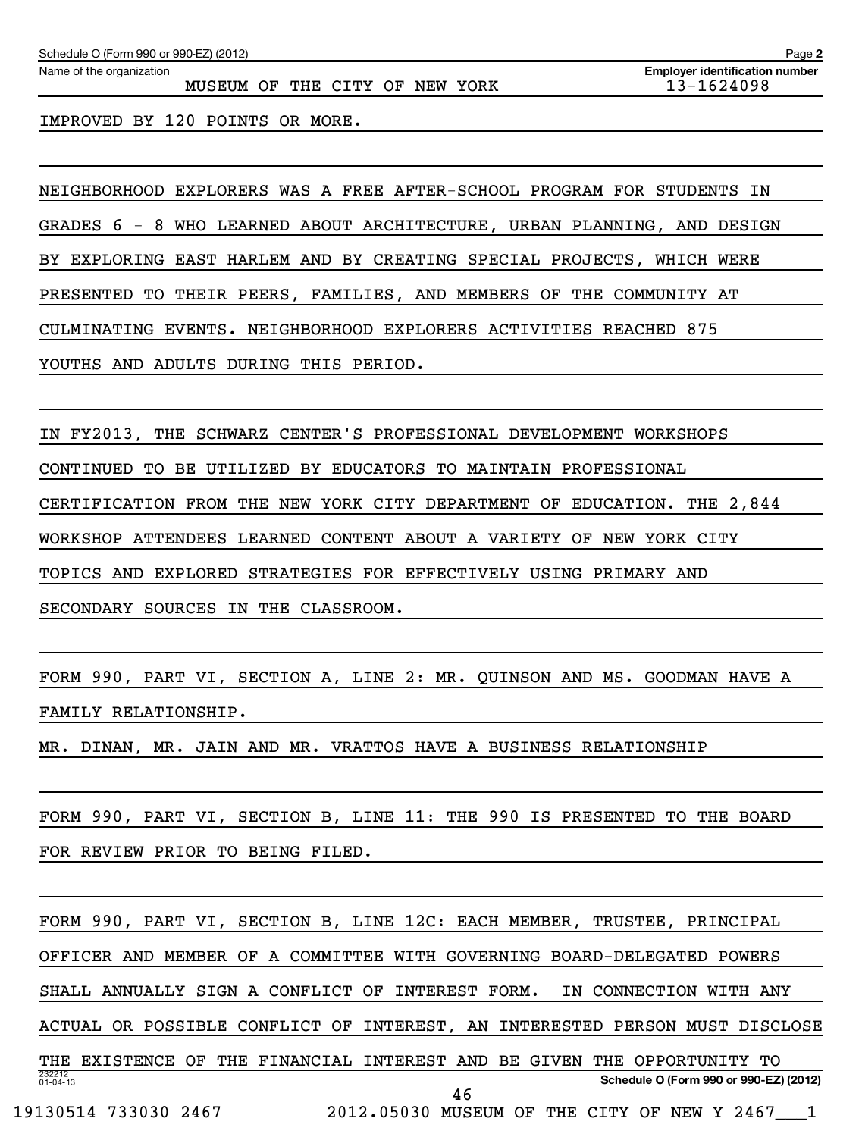Name of the organization

MUSEUM OF THE CITY OF NEW YORK 13-1624098

IMPROVED BY 120 POINTS OR MORE.

NEIGHBORHOOD EXPLORERS WAS A FREE AFTER-SCHOOL PROGRAM FOR STUDENTS IN GRADES 6 - 8 WHO LEARNED ABOUT ARCHITECTURE, URBAN PLANNING, AND DESIGN BY EXPLORING EAST HARLEM AND BY CREATING SPECIAL PROJECTS, WHICH WERE PRESENTED TO THEIR PEERS, FAMILIES, AND MEMBERS OF THE COMMUNITY AT CULMINATING EVENTS. NEIGHBORHOOD EXPLORERS ACTIVITIES REACHED 875 YOUTHS AND ADULTS DURING THIS PERIOD.

IN FY2013, THE SCHWARZ CENTER'S PROFESSIONAL DEVELOPMENT WORKSHOPS CONTINUED TO BE UTILIZED BY EDUCATORS TO MAINTAIN PROFESSIONAL CERTIFICATION FROM THE NEW YORK CITY DEPARTMENT OF EDUCATION. THE 2,844 WORKSHOP ATTENDEES LEARNED CONTENT ABOUT A VARIETY OF NEW YORK CITY TOPICS AND EXPLORED STRATEGIES FOR EFFECTIVELY USING PRIMARY AND SECONDARY SOURCES IN THE CLASSROOM.

FORM 990, PART VI, SECTION A, LINE 2: MR. QUINSON AND MS. GOODMAN HAVE A FAMILY RELATIONSHIP.

MR. DINAN, MR. JAIN AND MR. VRATTOS HAVE A BUSINESS RELATIONSHIP

FORM 990, PART VI, SECTION B, LINE 11: THE 990 IS PRESENTED TO THE BOARD FOR REVIEW PRIOR TO BEING FILED.

232212 01-04-13 **Schedule O (Form 990 or 990-EZ) (2012)** FORM 990, PART VI, SECTION B, LINE 12C: EACH MEMBER, TRUSTEE, PRINCIPAL OFFICER AND MEMBER OF A COMMITTEE WITH GOVERNING BOARD-DELEGATED POWERS SHALL ANNUALLY SIGN A CONFLICT OF INTEREST FORM. IN CONNECTION WITH ANY ACTUAL OR POSSIBLE CONFLICT OF INTEREST, AN INTERESTED PERSON MUST DISCLOSE THE EXISTENCE OF THE FINANCIAL INTEREST AND BE GIVEN THE OPPORTUNITY TO 19130514 733030 2467 2012.05030 MUSEUM OF THE CITY OF NEW Y 2467\_\_\_1 46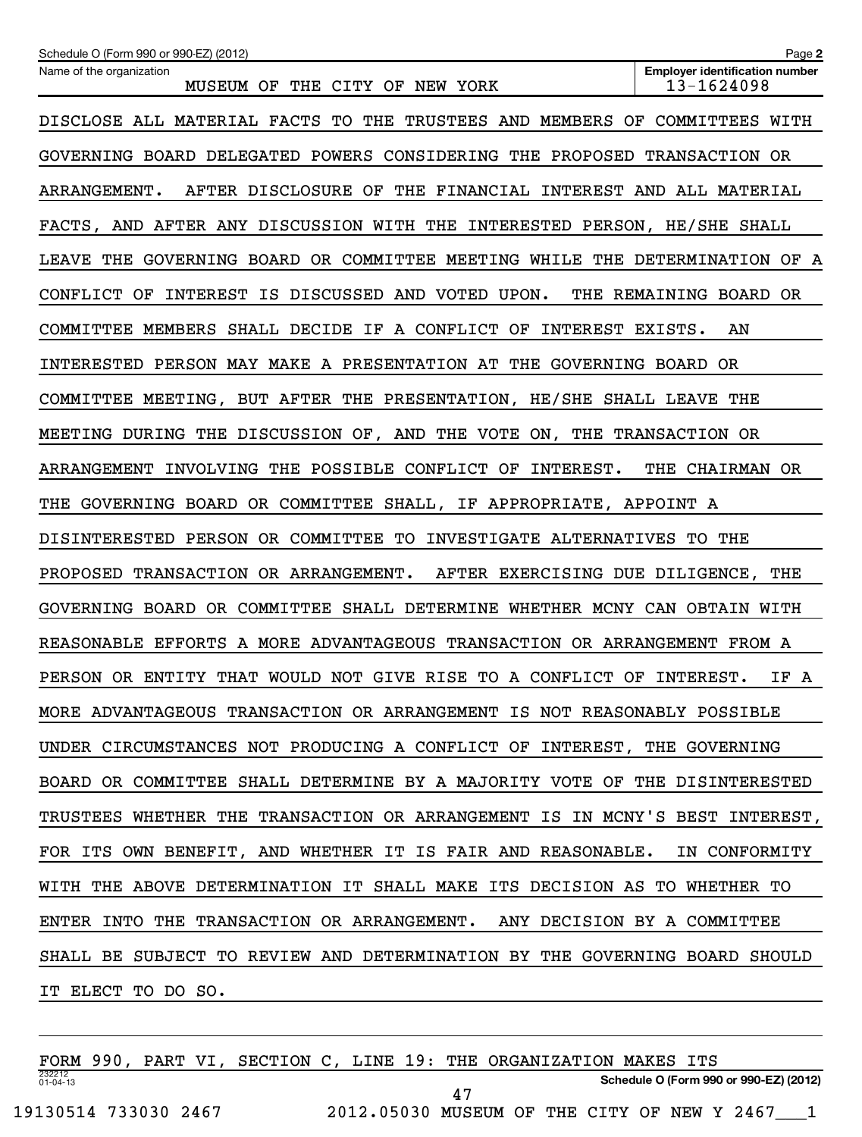| Schedule O (Form 990 or 990-EZ) (2012)                                      | Page 2                                              |
|-----------------------------------------------------------------------------|-----------------------------------------------------|
| Name of the organization<br>MUSEUM OF THE CITY OF NEW YORK                  | <b>Employer identification number</b><br>13-1624098 |
| DISCLOSE ALL MATERIAL FACTS TO THE TRUSTEES AND MEMBERS OF COMMITTEES WITH  |                                                     |
| GOVERNING BOARD DELEGATED POWERS CONSIDERING THE PROPOSED TRANSACTION OR    |                                                     |
| AFTER DISCLOSURE OF THE FINANCIAL INTEREST AND ALL MATERIAL<br>ARRANGEMENT. |                                                     |
| FACTS, AND AFTER ANY DISCUSSION WITH THE INTERESTED PERSON, HE/SHE SHALL    |                                                     |
| LEAVE THE GOVERNING BOARD OR COMMITTEE MEETING WHILE THE DETERMINATION OF A |                                                     |
| CONFLICT OF INTEREST IS DISCUSSED AND VOTED UPON.                           | THE REMAINING BOARD OR                              |
| COMMITTEE MEMBERS SHALL DECIDE IF A CONFLICT OF INTEREST EXISTS.            | AN                                                  |
| INTERESTED PERSON MAY MAKE A PRESENTATION AT THE GOVERNING BOARD OR         |                                                     |
| COMMITTEE MEETING, BUT AFTER THE PRESENTATION, HE/SHE SHALL LEAVE THE       |                                                     |
| MEETING DURING THE DISCUSSION OF, AND THE VOTE ON, THE TRANSACTION OR       |                                                     |
| ARRANGEMENT INVOLVING THE POSSIBLE CONFLICT OF INTEREST.                    | THE CHAIRMAN OR                                     |
| THE GOVERNING BOARD OR COMMITTEE SHALL, IF APPROPRIATE, APPOINT A           |                                                     |
| DISINTERESTED PERSON OR COMMITTEE TO INVESTIGATE ALTERNATIVES TO THE        |                                                     |
| PROPOSED TRANSACTION OR ARRANGEMENT. AFTER EXERCISING DUE DILIGENCE, THE    |                                                     |
| GOVERNING BOARD OR COMMITTEE SHALL DETERMINE WHETHER MCNY CAN OBTAIN WITH   |                                                     |
| REASONABLE EFFORTS A MORE ADVANTAGEOUS TRANSACTION OR ARRANGEMENT FROM A    |                                                     |
| PERSON OR ENTITY THAT WOULD NOT GIVE RISE TO A CONFLICT OF INTEREST.        | IF A                                                |
| MORE ADVANTAGEOUS TRANSACTION OR ARRANGEMENT IS NOT REASONABLY POSSIBLE     |                                                     |
| UNDER CIRCUMSTANCES NOT PRODUCING A CONFLICT OF INTEREST, THE GOVERNING     |                                                     |
| BOARD OR COMMITTEE SHALL DETERMINE BY A MAJORITY VOTE OF THE DISINTERESTED  |                                                     |
| TRUSTEES WHETHER THE TRANSACTION OR ARRANGEMENT IS IN MCNY'S BEST INTEREST, |                                                     |
| FOR ITS OWN BENEFIT, AND WHETHER IT IS FAIR AND REASONABLE. IN CONFORMITY   |                                                     |
| WITH THE ABOVE DETERMINATION IT SHALL MAKE ITS DECISION AS TO WHETHER TO    |                                                     |
| ENTER INTO THE TRANSACTION OR ARRANGEMENT. ANY DECISION BY A COMMITTEE      |                                                     |
| SHALL BE SUBJECT TO REVIEW AND DETERMINATION BY THE GOVERNING BOARD SHOULD  |                                                     |
| IT ELECT TO DO SO.                                                          |                                                     |

232212 01-04-13 **Schedule O (Form 990 or 990-EZ) (2012)** FORM 990, PART VI, SECTION C, LINE 19: THE ORGANIZATION MAKES ITS 19130514 733030 2467 2012.05030 MUSEUM OF THE CITY OF NEW Y 2467\_\_\_1 47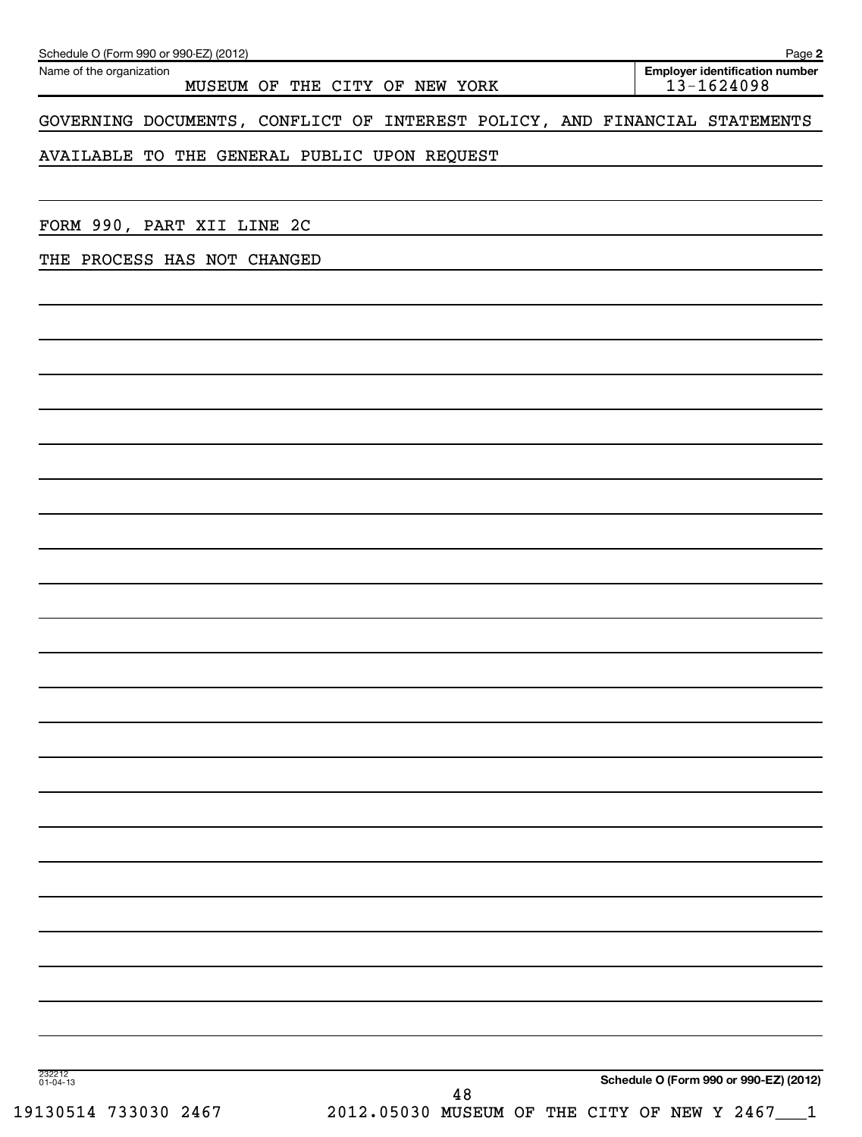| Schedule O (Form 990 or 990-EZ) (2012)<br>Name of the organization         | MUSEUM OF THE CITY OF NEW YORK |    |  | Page 2<br>Employer identification number<br>$13 - 1624098$ |
|----------------------------------------------------------------------------|--------------------------------|----|--|------------------------------------------------------------|
| GOVERNING DOCUMENTS, CONFLICT OF INTEREST POLICY, AND FINANCIAL STATEMENTS |                                |    |  |                                                            |
| AVAILABLE TO THE GENERAL PUBLIC UPON REQUEST                               |                                |    |  |                                                            |
|                                                                            |                                |    |  |                                                            |
| FORM 990, PART XII LINE 2C                                                 |                                |    |  |                                                            |
| THE PROCESS HAS NOT CHANGED                                                |                                |    |  |                                                            |
|                                                                            |                                |    |  |                                                            |
|                                                                            |                                |    |  |                                                            |
|                                                                            |                                |    |  |                                                            |
|                                                                            |                                |    |  |                                                            |
|                                                                            |                                |    |  |                                                            |
|                                                                            |                                |    |  |                                                            |
|                                                                            |                                |    |  |                                                            |
|                                                                            |                                |    |  |                                                            |
|                                                                            |                                |    |  |                                                            |
|                                                                            |                                |    |  |                                                            |
|                                                                            |                                |    |  |                                                            |
|                                                                            |                                |    |  |                                                            |
|                                                                            |                                |    |  |                                                            |
|                                                                            |                                |    |  |                                                            |
|                                                                            |                                |    |  |                                                            |
|                                                                            |                                |    |  |                                                            |
|                                                                            |                                |    |  |                                                            |
|                                                                            |                                |    |  |                                                            |
|                                                                            |                                |    |  |                                                            |
|                                                                            |                                |    |  |                                                            |
| 232212<br>01-04-13                                                         |                                | 48 |  | Schedule O (Form 990 or 990-EZ) (2012)                     |
| 19130514 733030 2467                                                       |                                |    |  | 2012.05030 MUSEUM OF THE CITY OF NEW Y 2467___1            |